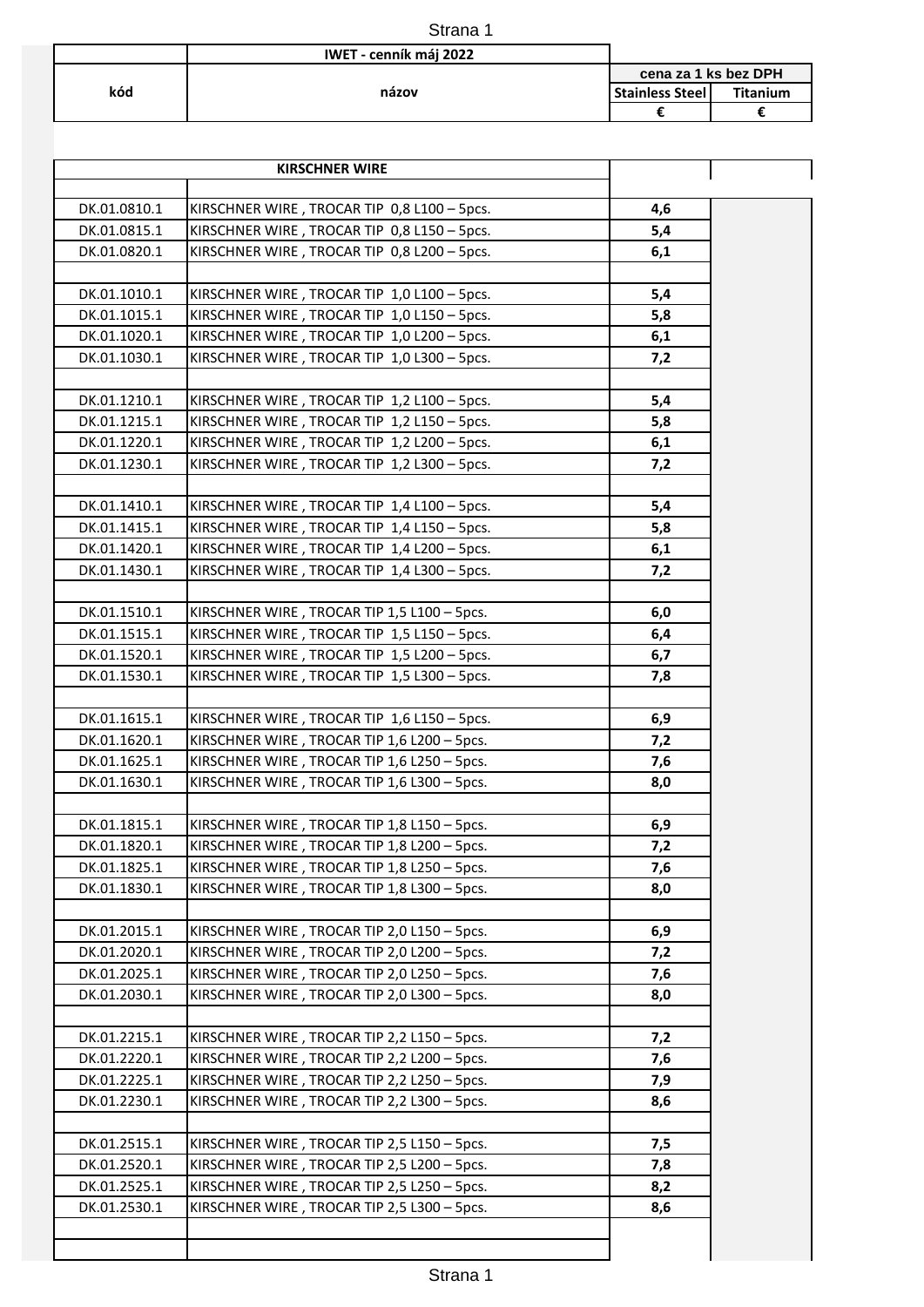|     | Strana 1               |                        |                 |
|-----|------------------------|------------------------|-----------------|
|     | IWET - cenník máj 2022 |                        |                 |
|     |                        | cena za 1 ks bez DPH   |                 |
| kód | názov                  | <b>Stainless Steel</b> | <b>Titanium</b> |
|     |                        |                        |                 |

|              | <b>KIRSCHNER WIRE</b>                       |     |
|--------------|---------------------------------------------|-----|
|              |                                             |     |
| DK.01.0810.1 | KIRSCHNER WIRE, TROCAR TIP 0,8 L100 - 5pcs. | 4,6 |
| DK.01.0815.1 | KIRSCHNER WIRE, TROCAR TIP 0,8 L150 - 5pcs. | 5,4 |
| DK.01.0820.1 | KIRSCHNER WIRE, TROCAR TIP 0,8 L200 - 5pcs. | 6,1 |
|              |                                             |     |
| DK.01.1010.1 | KIRSCHNER WIRE, TROCAR TIP 1,0 L100 - 5pcs. | 5,4 |
| DK.01.1015.1 | KIRSCHNER WIRE, TROCAR TIP 1,0 L150 - 5pcs. | 5,8 |
| DK.01.1020.1 | KIRSCHNER WIRE, TROCAR TIP 1,0 L200 - 5pcs. | 6,1 |
| DK.01.1030.1 | KIRSCHNER WIRE, TROCAR TIP 1,0 L300 - 5pcs. | 7,2 |
| DK.01.1210.1 | KIRSCHNER WIRE, TROCAR TIP 1,2 L100 - 5pcs. | 5,4 |
| DK.01.1215.1 | KIRSCHNER WIRE, TROCAR TIP 1,2 L150 - 5pcs. | 5,8 |
| DK.01.1220.1 | KIRSCHNER WIRE, TROCAR TIP 1,2 L200 - 5pcs. | 6,1 |
| DK.01.1230.1 | KIRSCHNER WIRE, TROCAR TIP 1,2 L300 - 5pcs. | 7,2 |
|              |                                             |     |
| DK.01.1410.1 | KIRSCHNER WIRE, TROCAR TIP 1,4 L100 - 5pcs. | 5,4 |
| DK.01.1415.1 | KIRSCHNER WIRE, TROCAR TIP 1,4 L150 - 5pcs. | 5,8 |
| DK.01.1420.1 | KIRSCHNER WIRE, TROCAR TIP 1,4 L200 - 5pcs. | 6,1 |
| DK.01.1430.1 | KIRSCHNER WIRE, TROCAR TIP 1,4 L300 - 5pcs. | 7,2 |
|              |                                             |     |
| DK.01.1510.1 | KIRSCHNER WIRE, TROCAR TIP 1,5 L100 - 5pcs. | 6,0 |
| DK.01.1515.1 | KIRSCHNER WIRE, TROCAR TIP 1,5 L150 - 5pcs. | 6,4 |
| DK.01.1520.1 | KIRSCHNER WIRE, TROCAR TIP 1,5 L200 - 5pcs. | 6,7 |
| DK.01.1530.1 | KIRSCHNER WIRE, TROCAR TIP 1,5 L300 - 5pcs. | 7,8 |
|              |                                             |     |
| DK.01.1615.1 | KIRSCHNER WIRE, TROCAR TIP 1,6 L150 - 5pcs. | 6,9 |
| DK.01.1620.1 | KIRSCHNER WIRE, TROCAR TIP 1,6 L200 - 5pcs. | 7,2 |
| DK.01.1625.1 | KIRSCHNER WIRE, TROCAR TIP 1,6 L250 - 5pcs. | 7,6 |
| DK.01.1630.1 | KIRSCHNER WIRE, TROCAR TIP 1,6 L300 - 5pcs. | 8,0 |
|              |                                             |     |
| DK.01.1815.1 | KIRSCHNER WIRE, TROCAR TIP 1,8 L150 - 5pcs. | 6,9 |
| DK.01.1820.1 | KIRSCHNER WIRE, TROCAR TIP 1,8 L200 - 5pcs. | 7,2 |
| DK.01.1825.1 | KIRSCHNER WIRE, TROCAR TIP 1,8 L250 - 5pcs. | 7,6 |
| DK.01.1830.1 | KIRSCHNER WIRE, TROCAR TIP 1,8 L300 - 5pcs. | 8,0 |
|              |                                             |     |
| DK.01.2015.1 | KIRSCHNER WIRE, TROCAR TIP 2,0 L150 - 5pcs. | 6,9 |
| DK.01.2020.1 | KIRSCHNER WIRE, TROCAR TIP 2,0 L200 - 5pcs. | 7,2 |
| DK.01.2025.1 | KIRSCHNER WIRE, TROCAR TIP 2,0 L250 - 5pcs. | 7,6 |
| DK.01.2030.1 | KIRSCHNER WIRE, TROCAR TIP 2,0 L300 - 5pcs. | 8,0 |
| DK.01.2215.1 | KIRSCHNER WIRE, TROCAR TIP 2,2 L150 - 5pcs. | 7,2 |
| DK.01.2220.1 | KIRSCHNER WIRE, TROCAR TIP 2,2 L200 - 5pcs. | 7,6 |
| DK.01.2225.1 | KIRSCHNER WIRE, TROCAR TIP 2,2 L250 - 5pcs. | 7,9 |
| DK.01.2230.1 | KIRSCHNER WIRE, TROCAR TIP 2,2 L300 - 5pcs. | 8,6 |
|              |                                             |     |
| DK.01.2515.1 | KIRSCHNER WIRE, TROCAR TIP 2,5 L150 - 5pcs. | 7,5 |
| DK.01.2520.1 | KIRSCHNER WIRE, TROCAR TIP 2,5 L200 - 5pcs. | 7,8 |
| DK.01.2525.1 | KIRSCHNER WIRE, TROCAR TIP 2,5 L250 - 5pcs. | 8,2 |
| DK.01.2530.1 | KIRSCHNER WIRE, TROCAR TIP 2,5 L300 - 5pcs. | 8,6 |
|              |                                             |     |
|              |                                             |     |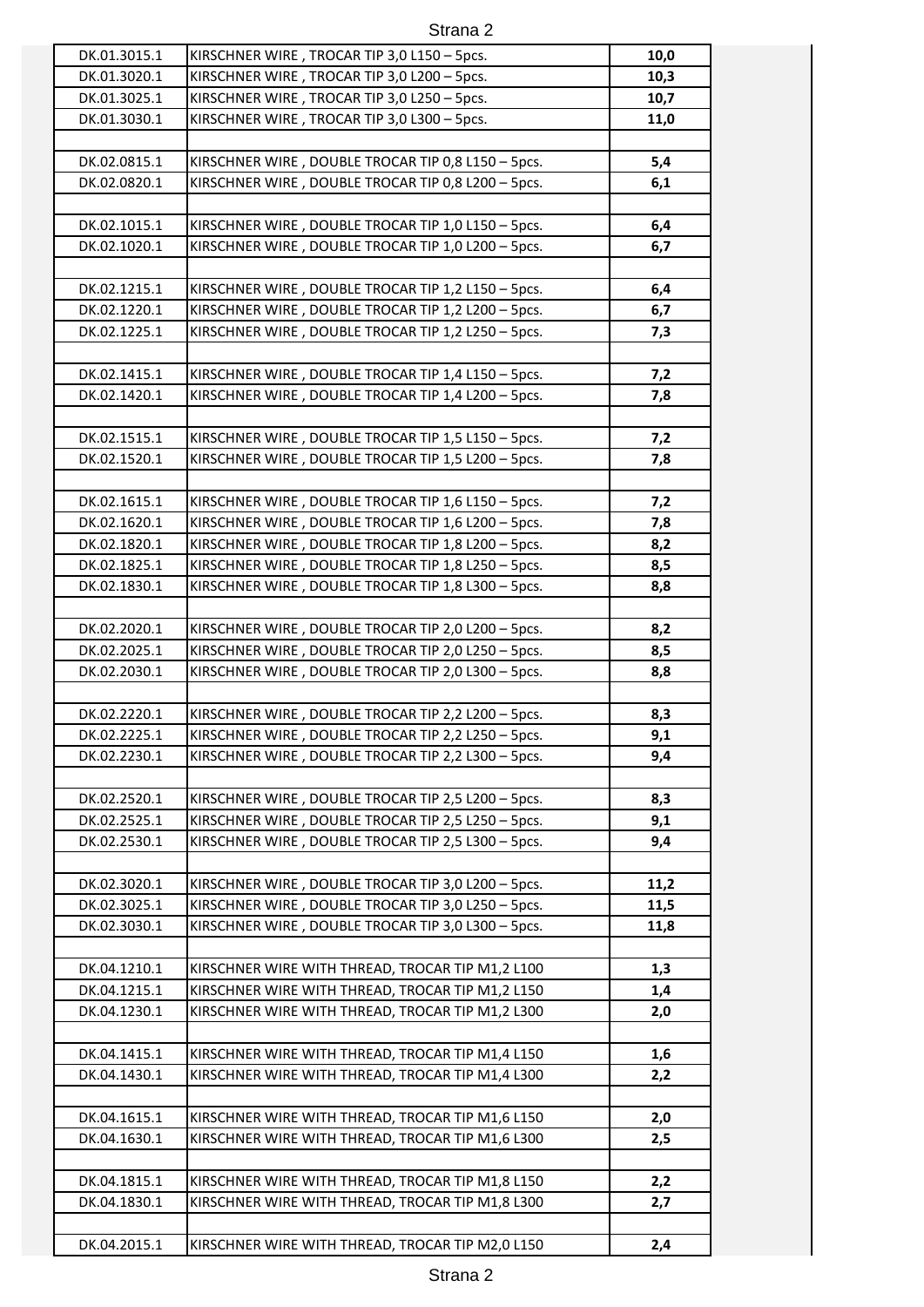| DK.01.3015.1                 | KIRSCHNER WIRE, TROCAR TIP 3,0 L150 - 5pcs.                                                              | 10,0       |
|------------------------------|----------------------------------------------------------------------------------------------------------|------------|
| DK.01.3020.1                 | KIRSCHNER WIRE, TROCAR TIP 3,0 L200 - 5pcs.                                                              | 10,3       |
| DK.01.3025.1                 | KIRSCHNER WIRE, TROCAR TIP 3,0 L250 - 5pcs.                                                              | 10,7       |
| DK.01.3030.1                 | KIRSCHNER WIRE, TROCAR TIP 3,0 L300 - 5pcs.                                                              | 11,0       |
|                              |                                                                                                          |            |
| DK.02.0815.1                 | KIRSCHNER WIRE, DOUBLE TROCAR TIP 0,8 L150 - 5pcs.                                                       | 5,4        |
| DK.02.0820.1                 | KIRSCHNER WIRE, DOUBLE TROCAR TIP 0,8 L200 - 5pcs.                                                       | 6,1        |
|                              |                                                                                                          |            |
| DK.02.1015.1                 | KIRSCHNER WIRE, DOUBLE TROCAR TIP 1,0 L150 - 5pcs.                                                       | 6,4        |
| DK.02.1020.1                 | KIRSCHNER WIRE, DOUBLE TROCAR TIP 1,0 L200 - 5pcs.                                                       | 6,7        |
|                              |                                                                                                          |            |
| DK.02.1215.1                 | KIRSCHNER WIRE, DOUBLE TROCAR TIP 1,2 L150 - 5pcs.                                                       | 6,4        |
| DK.02.1220.1                 | KIRSCHNER WIRE, DOUBLE TROCAR TIP 1,2 L200 - 5pcs.                                                       | 6,7        |
| DK.02.1225.1                 | KIRSCHNER WIRE, DOUBLE TROCAR TIP 1,2 L250 - 5pcs.                                                       | 7,3        |
|                              |                                                                                                          |            |
| DK.02.1415.1                 | KIRSCHNER WIRE, DOUBLE TROCAR TIP 1,4 L150 - 5pcs.                                                       | 7,2        |
| DK.02.1420.1                 | KIRSCHNER WIRE, DOUBLE TROCAR TIP 1,4 L200 - 5pcs.                                                       | 7,8        |
|                              |                                                                                                          |            |
| DK.02.1515.1                 | KIRSCHNER WIRE, DOUBLE TROCAR TIP 1,5 L150 - 5pcs.                                                       | 7,2        |
| DK.02.1520.1                 | KIRSCHNER WIRE, DOUBLE TROCAR TIP 1,5 L200 - 5pcs.                                                       | 7,8        |
|                              |                                                                                                          |            |
| DK.02.1615.1                 | KIRSCHNER WIRE, DOUBLE TROCAR TIP 1,6 L150 - 5pcs.                                                       | 7,2        |
| DK.02.1620.1                 | KIRSCHNER WIRE, DOUBLE TROCAR TIP 1,6 L200 - 5pcs.                                                       | 7,8        |
| DK.02.1820.1                 | KIRSCHNER WIRE, DOUBLE TROCAR TIP 1,8 L200 - 5pcs.                                                       | 8,2        |
| DK.02.1825.1                 | KIRSCHNER WIRE, DOUBLE TROCAR TIP 1,8 L250 - 5pcs.                                                       | 8,5        |
| DK.02.1830.1                 | KIRSCHNER WIRE, DOUBLE TROCAR TIP 1,8 L300 - 5pcs.                                                       | 8,8        |
|                              |                                                                                                          |            |
| DK.02.2020.1                 | KIRSCHNER WIRE, DOUBLE TROCAR TIP 2,0 L200 - 5pcs.                                                       | 8,2        |
| DK.02.2025.1                 | KIRSCHNER WIRE, DOUBLE TROCAR TIP 2,0 L250 - 5pcs.                                                       | 8,5        |
| DK.02.2030.1                 | KIRSCHNER WIRE, DOUBLE TROCAR TIP 2,0 L300 - 5pcs.                                                       | 8,8        |
|                              |                                                                                                          |            |
| DK.02.2220.1                 | KIRSCHNER WIRE, DOUBLE TROCAR TIP 2,2 L200 - 5pcs.<br>KIRSCHNER WIRE, DOUBLE TROCAR TIP 2,2 L250 - 5pcs. | 8,3        |
| DK.02.2225.1<br>DK.02.2230.1 | KIRSCHNER WIRE, DOUBLE TROCAR TIP 2,2 L300 - 5pcs.                                                       | 9,1<br>9,4 |
|                              |                                                                                                          |            |
| DK.02.2520.1                 | KIRSCHNER WIRE, DOUBLE TROCAR TIP 2,5 L200 - 5pcs.                                                       | 8,3        |
| DK.02.2525.1                 | KIRSCHNER WIRE, DOUBLE TROCAR TIP 2,5 L250 - 5pcs.                                                       | 9,1        |
| DK.02.2530.1                 | KIRSCHNER WIRE, DOUBLE TROCAR TIP 2,5 L300 - 5pcs.                                                       | 9,4        |
|                              |                                                                                                          |            |
| DK.02.3020.1                 | KIRSCHNER WIRE, DOUBLE TROCAR TIP 3,0 L200 - 5pcs.                                                       | 11,2       |
| DK.02.3025.1                 | KIRSCHNER WIRE, DOUBLE TROCAR TIP 3,0 L250 - 5pcs.                                                       | 11,5       |
| DK.02.3030.1                 | KIRSCHNER WIRE, DOUBLE TROCAR TIP 3,0 L300 - 5pcs.                                                       | 11,8       |
|                              |                                                                                                          |            |
| DK.04.1210.1                 | KIRSCHNER WIRE WITH THREAD, TROCAR TIP M1,2 L100                                                         | 1,3        |
| DK.04.1215.1                 | KIRSCHNER WIRE WITH THREAD, TROCAR TIP M1,2 L150                                                         | 1,4        |
| DK.04.1230.1                 | KIRSCHNER WIRE WITH THREAD, TROCAR TIP M1,2 L300                                                         | 2,0        |
|                              |                                                                                                          |            |
| DK.04.1415.1                 | KIRSCHNER WIRE WITH THREAD, TROCAR TIP M1,4 L150                                                         | 1,6        |
| DK.04.1430.1                 | KIRSCHNER WIRE WITH THREAD, TROCAR TIP M1,4 L300                                                         | 2,2        |
|                              |                                                                                                          |            |
| DK.04.1615.1                 | KIRSCHNER WIRE WITH THREAD, TROCAR TIP M1,6 L150                                                         | 2,0        |
| DK.04.1630.1                 | KIRSCHNER WIRE WITH THREAD, TROCAR TIP M1,6 L300                                                         | 2,5        |
|                              |                                                                                                          |            |
| DK.04.1815.1                 | KIRSCHNER WIRE WITH THREAD, TROCAR TIP M1,8 L150                                                         | 2,2        |
| DK.04.1830.1                 | KIRSCHNER WIRE WITH THREAD, TROCAR TIP M1,8 L300                                                         | 2,7        |
|                              |                                                                                                          |            |
| DK.04.2015.1                 | KIRSCHNER WIRE WITH THREAD, TROCAR TIP M2,0 L150                                                         | 2,4        |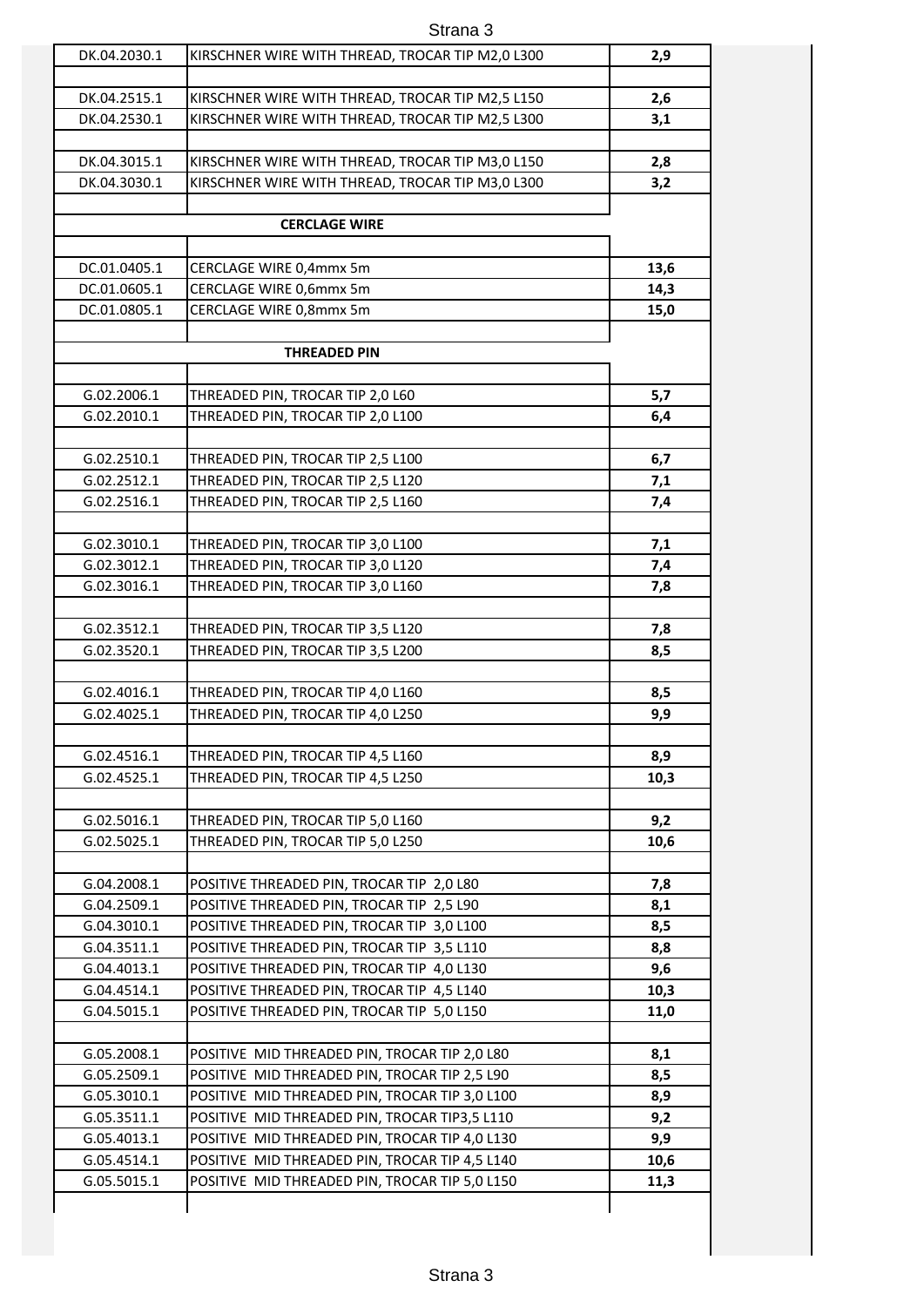| DK.04.2030.1 | KIRSCHNER WIRE WITH THREAD, TROCAR TIP M2,0 L300 | 2,9  |
|--------------|--------------------------------------------------|------|
|              |                                                  |      |
| DK.04.2515.1 | KIRSCHNER WIRE WITH THREAD, TROCAR TIP M2,5 L150 | 2,6  |
| DK.04.2530.1 | KIRSCHNER WIRE WITH THREAD, TROCAR TIP M2,5 L300 | 3,1  |
|              |                                                  |      |
| DK.04.3015.1 | KIRSCHNER WIRE WITH THREAD, TROCAR TIP M3,0 L150 | 2,8  |
| DK.04.3030.1 | KIRSCHNER WIRE WITH THREAD, TROCAR TIP M3,0 L300 | 3,2  |
|              |                                                  |      |
|              | <b>CERCLAGE WIRE</b>                             |      |
|              |                                                  |      |
| DC.01.0405.1 | CERCLAGE WIRE 0,4mmx 5m                          | 13,6 |
| DC.01.0605.1 | CERCLAGE WIRE 0,6mmx 5m                          | 14,3 |
| DC.01.0805.1 | CERCLAGE WIRE 0,8mmx 5m                          | 15,0 |
|              |                                                  |      |
|              | <b>THREADED PIN</b>                              |      |
|              |                                                  |      |
| G.02.2006.1  | THREADED PIN, TROCAR TIP 2,0 L60                 | 5,7  |
| G.02.2010.1  | THREADED PIN, TROCAR TIP 2,0 L100                | 6,4  |
|              |                                                  |      |
| G.02.2510.1  | THREADED PIN, TROCAR TIP 2,5 L100                | 6,7  |
| G.02.2512.1  | THREADED PIN, TROCAR TIP 2,5 L120                | 7,1  |
| G.02.2516.1  | THREADED PIN, TROCAR TIP 2,5 L160                | 7,4  |
|              |                                                  |      |
| G.02.3010.1  | THREADED PIN, TROCAR TIP 3,0 L100                | 7,1  |
| G.02.3012.1  | THREADED PIN, TROCAR TIP 3,0 L120                | 7,4  |
| G.02.3016.1  | THREADED PIN, TROCAR TIP 3,0 L160                | 7,8  |
| G.02.3512.1  | THREADED PIN, TROCAR TIP 3,5 L120                | 7,8  |
| G.02.3520.1  | THREADED PIN, TROCAR TIP 3,5 L200                | 8,5  |
|              |                                                  |      |
| G.02.4016.1  | THREADED PIN, TROCAR TIP 4,0 L160                | 8,5  |
| G.02.4025.1  | THREADED PIN, TROCAR TIP 4,0 L250                | 9,9  |
|              |                                                  |      |
| G.02.4516.1  | THREADED PIN, TROCAR TIP 4,5 L160                | 8,9  |
| G.02.4525.1  | THREADED PIN, TROCAR TIP 4,5 L250                | 10,3 |
|              |                                                  |      |
| G.02.5016.1  | THREADED PIN, TROCAR TIP 5,0 L160                | 9,2  |
| G.02.5025.1  | THREADED PIN, TROCAR TIP 5,0 L250                | 10,6 |
|              |                                                  |      |
| G.04.2008.1  | POSITIVE THREADED PIN, TROCAR TIP 2,0 L80        | 7,8  |
| G.04.2509.1  | POSITIVE THREADED PIN, TROCAR TIP 2,5 L90        | 8,1  |
| G.04.3010.1  | POSITIVE THREADED PIN, TROCAR TIP 3,0 L100       | 8,5  |
| G.04.3511.1  | POSITIVE THREADED PIN, TROCAR TIP 3,5 L110       | 8,8  |
| G.04.4013.1  | POSITIVE THREADED PIN, TROCAR TIP 4,0 L130       | 9,6  |
| G.04.4514.1  | POSITIVE THREADED PIN, TROCAR TIP 4,5 L140       | 10,3 |
| G.04.5015.1  | POSITIVE THREADED PIN, TROCAR TIP 5,0 L150       | 11,0 |
|              |                                                  |      |
| G.05.2008.1  | POSITIVE MID THREADED PIN, TROCAR TIP 2,0 L80    | 8,1  |
| G.05.2509.1  | POSITIVE MID THREADED PIN, TROCAR TIP 2,5 L90    | 8,5  |
| G.05.3010.1  | POSITIVE MID THREADED PIN, TROCAR TIP 3,0 L100   | 8,9  |
| G.05.3511.1  | POSITIVE MID THREADED PIN, TROCAR TIP3,5 L110    | 9,2  |
| G.05.4013.1  | POSITIVE MID THREADED PIN, TROCAR TIP 4,0 L130   | 9,9  |
| G.05.4514.1  | POSITIVE MID THREADED PIN, TROCAR TIP 4,5 L140   | 10,6 |
| G.05.5015.1  | POSITIVE MID THREADED PIN, TROCAR TIP 5,0 L150   | 11,3 |
|              |                                                  |      |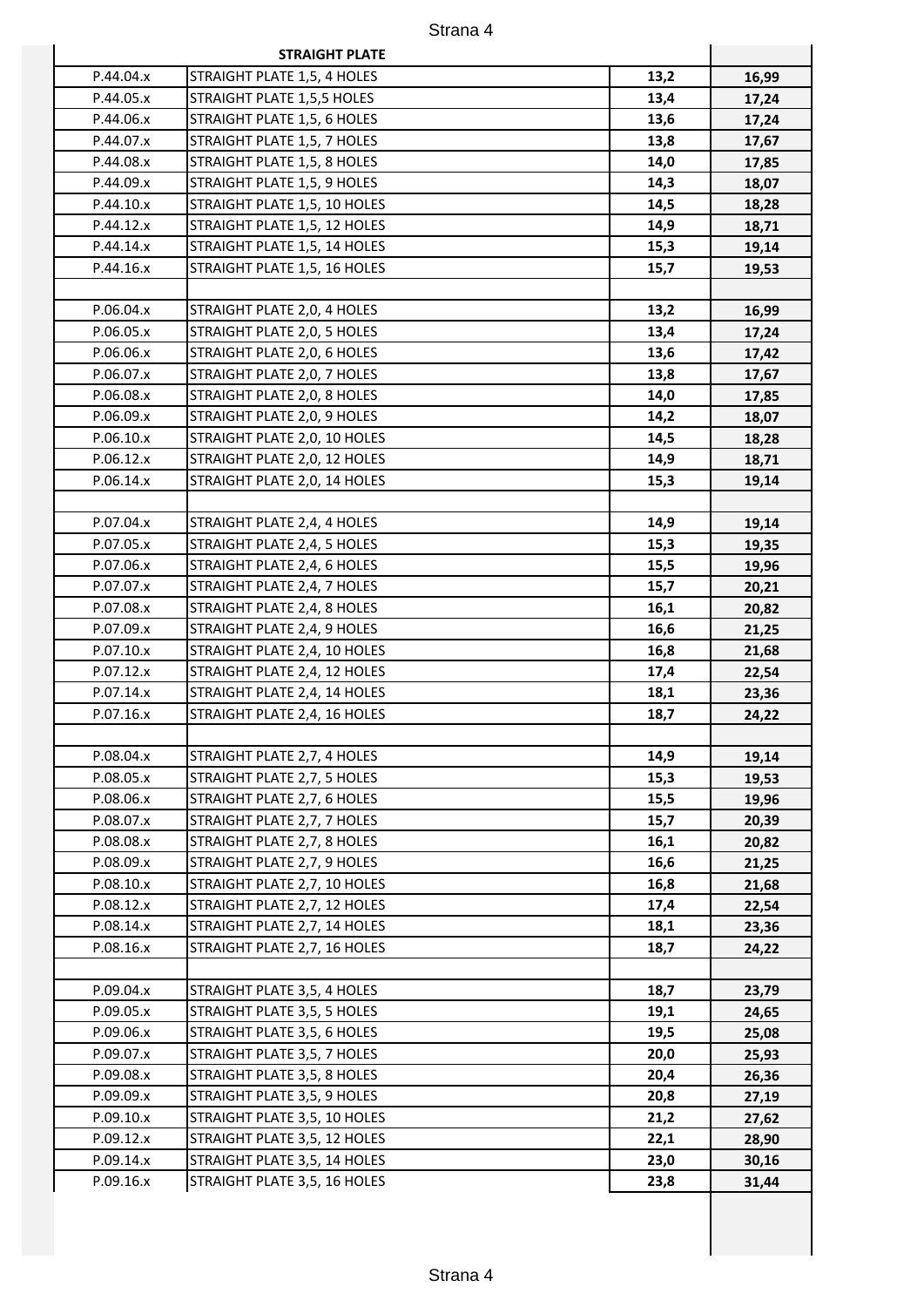| P.44.04.x<br>STRAIGHT PLATE 1,5, 4 HOLES<br>13,2<br>16,99<br>13,4<br>P.44.05.x<br>STRAIGHT PLATE 1,5,5 HOLES<br>17,24<br>P.44.06.x<br>STRAIGHT PLATE 1,5, 6 HOLES<br>13,6<br>17,24<br>P.44.07.x<br>STRAIGHT PLATE 1,5, 7 HOLES<br>13,8<br>17,67<br>P.44.08.x<br>STRAIGHT PLATE 1,5, 8 HOLES<br>14,0<br>17,85<br>P.44.09.x<br>STRAIGHT PLATE 1,5, 9 HOLES<br>14,3<br>18,07<br>14,5<br>P.44.10.x<br>STRAIGHT PLATE 1,5, 10 HOLES<br>18,28<br>P.44.12.x<br>STRAIGHT PLATE 1,5, 12 HOLES<br>14,9<br>18,71<br>15,3<br>P.44.14.x<br>STRAIGHT PLATE 1,5, 14 HOLES<br>19,14<br>P.44.16.x<br>STRAIGHT PLATE 1,5, 16 HOLES<br>15,7<br>19,53<br>P.06.04.x<br>13,2<br>STRAIGHT PLATE 2,0, 4 HOLES<br>16,99<br>P.06.05.x<br>STRAIGHT PLATE 2,0, 5 HOLES<br>13,4<br>17,24<br>13,6<br>P.06.06.x<br>STRAIGHT PLATE 2,0, 6 HOLES<br>17,42<br>P.06.07.x<br>STRAIGHT PLATE 2,0, 7 HOLES<br>13,8<br>17,67<br>14,0<br>P.06.08.x<br>STRAIGHT PLATE 2,0, 8 HOLES<br>17,85<br>P.06.09.x<br>STRAIGHT PLATE 2,0, 9 HOLES<br>14,2<br>18,07<br>P.06.10.x<br>STRAIGHT PLATE 2,0, 10 HOLES<br>14,5<br>18,28<br>P.06.12.x<br>STRAIGHT PLATE 2,0, 12 HOLES<br>14,9<br>18,71<br>P.06.14.x<br>15,3<br>STRAIGHT PLATE 2,0, 14 HOLES<br>19,14<br>P.07.04.x<br>STRAIGHT PLATE 2,4, 4 HOLES<br>14,9<br>19,14<br>15,3<br>P.07.05.x<br>STRAIGHT PLATE 2,4, 5 HOLES<br>19,35<br>P.07.06.x<br>STRAIGHT PLATE 2,4, 6 HOLES<br>15,5<br>19,96<br>15,7<br>P.07.07.x<br>STRAIGHT PLATE 2,4, 7 HOLES<br>20,21<br>P.07.08.x<br>STRAIGHT PLATE 2,4, 8 HOLES<br>16,1<br>20,82<br>P.07.09.x<br>STRAIGHT PLATE 2,4, 9 HOLES<br>16,6<br>21,25<br>16,8<br>P.07.10.x<br>STRAIGHT PLATE 2,4, 10 HOLES<br>21,68<br>P.07.12.x<br>STRAIGHT PLATE 2,4, 12 HOLES<br>17,4<br>22,54<br>P.07.14.x<br>STRAIGHT PLATE 2,4, 14 HOLES<br>18,1<br>23,36<br>P.07.16.x<br>STRAIGHT PLATE 2,4, 16 HOLES<br>18,7<br>24,22<br>P.08.04.x<br>STRAIGHT PLATE 2,7, 4 HOLES<br>14,9<br>19,14<br>15,3<br>P.08.05.x<br>STRAIGHT PLATE 2,7, 5 HOLES<br>19,53<br>P.08.06.x<br>STRAIGHT PLATE 2,7, 6 HOLES<br>15,5<br>19,96<br>P.08.07.x<br>15,7<br>STRAIGHT PLATE 2,7, 7 HOLES<br>20,39<br>P.08.08.x<br>16,1<br>STRAIGHT PLATE 2,7, 8 HOLES<br>20,82<br>16,6<br>P.08.09.x<br>STRAIGHT PLATE 2,7, 9 HOLES<br>21,25 |
|-------------------------------------------------------------------------------------------------------------------------------------------------------------------------------------------------------------------------------------------------------------------------------------------------------------------------------------------------------------------------------------------------------------------------------------------------------------------------------------------------------------------------------------------------------------------------------------------------------------------------------------------------------------------------------------------------------------------------------------------------------------------------------------------------------------------------------------------------------------------------------------------------------------------------------------------------------------------------------------------------------------------------------------------------------------------------------------------------------------------------------------------------------------------------------------------------------------------------------------------------------------------------------------------------------------------------------------------------------------------------------------------------------------------------------------------------------------------------------------------------------------------------------------------------------------------------------------------------------------------------------------------------------------------------------------------------------------------------------------------------------------------------------------------------------------------------------------------------------------------------------------------------------------------------------------------------------------------------------------------------------------------------------------------------------------------------------------------------------------------------------------------------------------------------------------------------------------------------------|
|                                                                                                                                                                                                                                                                                                                                                                                                                                                                                                                                                                                                                                                                                                                                                                                                                                                                                                                                                                                                                                                                                                                                                                                                                                                                                                                                                                                                                                                                                                                                                                                                                                                                                                                                                                                                                                                                                                                                                                                                                                                                                                                                                                                                                               |
|                                                                                                                                                                                                                                                                                                                                                                                                                                                                                                                                                                                                                                                                                                                                                                                                                                                                                                                                                                                                                                                                                                                                                                                                                                                                                                                                                                                                                                                                                                                                                                                                                                                                                                                                                                                                                                                                                                                                                                                                                                                                                                                                                                                                                               |
|                                                                                                                                                                                                                                                                                                                                                                                                                                                                                                                                                                                                                                                                                                                                                                                                                                                                                                                                                                                                                                                                                                                                                                                                                                                                                                                                                                                                                                                                                                                                                                                                                                                                                                                                                                                                                                                                                                                                                                                                                                                                                                                                                                                                                               |
|                                                                                                                                                                                                                                                                                                                                                                                                                                                                                                                                                                                                                                                                                                                                                                                                                                                                                                                                                                                                                                                                                                                                                                                                                                                                                                                                                                                                                                                                                                                                                                                                                                                                                                                                                                                                                                                                                                                                                                                                                                                                                                                                                                                                                               |
|                                                                                                                                                                                                                                                                                                                                                                                                                                                                                                                                                                                                                                                                                                                                                                                                                                                                                                                                                                                                                                                                                                                                                                                                                                                                                                                                                                                                                                                                                                                                                                                                                                                                                                                                                                                                                                                                                                                                                                                                                                                                                                                                                                                                                               |
|                                                                                                                                                                                                                                                                                                                                                                                                                                                                                                                                                                                                                                                                                                                                                                                                                                                                                                                                                                                                                                                                                                                                                                                                                                                                                                                                                                                                                                                                                                                                                                                                                                                                                                                                                                                                                                                                                                                                                                                                                                                                                                                                                                                                                               |
|                                                                                                                                                                                                                                                                                                                                                                                                                                                                                                                                                                                                                                                                                                                                                                                                                                                                                                                                                                                                                                                                                                                                                                                                                                                                                                                                                                                                                                                                                                                                                                                                                                                                                                                                                                                                                                                                                                                                                                                                                                                                                                                                                                                                                               |
|                                                                                                                                                                                                                                                                                                                                                                                                                                                                                                                                                                                                                                                                                                                                                                                                                                                                                                                                                                                                                                                                                                                                                                                                                                                                                                                                                                                                                                                                                                                                                                                                                                                                                                                                                                                                                                                                                                                                                                                                                                                                                                                                                                                                                               |
|                                                                                                                                                                                                                                                                                                                                                                                                                                                                                                                                                                                                                                                                                                                                                                                                                                                                                                                                                                                                                                                                                                                                                                                                                                                                                                                                                                                                                                                                                                                                                                                                                                                                                                                                                                                                                                                                                                                                                                                                                                                                                                                                                                                                                               |
|                                                                                                                                                                                                                                                                                                                                                                                                                                                                                                                                                                                                                                                                                                                                                                                                                                                                                                                                                                                                                                                                                                                                                                                                                                                                                                                                                                                                                                                                                                                                                                                                                                                                                                                                                                                                                                                                                                                                                                                                                                                                                                                                                                                                                               |
|                                                                                                                                                                                                                                                                                                                                                                                                                                                                                                                                                                                                                                                                                                                                                                                                                                                                                                                                                                                                                                                                                                                                                                                                                                                                                                                                                                                                                                                                                                                                                                                                                                                                                                                                                                                                                                                                                                                                                                                                                                                                                                                                                                                                                               |
|                                                                                                                                                                                                                                                                                                                                                                                                                                                                                                                                                                                                                                                                                                                                                                                                                                                                                                                                                                                                                                                                                                                                                                                                                                                                                                                                                                                                                                                                                                                                                                                                                                                                                                                                                                                                                                                                                                                                                                                                                                                                                                                                                                                                                               |
|                                                                                                                                                                                                                                                                                                                                                                                                                                                                                                                                                                                                                                                                                                                                                                                                                                                                                                                                                                                                                                                                                                                                                                                                                                                                                                                                                                                                                                                                                                                                                                                                                                                                                                                                                                                                                                                                                                                                                                                                                                                                                                                                                                                                                               |
|                                                                                                                                                                                                                                                                                                                                                                                                                                                                                                                                                                                                                                                                                                                                                                                                                                                                                                                                                                                                                                                                                                                                                                                                                                                                                                                                                                                                                                                                                                                                                                                                                                                                                                                                                                                                                                                                                                                                                                                                                                                                                                                                                                                                                               |
|                                                                                                                                                                                                                                                                                                                                                                                                                                                                                                                                                                                                                                                                                                                                                                                                                                                                                                                                                                                                                                                                                                                                                                                                                                                                                                                                                                                                                                                                                                                                                                                                                                                                                                                                                                                                                                                                                                                                                                                                                                                                                                                                                                                                                               |
|                                                                                                                                                                                                                                                                                                                                                                                                                                                                                                                                                                                                                                                                                                                                                                                                                                                                                                                                                                                                                                                                                                                                                                                                                                                                                                                                                                                                                                                                                                                                                                                                                                                                                                                                                                                                                                                                                                                                                                                                                                                                                                                                                                                                                               |
|                                                                                                                                                                                                                                                                                                                                                                                                                                                                                                                                                                                                                                                                                                                                                                                                                                                                                                                                                                                                                                                                                                                                                                                                                                                                                                                                                                                                                                                                                                                                                                                                                                                                                                                                                                                                                                                                                                                                                                                                                                                                                                                                                                                                                               |
|                                                                                                                                                                                                                                                                                                                                                                                                                                                                                                                                                                                                                                                                                                                                                                                                                                                                                                                                                                                                                                                                                                                                                                                                                                                                                                                                                                                                                                                                                                                                                                                                                                                                                                                                                                                                                                                                                                                                                                                                                                                                                                                                                                                                                               |
|                                                                                                                                                                                                                                                                                                                                                                                                                                                                                                                                                                                                                                                                                                                                                                                                                                                                                                                                                                                                                                                                                                                                                                                                                                                                                                                                                                                                                                                                                                                                                                                                                                                                                                                                                                                                                                                                                                                                                                                                                                                                                                                                                                                                                               |
|                                                                                                                                                                                                                                                                                                                                                                                                                                                                                                                                                                                                                                                                                                                                                                                                                                                                                                                                                                                                                                                                                                                                                                                                                                                                                                                                                                                                                                                                                                                                                                                                                                                                                                                                                                                                                                                                                                                                                                                                                                                                                                                                                                                                                               |
|                                                                                                                                                                                                                                                                                                                                                                                                                                                                                                                                                                                                                                                                                                                                                                                                                                                                                                                                                                                                                                                                                                                                                                                                                                                                                                                                                                                                                                                                                                                                                                                                                                                                                                                                                                                                                                                                                                                                                                                                                                                                                                                                                                                                                               |
|                                                                                                                                                                                                                                                                                                                                                                                                                                                                                                                                                                                                                                                                                                                                                                                                                                                                                                                                                                                                                                                                                                                                                                                                                                                                                                                                                                                                                                                                                                                                                                                                                                                                                                                                                                                                                                                                                                                                                                                                                                                                                                                                                                                                                               |
|                                                                                                                                                                                                                                                                                                                                                                                                                                                                                                                                                                                                                                                                                                                                                                                                                                                                                                                                                                                                                                                                                                                                                                                                                                                                                                                                                                                                                                                                                                                                                                                                                                                                                                                                                                                                                                                                                                                                                                                                                                                                                                                                                                                                                               |
|                                                                                                                                                                                                                                                                                                                                                                                                                                                                                                                                                                                                                                                                                                                                                                                                                                                                                                                                                                                                                                                                                                                                                                                                                                                                                                                                                                                                                                                                                                                                                                                                                                                                                                                                                                                                                                                                                                                                                                                                                                                                                                                                                                                                                               |
|                                                                                                                                                                                                                                                                                                                                                                                                                                                                                                                                                                                                                                                                                                                                                                                                                                                                                                                                                                                                                                                                                                                                                                                                                                                                                                                                                                                                                                                                                                                                                                                                                                                                                                                                                                                                                                                                                                                                                                                                                                                                                                                                                                                                                               |
|                                                                                                                                                                                                                                                                                                                                                                                                                                                                                                                                                                                                                                                                                                                                                                                                                                                                                                                                                                                                                                                                                                                                                                                                                                                                                                                                                                                                                                                                                                                                                                                                                                                                                                                                                                                                                                                                                                                                                                                                                                                                                                                                                                                                                               |
|                                                                                                                                                                                                                                                                                                                                                                                                                                                                                                                                                                                                                                                                                                                                                                                                                                                                                                                                                                                                                                                                                                                                                                                                                                                                                                                                                                                                                                                                                                                                                                                                                                                                                                                                                                                                                                                                                                                                                                                                                                                                                                                                                                                                                               |
|                                                                                                                                                                                                                                                                                                                                                                                                                                                                                                                                                                                                                                                                                                                                                                                                                                                                                                                                                                                                                                                                                                                                                                                                                                                                                                                                                                                                                                                                                                                                                                                                                                                                                                                                                                                                                                                                                                                                                                                                                                                                                                                                                                                                                               |
|                                                                                                                                                                                                                                                                                                                                                                                                                                                                                                                                                                                                                                                                                                                                                                                                                                                                                                                                                                                                                                                                                                                                                                                                                                                                                                                                                                                                                                                                                                                                                                                                                                                                                                                                                                                                                                                                                                                                                                                                                                                                                                                                                                                                                               |
|                                                                                                                                                                                                                                                                                                                                                                                                                                                                                                                                                                                                                                                                                                                                                                                                                                                                                                                                                                                                                                                                                                                                                                                                                                                                                                                                                                                                                                                                                                                                                                                                                                                                                                                                                                                                                                                                                                                                                                                                                                                                                                                                                                                                                               |
|                                                                                                                                                                                                                                                                                                                                                                                                                                                                                                                                                                                                                                                                                                                                                                                                                                                                                                                                                                                                                                                                                                                                                                                                                                                                                                                                                                                                                                                                                                                                                                                                                                                                                                                                                                                                                                                                                                                                                                                                                                                                                                                                                                                                                               |
|                                                                                                                                                                                                                                                                                                                                                                                                                                                                                                                                                                                                                                                                                                                                                                                                                                                                                                                                                                                                                                                                                                                                                                                                                                                                                                                                                                                                                                                                                                                                                                                                                                                                                                                                                                                                                                                                                                                                                                                                                                                                                                                                                                                                                               |
|                                                                                                                                                                                                                                                                                                                                                                                                                                                                                                                                                                                                                                                                                                                                                                                                                                                                                                                                                                                                                                                                                                                                                                                                                                                                                                                                                                                                                                                                                                                                                                                                                                                                                                                                                                                                                                                                                                                                                                                                                                                                                                                                                                                                                               |
|                                                                                                                                                                                                                                                                                                                                                                                                                                                                                                                                                                                                                                                                                                                                                                                                                                                                                                                                                                                                                                                                                                                                                                                                                                                                                                                                                                                                                                                                                                                                                                                                                                                                                                                                                                                                                                                                                                                                                                                                                                                                                                                                                                                                                               |
|                                                                                                                                                                                                                                                                                                                                                                                                                                                                                                                                                                                                                                                                                                                                                                                                                                                                                                                                                                                                                                                                                                                                                                                                                                                                                                                                                                                                                                                                                                                                                                                                                                                                                                                                                                                                                                                                                                                                                                                                                                                                                                                                                                                                                               |
|                                                                                                                                                                                                                                                                                                                                                                                                                                                                                                                                                                                                                                                                                                                                                                                                                                                                                                                                                                                                                                                                                                                                                                                                                                                                                                                                                                                                                                                                                                                                                                                                                                                                                                                                                                                                                                                                                                                                                                                                                                                                                                                                                                                                                               |
|                                                                                                                                                                                                                                                                                                                                                                                                                                                                                                                                                                                                                                                                                                                                                                                                                                                                                                                                                                                                                                                                                                                                                                                                                                                                                                                                                                                                                                                                                                                                                                                                                                                                                                                                                                                                                                                                                                                                                                                                                                                                                                                                                                                                                               |
|                                                                                                                                                                                                                                                                                                                                                                                                                                                                                                                                                                                                                                                                                                                                                                                                                                                                                                                                                                                                                                                                                                                                                                                                                                                                                                                                                                                                                                                                                                                                                                                                                                                                                                                                                                                                                                                                                                                                                                                                                                                                                                                                                                                                                               |
| 16,8<br>STRAIGHT PLATE 2,7, 10 HOLES                                                                                                                                                                                                                                                                                                                                                                                                                                                                                                                                                                                                                                                                                                                                                                                                                                                                                                                                                                                                                                                                                                                                                                                                                                                                                                                                                                                                                                                                                                                                                                                                                                                                                                                                                                                                                                                                                                                                                                                                                                                                                                                                                                                          |
| P.08.10.x<br>21,68<br>P.08.12.x<br>STRAIGHT PLATE 2,7, 12 HOLES<br>17,4                                                                                                                                                                                                                                                                                                                                                                                                                                                                                                                                                                                                                                                                                                                                                                                                                                                                                                                                                                                                                                                                                                                                                                                                                                                                                                                                                                                                                                                                                                                                                                                                                                                                                                                                                                                                                                                                                                                                                                                                                                                                                                                                                       |
| 22,54<br>P.08.14.x<br>STRAIGHT PLATE 2,7, 14 HOLES<br>18,1                                                                                                                                                                                                                                                                                                                                                                                                                                                                                                                                                                                                                                                                                                                                                                                                                                                                                                                                                                                                                                                                                                                                                                                                                                                                                                                                                                                                                                                                                                                                                                                                                                                                                                                                                                                                                                                                                                                                                                                                                                                                                                                                                                    |
| 23,36<br>P.08.16.x                                                                                                                                                                                                                                                                                                                                                                                                                                                                                                                                                                                                                                                                                                                                                                                                                                                                                                                                                                                                                                                                                                                                                                                                                                                                                                                                                                                                                                                                                                                                                                                                                                                                                                                                                                                                                                                                                                                                                                                                                                                                                                                                                                                                            |
| STRAIGHT PLATE 2,7, 16 HOLES<br>18,7<br>24,22                                                                                                                                                                                                                                                                                                                                                                                                                                                                                                                                                                                                                                                                                                                                                                                                                                                                                                                                                                                                                                                                                                                                                                                                                                                                                                                                                                                                                                                                                                                                                                                                                                                                                                                                                                                                                                                                                                                                                                                                                                                                                                                                                                                 |
| P.09.04.x<br>STRAIGHT PLATE 3,5, 4 HOLES<br>18,7                                                                                                                                                                                                                                                                                                                                                                                                                                                                                                                                                                                                                                                                                                                                                                                                                                                                                                                                                                                                                                                                                                                                                                                                                                                                                                                                                                                                                                                                                                                                                                                                                                                                                                                                                                                                                                                                                                                                                                                                                                                                                                                                                                              |
| 23,79                                                                                                                                                                                                                                                                                                                                                                                                                                                                                                                                                                                                                                                                                                                                                                                                                                                                                                                                                                                                                                                                                                                                                                                                                                                                                                                                                                                                                                                                                                                                                                                                                                                                                                                                                                                                                                                                                                                                                                                                                                                                                                                                                                                                                         |
| P.09.05.x<br>STRAIGHT PLATE 3,5, 5 HOLES<br>19,1<br>24,65                                                                                                                                                                                                                                                                                                                                                                                                                                                                                                                                                                                                                                                                                                                                                                                                                                                                                                                                                                                                                                                                                                                                                                                                                                                                                                                                                                                                                                                                                                                                                                                                                                                                                                                                                                                                                                                                                                                                                                                                                                                                                                                                                                     |
| 19,5<br>P.09.06.x<br>STRAIGHT PLATE 3,5, 6 HOLES<br>25,08                                                                                                                                                                                                                                                                                                                                                                                                                                                                                                                                                                                                                                                                                                                                                                                                                                                                                                                                                                                                                                                                                                                                                                                                                                                                                                                                                                                                                                                                                                                                                                                                                                                                                                                                                                                                                                                                                                                                                                                                                                                                                                                                                                     |
| 20,0<br>P.09.07.x<br>STRAIGHT PLATE 3,5, 7 HOLES<br>25,93                                                                                                                                                                                                                                                                                                                                                                                                                                                                                                                                                                                                                                                                                                                                                                                                                                                                                                                                                                                                                                                                                                                                                                                                                                                                                                                                                                                                                                                                                                                                                                                                                                                                                                                                                                                                                                                                                                                                                                                                                                                                                                                                                                     |
| P.09.08.x<br>STRAIGHT PLATE 3,5, 8 HOLES<br>20,4<br>26,36                                                                                                                                                                                                                                                                                                                                                                                                                                                                                                                                                                                                                                                                                                                                                                                                                                                                                                                                                                                                                                                                                                                                                                                                                                                                                                                                                                                                                                                                                                                                                                                                                                                                                                                                                                                                                                                                                                                                                                                                                                                                                                                                                                     |
| P.09.09.x<br>STRAIGHT PLATE 3,5, 9 HOLES<br>20,8<br>27,19                                                                                                                                                                                                                                                                                                                                                                                                                                                                                                                                                                                                                                                                                                                                                                                                                                                                                                                                                                                                                                                                                                                                                                                                                                                                                                                                                                                                                                                                                                                                                                                                                                                                                                                                                                                                                                                                                                                                                                                                                                                                                                                                                                     |
| P.09.10.x<br>21,2<br>STRAIGHT PLATE 3,5, 10 HOLES<br>27,62                                                                                                                                                                                                                                                                                                                                                                                                                                                                                                                                                                                                                                                                                                                                                                                                                                                                                                                                                                                                                                                                                                                                                                                                                                                                                                                                                                                                                                                                                                                                                                                                                                                                                                                                                                                                                                                                                                                                                                                                                                                                                                                                                                    |
| P.09.12.x<br>STRAIGHT PLATE 3,5, 12 HOLES<br>22,1<br>28,90                                                                                                                                                                                                                                                                                                                                                                                                                                                                                                                                                                                                                                                                                                                                                                                                                                                                                                                                                                                                                                                                                                                                                                                                                                                                                                                                                                                                                                                                                                                                                                                                                                                                                                                                                                                                                                                                                                                                                                                                                                                                                                                                                                    |
| P.09.14.x<br>STRAIGHT PLATE 3,5, 14 HOLES<br>23,0<br>30,16                                                                                                                                                                                                                                                                                                                                                                                                                                                                                                                                                                                                                                                                                                                                                                                                                                                                                                                                                                                                                                                                                                                                                                                                                                                                                                                                                                                                                                                                                                                                                                                                                                                                                                                                                                                                                                                                                                                                                                                                                                                                                                                                                                    |
| STRAIGHT PLATE 3,5, 16 HOLES<br>P.09.16.x<br>23,8<br>31,44                                                                                                                                                                                                                                                                                                                                                                                                                                                                                                                                                                                                                                                                                                                                                                                                                                                                                                                                                                                                                                                                                                                                                                                                                                                                                                                                                                                                                                                                                                                                                                                                                                                                                                                                                                                                                                                                                                                                                                                                                                                                                                                                                                    |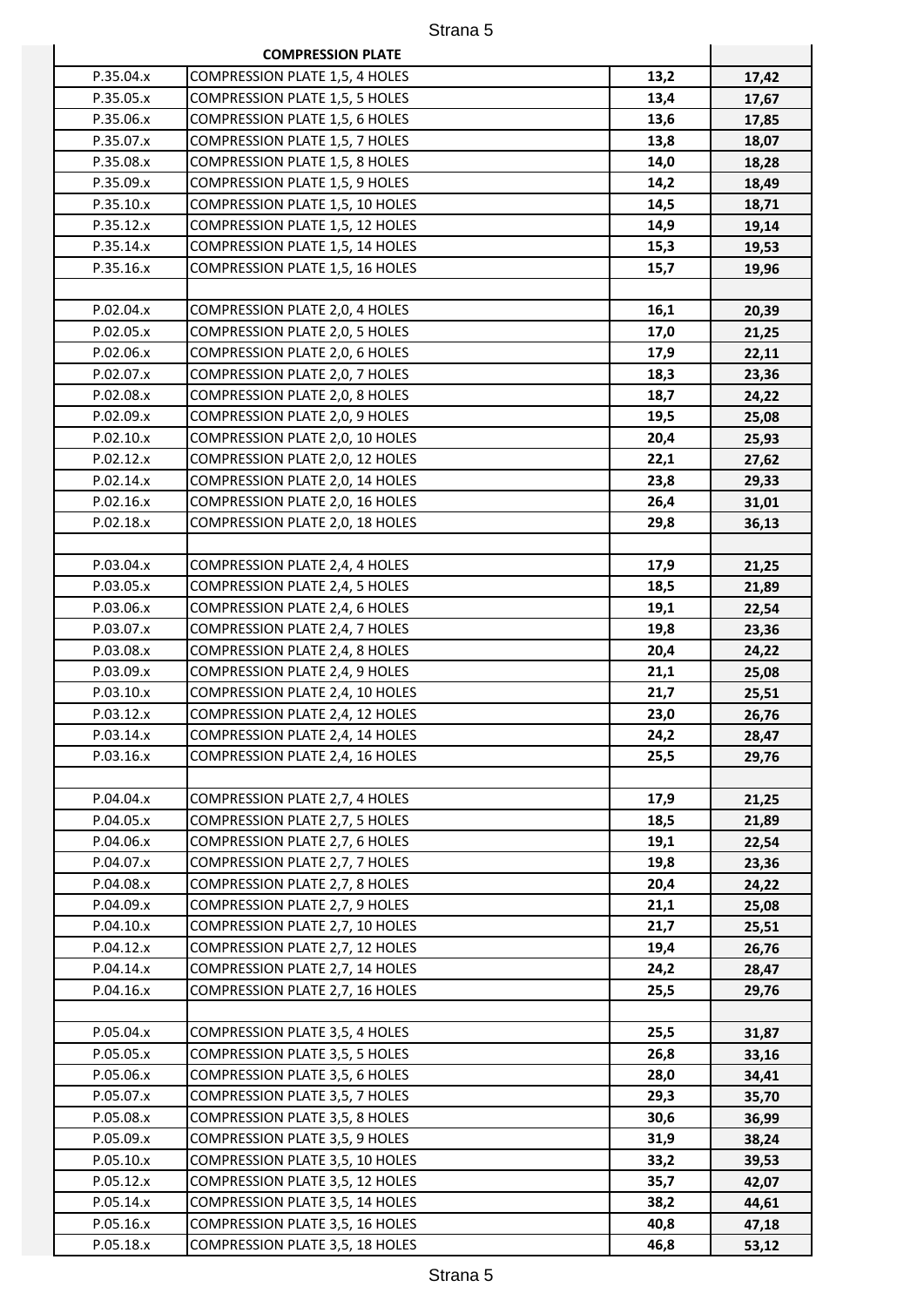|           | <b>COMPRESSION PLATE</b>              |      |       |
|-----------|---------------------------------------|------|-------|
| P.35.04.x | <b>COMPRESSION PLATE 1,5, 4 HOLES</b> | 13,2 | 17,42 |
| P.35.05.x | <b>COMPRESSION PLATE 1,5, 5 HOLES</b> | 13,4 | 17,67 |
| P.35.06.x | COMPRESSION PLATE 1,5, 6 HOLES        | 13,6 | 17,85 |
| P.35.07.x | COMPRESSION PLATE 1,5, 7 HOLES        | 13,8 | 18,07 |
| P.35.08.x | <b>COMPRESSION PLATE 1,5, 8 HOLES</b> | 14,0 | 18,28 |
| P.35.09.x | COMPRESSION PLATE 1,5, 9 HOLES        | 14,2 | 18,49 |
| P.35.10.x | COMPRESSION PLATE 1,5, 10 HOLES       | 14,5 | 18,71 |
| P.35.12.x | COMPRESSION PLATE 1,5, 12 HOLES       | 14,9 | 19,14 |
| P.35.14.x | COMPRESSION PLATE 1,5, 14 HOLES       | 15,3 | 19,53 |
| P.35.16.x | COMPRESSION PLATE 1,5, 16 HOLES       | 15,7 | 19,96 |
|           |                                       |      |       |
| P.02.04.x | COMPRESSION PLATE 2,0, 4 HOLES        | 16,1 | 20,39 |
| P.02.05.x | COMPRESSION PLATE 2,0, 5 HOLES        | 17,0 | 21,25 |
| P.02.06.x | COMPRESSION PLATE 2,0, 6 HOLES        | 17,9 | 22,11 |
| P.02.07.x | COMPRESSION PLATE 2,0, 7 HOLES        | 18,3 | 23,36 |
| P.02.08.x | COMPRESSION PLATE 2,0, 8 HOLES        | 18,7 | 24,22 |
| P.02.09.x | COMPRESSION PLATE 2,0, 9 HOLES        | 19,5 | 25,08 |
| P.02.10.x | COMPRESSION PLATE 2,0, 10 HOLES       | 20,4 | 25,93 |
| P.02.12.x | COMPRESSION PLATE 2,0, 12 HOLES       | 22,1 | 27,62 |
| P.02.14.x | COMPRESSION PLATE 2,0, 14 HOLES       | 23,8 | 29,33 |
| P.02.16.x | COMPRESSION PLATE 2,0, 16 HOLES       | 26,4 | 31,01 |
| P.02.18.x | COMPRESSION PLATE 2,0, 18 HOLES       | 29,8 | 36,13 |
|           |                                       |      |       |
| P.03.04.x | COMPRESSION PLATE 2,4, 4 HOLES        | 17,9 | 21,25 |
| P.03.05.x | COMPRESSION PLATE 2,4, 5 HOLES        | 18,5 | 21,89 |
| P.03.06.x | COMPRESSION PLATE 2,4, 6 HOLES        | 19,1 | 22,54 |
| P.03.07.x | COMPRESSION PLATE 2,4, 7 HOLES        | 19,8 | 23,36 |
| P.03.08.x | COMPRESSION PLATE 2,4, 8 HOLES        | 20,4 | 24,22 |
| P.03.09.x | COMPRESSION PLATE 2,4, 9 HOLES        | 21,1 | 25,08 |
| P.03.10.x | COMPRESSION PLATE 2,4, 10 HOLES       | 21,7 | 25,51 |
| P.03.12.x | COMPRESSION PLATE 2,4, 12 HOLES       | 23,0 | 26,76 |
| P.03.14.x | COMPRESSION PLATE 2,4, 14 HOLES       | 24,2 | 28,47 |
| P.03.16.x | COMPRESSION PLATE 2,4, 16 HOLES       | 25,5 | 29,76 |
|           |                                       |      |       |
| P.04.04.x | COMPRESSION PLATE 2,7, 4 HOLES        | 17,9 | 21,25 |
| P.04.05.x | COMPRESSION PLATE 2,7, 5 HOLES        | 18,5 | 21,89 |
| P.04.06.x | COMPRESSION PLATE 2,7, 6 HOLES        | 19,1 | 22,54 |
| P.04.07.x | COMPRESSION PLATE 2,7, 7 HOLES        | 19,8 | 23,36 |
| P.04.08.x | COMPRESSION PLATE 2,7, 8 HOLES        | 20,4 | 24,22 |
| P.04.09.x | COMPRESSION PLATE 2,7, 9 HOLES        | 21,1 | 25,08 |
| P.04.10.x | COMPRESSION PLATE 2,7, 10 HOLES       | 21,7 | 25,51 |
| P.04.12.x | COMPRESSION PLATE 2,7, 12 HOLES       | 19,4 | 26,76 |
| P.04.14.x | COMPRESSION PLATE 2,7, 14 HOLES       | 24,2 | 28,47 |
| P.04.16.x | COMPRESSION PLATE 2,7, 16 HOLES       | 25,5 | 29,76 |
|           |                                       |      |       |
| P.05.04.x | COMPRESSION PLATE 3,5, 4 HOLES        | 25,5 | 31,87 |
| P.05.05.x | COMPRESSION PLATE 3,5, 5 HOLES        | 26,8 | 33,16 |
| P.05.06.x | COMPRESSION PLATE 3,5, 6 HOLES        | 28,0 | 34,41 |
| P.05.07.x | COMPRESSION PLATE 3,5, 7 HOLES        | 29,3 | 35,70 |
| P.05.08.x | COMPRESSION PLATE 3,5, 8 HOLES        | 30,6 | 36,99 |
| P.05.09.x | COMPRESSION PLATE 3,5, 9 HOLES        | 31,9 | 38,24 |
| P.05.10.x | COMPRESSION PLATE 3,5, 10 HOLES       | 33,2 | 39,53 |
| P.05.12.x | COMPRESSION PLATE 3,5, 12 HOLES       | 35,7 | 42,07 |
| P.05.14.x | COMPRESSION PLATE 3,5, 14 HOLES       | 38,2 | 44,61 |
| P.05.16.x | COMPRESSION PLATE 3,5, 16 HOLES       | 40,8 | 47,18 |
| P.05.18.x | COMPRESSION PLATE 3,5, 18 HOLES       | 46,8 | 53,12 |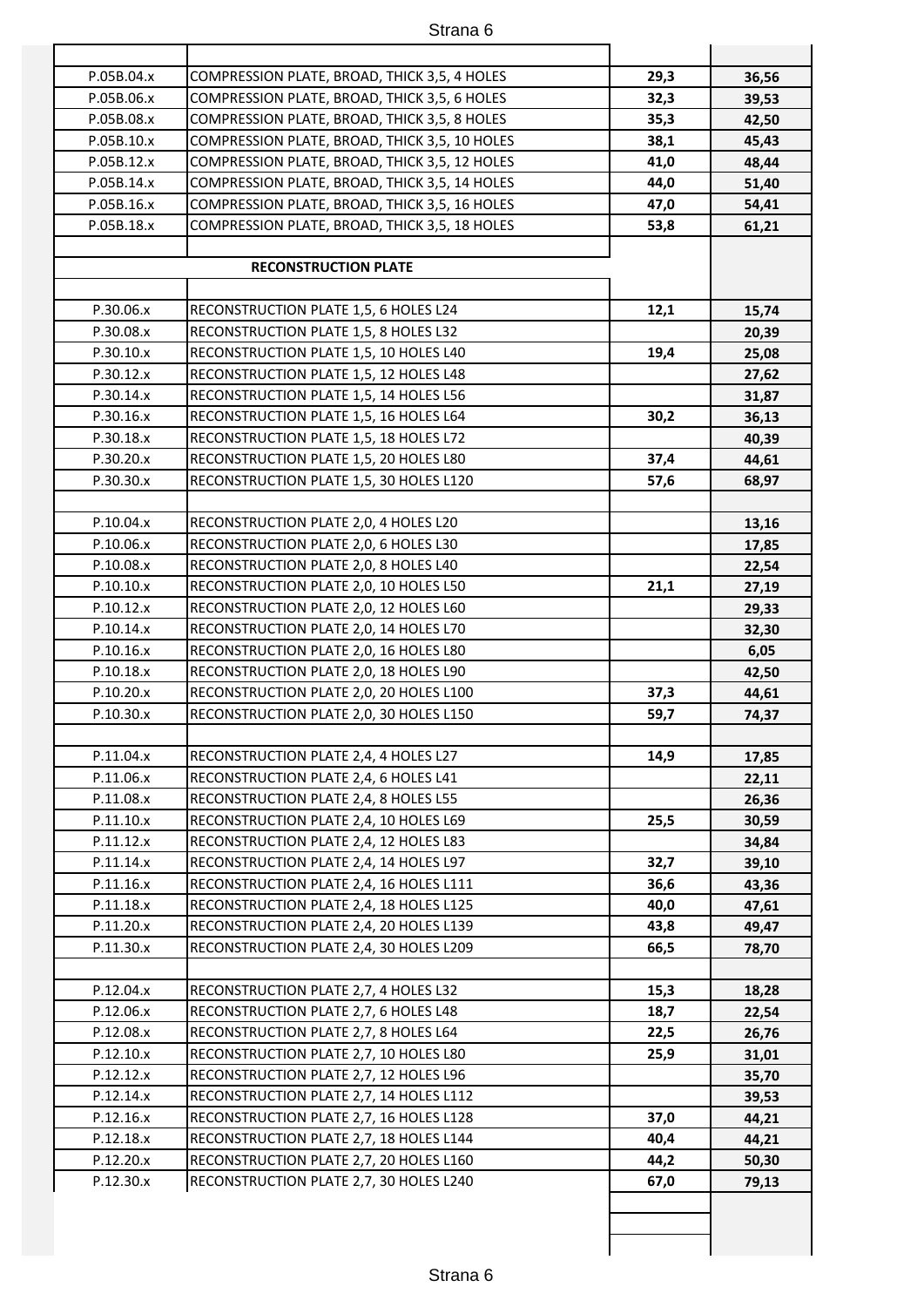| P.05B.04.x | COMPRESSION PLATE, BROAD, THICK 3,5, 4 HOLES  | 29,3 | 36,56 |
|------------|-----------------------------------------------|------|-------|
| P.05B.06.x | COMPRESSION PLATE, BROAD, THICK 3,5, 6 HOLES  | 32,3 | 39,53 |
| P.05B.08.x | COMPRESSION PLATE, BROAD, THICK 3,5, 8 HOLES  | 35,3 | 42,50 |
| P.05B.10.x | COMPRESSION PLATE, BROAD, THICK 3,5, 10 HOLES | 38,1 | 45,43 |
| P.05B.12.x | COMPRESSION PLATE, BROAD, THICK 3,5, 12 HOLES | 41,0 | 48,44 |
| P.05B.14.x | COMPRESSION PLATE, BROAD, THICK 3,5, 14 HOLES | 44,0 | 51,40 |
| P.05B.16.x | COMPRESSION PLATE, BROAD, THICK 3,5, 16 HOLES | 47,0 | 54,41 |
| P.05B.18.x | COMPRESSION PLATE, BROAD, THICK 3,5, 18 HOLES | 53,8 | 61,21 |
|            |                                               |      |       |
|            | <b>RECONSTRUCTION PLATE</b>                   |      |       |
|            |                                               |      |       |
| P.30.06.x  | RECONSTRUCTION PLATE 1,5, 6 HOLES L24         | 12,1 | 15,74 |
| P.30.08.x  | RECONSTRUCTION PLATE 1,5, 8 HOLES L32         |      | 20,39 |
| P.30.10.x  | RECONSTRUCTION PLATE 1,5, 10 HOLES L40        | 19,4 | 25,08 |
| P.30.12.x  | RECONSTRUCTION PLATE 1,5, 12 HOLES L48        |      | 27,62 |
| P.30.14.x  | RECONSTRUCTION PLATE 1,5, 14 HOLES L56        |      | 31,87 |
| P.30.16.x  | RECONSTRUCTION PLATE 1,5, 16 HOLES L64        | 30,2 | 36,13 |
| P.30.18.x  | RECONSTRUCTION PLATE 1,5, 18 HOLES L72        |      | 40,39 |
| P.30.20.x  | RECONSTRUCTION PLATE 1,5, 20 HOLES L80        | 37,4 | 44,61 |
| P.30.30.x  | RECONSTRUCTION PLATE 1,5, 30 HOLES L120       | 57,6 | 68,97 |
|            |                                               |      |       |
| P.10.04.x  | RECONSTRUCTION PLATE 2,0, 4 HOLES L20         |      | 13,16 |
| P.10.06.x  | RECONSTRUCTION PLATE 2,0, 6 HOLES L30         |      | 17,85 |
| P.10.08.x  | RECONSTRUCTION PLATE 2,0, 8 HOLES L40         |      | 22,54 |
| P.10.10.x  | RECONSTRUCTION PLATE 2,0, 10 HOLES L50        | 21,1 | 27,19 |
| P.10.12.x  | RECONSTRUCTION PLATE 2,0, 12 HOLES L60        |      | 29,33 |
| P.10.14.x  | RECONSTRUCTION PLATE 2,0, 14 HOLES L70        |      | 32,30 |
| P.10.16.x  | RECONSTRUCTION PLATE 2,0, 16 HOLES L80        |      | 6,05  |
| P.10.18.x  | RECONSTRUCTION PLATE 2,0, 18 HOLES L90        |      | 42,50 |
| P.10.20.x  | RECONSTRUCTION PLATE 2,0, 20 HOLES L100       | 37,3 | 44,61 |
| P.10.30.x  | RECONSTRUCTION PLATE 2,0, 30 HOLES L150       | 59,7 | 74,37 |
|            |                                               |      |       |
| P.11.04.x  | RECONSTRUCTION PLATE 2,4, 4 HOLES L27         | 14,9 | 17,85 |
| P.11.06.x  | RECONSTRUCTION PLATE 2,4, 6 HOLES L41         |      | 22,11 |
| P.11.08.x  | RECONSTRUCTION PLATE 2,4, 8 HOLES L55         |      | 26,36 |
| P.11.10.x  | RECONSTRUCTION PLATE 2,4, 10 HOLES L69        | 25,5 | 30,59 |
| P.11.12.x  | RECONSTRUCTION PLATE 2,4, 12 HOLES L83        |      | 34,84 |
| P.11.14.x  | RECONSTRUCTION PLATE 2,4, 14 HOLES L97        | 32,7 | 39,10 |
| P.11.16.x  | RECONSTRUCTION PLATE 2,4, 16 HOLES L111       | 36,6 | 43,36 |
| P.11.18.x  | RECONSTRUCTION PLATE 2,4, 18 HOLES L125       | 40,0 | 47,61 |
| P.11.20.x  | RECONSTRUCTION PLATE 2,4, 20 HOLES L139       | 43,8 | 49,47 |
| P.11.30.x  | RECONSTRUCTION PLATE 2,4, 30 HOLES L209       | 66,5 | 78,70 |
|            |                                               |      |       |
| P.12.04.x  | RECONSTRUCTION PLATE 2,7, 4 HOLES L32         | 15,3 | 18,28 |
| P.12.06.x  | RECONSTRUCTION PLATE 2,7, 6 HOLES L48         | 18,7 | 22,54 |
| P.12.08.x  | RECONSTRUCTION PLATE 2,7, 8 HOLES L64         | 22,5 | 26,76 |
| P.12.10.x  | RECONSTRUCTION PLATE 2,7, 10 HOLES L80        | 25,9 | 31,01 |
| P.12.12.x  | RECONSTRUCTION PLATE 2,7, 12 HOLES L96        |      | 35,70 |
| P.12.14.x  | RECONSTRUCTION PLATE 2,7, 14 HOLES L112       |      | 39,53 |
| P.12.16.x  | RECONSTRUCTION PLATE 2,7, 16 HOLES L128       | 37,0 | 44,21 |
| P.12.18.x  | RECONSTRUCTION PLATE 2,7, 18 HOLES L144       | 40,4 | 44,21 |
| P.12.20.x  | RECONSTRUCTION PLATE 2,7, 20 HOLES L160       | 44,2 | 50,30 |
| P.12.30.x  | RECONSTRUCTION PLATE 2,7, 30 HOLES L240       | 67,0 | 79,13 |
|            |                                               |      |       |
|            |                                               |      |       |
|            |                                               |      |       |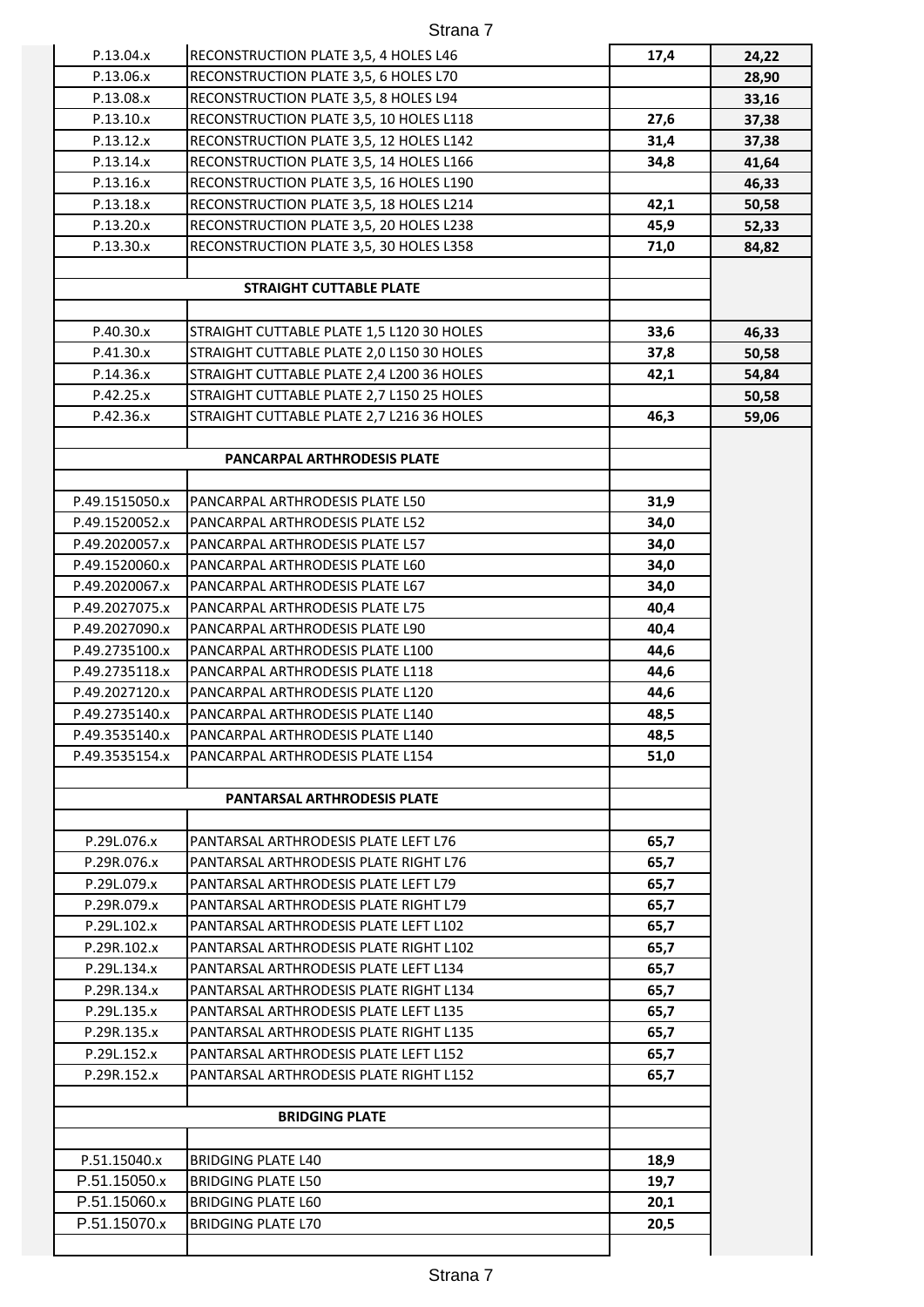| P.13.04.x      | RECONSTRUCTION PLATE 3,5, 4 HOLES L46     | 17,4 | 24,22 |
|----------------|-------------------------------------------|------|-------|
| P.13.06.x      | RECONSTRUCTION PLATE 3,5, 6 HOLES L70     |      | 28,90 |
| P.13.08.x      | RECONSTRUCTION PLATE 3,5, 8 HOLES L94     |      | 33,16 |
| P.13.10.x      | RECONSTRUCTION PLATE 3,5, 10 HOLES L118   | 27,6 | 37,38 |
| P.13.12.x      | RECONSTRUCTION PLATE 3,5, 12 HOLES L142   | 31,4 | 37,38 |
| P.13.14.x      | RECONSTRUCTION PLATE 3,5, 14 HOLES L166   | 34,8 | 41,64 |
| P.13.16.x      | RECONSTRUCTION PLATE 3,5, 16 HOLES L190   |      | 46,33 |
| P.13.18.x      | RECONSTRUCTION PLATE 3,5, 18 HOLES L214   | 42,1 | 50,58 |
| P.13.20.x      | RECONSTRUCTION PLATE 3,5, 20 HOLES L238   | 45,9 | 52,33 |
| P.13.30.x      | RECONSTRUCTION PLATE 3,5, 30 HOLES L358   | 71,0 | 84,82 |
|                |                                           |      |       |
|                | <b>STRAIGHT CUTTABLE PLATE</b>            |      |       |
|                |                                           |      |       |
| P.40.30.x      | STRAIGHT CUTTABLE PLATE 1,5 L120 30 HOLES | 33,6 | 46,33 |
| P.41.30.x      | STRAIGHT CUTTABLE PLATE 2,0 L150 30 HOLES | 37,8 | 50,58 |
| P.14.36.x      | STRAIGHT CUTTABLE PLATE 2,4 L200 36 HOLES | 42,1 | 54,84 |
| P.42.25.x      | STRAIGHT CUTTABLE PLATE 2,7 L150 25 HOLES |      | 50,58 |
| P.42.36.x      | STRAIGHT CUTTABLE PLATE 2,7 L216 36 HOLES | 46,3 | 59,06 |
|                |                                           |      |       |
|                | PANCARPAL ARTHRODESIS PLATE               |      |       |
|                |                                           |      |       |
| P.49.1515050.x | PANCARPAL ARTHRODESIS PLATE L50           | 31,9 |       |
| P.49.1520052.x | PANCARPAL ARTHRODESIS PLATE L52           | 34,0 |       |
| P.49.2020057.x | PANCARPAL ARTHRODESIS PLATE L57           | 34,0 |       |
| P.49.1520060.x | PANCARPAL ARTHRODESIS PLATE L60           | 34,0 |       |
| P.49.2020067.x | PANCARPAL ARTHRODESIS PLATE L67           | 34,0 |       |
| P.49.2027075.x | PANCARPAL ARTHRODESIS PLATE L75           | 40,4 |       |
| P.49.2027090.x | PANCARPAL ARTHRODESIS PLATE L90           | 40,4 |       |
| P.49.2735100.x | PANCARPAL ARTHRODESIS PLATE L100          | 44,6 |       |
| P.49.2735118.x | PANCARPAL ARTHRODESIS PLATE L118          | 44,6 |       |
| P.49.2027120.x | PANCARPAL ARTHRODESIS PLATE L120          | 44,6 |       |
| P.49.2735140.x | PANCARPAL ARTHRODESIS PLATE L140          | 48,5 |       |
| P.49.3535140.x | PANCARPAL ARTHRODESIS PLATE L140          | 48,5 |       |
| P.49.3535154.x | PANCARPAL ARTHRODESIS PLATE L154          | 51,0 |       |
|                | <b>PANTARSAL ARTHRODESIS PLATE</b>        |      |       |
|                |                                           |      |       |
| P.29L.076.x    | PANTARSAL ARTHRODESIS PLATE LEFT L76      | 65,7 |       |
| P.29R.076.x    | PANTARSAL ARTHRODESIS PLATE RIGHT L76     | 65,7 |       |
| P.29L.079.x    | PANTARSAL ARTHRODESIS PLATE LEFT L79      | 65,7 |       |
| P.29R.079.x    | PANTARSAL ARTHRODESIS PLATE RIGHT L79     | 65,7 |       |
| P.29L.102.x    | PANTARSAL ARTHRODESIS PLATE LEFT L102     | 65,7 |       |
| P.29R.102.x    | PANTARSAL ARTHRODESIS PLATE RIGHT L102    | 65,7 |       |
| P.29L.134.x    | PANTARSAL ARTHRODESIS PLATE LEFT L134     | 65,7 |       |
| P.29R.134.x    | PANTARSAL ARTHRODESIS PLATE RIGHT L134    | 65,7 |       |
| P.29L.135.x    | PANTARSAL ARTHRODESIS PLATE LEFT L135     | 65,7 |       |
| P.29R.135.x    | PANTARSAL ARTHRODESIS PLATE RIGHT L135    | 65,7 |       |
| P.29L.152.x    | PANTARSAL ARTHRODESIS PLATE LEFT L152     | 65,7 |       |
| P.29R.152.x    | PANTARSAL ARTHRODESIS PLATE RIGHT L152    | 65,7 |       |
|                |                                           |      |       |
|                | <b>BRIDGING PLATE</b>                     |      |       |
|                |                                           |      |       |
| P.51.15040.x   | <b>BRIDGING PLATE L40</b>                 | 18,9 |       |
| P.51.15050.x   | <b>BRIDGING PLATE L50</b>                 | 19,7 |       |
| P.51.15060.x   | <b>BRIDGING PLATE L60</b>                 | 20,1 |       |
| P.51.15070.x   | <b>BRIDGING PLATE L70</b>                 | 20,5 |       |
|                |                                           |      |       |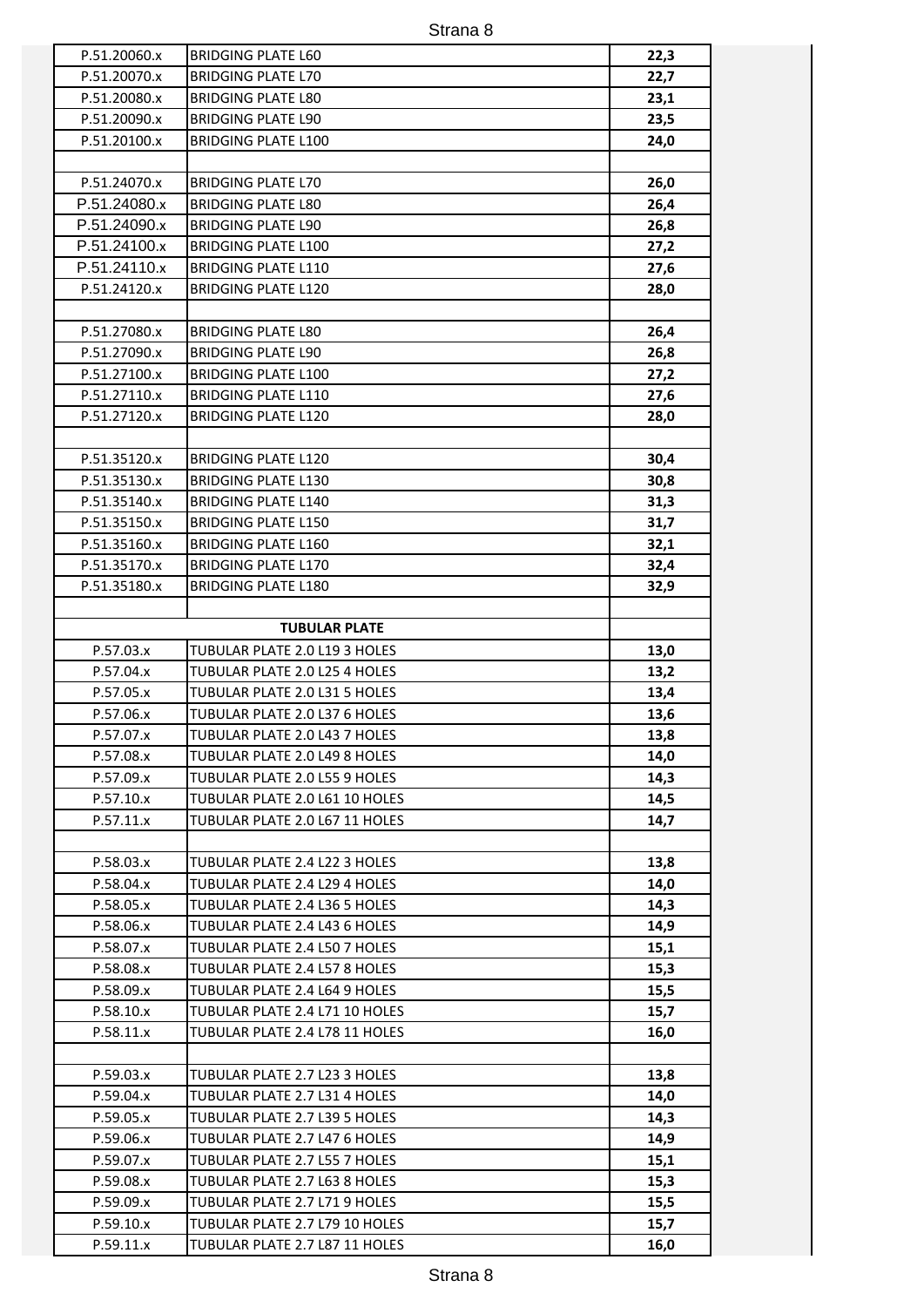| P.51.20060.x | <b>BRIDGING PLATE L60</b>      | 22,3 |
|--------------|--------------------------------|------|
| P.51.20070.x | <b>BRIDGING PLATE L70</b>      | 22,7 |
| P.51.20080.x | <b>BRIDGING PLATE L80</b>      | 23,1 |
| P.51.20090.x | <b>BRIDGING PLATE L90</b>      | 23,5 |
| P.51.20100.x | <b>BRIDGING PLATE L100</b>     | 24,0 |
|              |                                |      |
| P.51.24070.x | <b>BRIDGING PLATE L70</b>      | 26,0 |
| P.51.24080.x | <b>BRIDGING PLATE L80</b>      | 26,4 |
| P.51.24090.x | <b>BRIDGING PLATE L90</b>      | 26,8 |
| P.51.24100.x | <b>BRIDGING PLATE L100</b>     | 27,2 |
| P.51.24110.x | <b>BRIDGING PLATE L110</b>     | 27,6 |
| P.51.24120.x | <b>BRIDGING PLATE L120</b>     | 28,0 |
|              |                                |      |
| P.51.27080.x | <b>BRIDGING PLATE L80</b>      | 26,4 |
| P.51.27090.x | <b>BRIDGING PLATE L90</b>      | 26,8 |
| P.51.27100.x | <b>BRIDGING PLATE L100</b>     | 27,2 |
| P.51.27110.x | <b>BRIDGING PLATE L110</b>     | 27,6 |
| P.51.27120.x | <b>BRIDGING PLATE L120</b>     | 28,0 |
|              |                                |      |
| P.51.35120.x | <b>BRIDGING PLATE L120</b>     | 30,4 |
| P.51.35130.x | <b>BRIDGING PLATE L130</b>     | 30,8 |
| P.51.35140.x | <b>BRIDGING PLATE L140</b>     | 31,3 |
| P.51.35150.x | <b>BRIDGING PLATE L150</b>     | 31,7 |
| P.51.35160.x | <b>BRIDGING PLATE L160</b>     | 32,1 |
| P.51.35170.x | <b>BRIDGING PLATE L170</b>     | 32,4 |
| P.51.35180.x | <b>BRIDGING PLATE L180</b>     | 32,9 |
|              |                                |      |
|              | <b>TUBULAR PLATE</b>           |      |
| P.57.03.x    | TUBULAR PLATE 2.0 L19 3 HOLES  | 13,0 |
| P.57.04.x    | TUBULAR PLATE 2.0 L25 4 HOLES  | 13,2 |
| P.57.05.x    | TUBULAR PLATE 2.0 L31 5 HOLES  | 13,4 |
| P.57.06.x    | TUBULAR PLATE 2.0 L37 6 HOLES  | 13,6 |
| P.57.07.x    | TUBULAR PLATE 2.0 L43 7 HOLES  |      |
|              |                                | 13,8 |
| P.57.08.x    | TUBULAR PLATE 2.0 L49 8 HOLES  | 14,0 |
| P.57.09.x    | TUBULAR PLATE 2.0 L55 9 HOLES  | 14,3 |
| P.57.10.x    | TUBULAR PLATE 2.0 L61 10 HOLES | 14,5 |
| P.57.11.x    | TUBULAR PLATE 2.0 L67 11 HOLES | 14,7 |
|              |                                |      |
| P.58.03.x    | TUBULAR PLATE 2.4 L22 3 HOLES  | 13,8 |
| P.58.04.x    | TUBULAR PLATE 2.4 L29 4 HOLES  | 14,0 |
| P.58.05.x    | TUBULAR PLATE 2.4 L36 5 HOLES  | 14,3 |
| P.58.06.x    | TUBULAR PLATE 2.4 L43 6 HOLES  | 14,9 |
| P.58.07.x    | TUBULAR PLATE 2.4 L50 7 HOLES  | 15,1 |
| P.58.08.x    | TUBULAR PLATE 2.4 L57 8 HOLES  | 15,3 |
| P.58.09.x    | TUBULAR PLATE 2.4 L64 9 HOLES  | 15,5 |
| P.58.10.x    | TUBULAR PLATE 2.4 L71 10 HOLES | 15,7 |
| P.58.11.x    | TUBULAR PLATE 2.4 L78 11 HOLES | 16,0 |
|              |                                |      |
| P.59.03.x    | TUBULAR PLATE 2.7 L23 3 HOLES  | 13,8 |
| P.59.04.x    | TUBULAR PLATE 2.7 L31 4 HOLES  | 14,0 |
| P.59.05.x    | TUBULAR PLATE 2.7 L39 5 HOLES  | 14,3 |
| P.59.06.x    | TUBULAR PLATE 2.7 L47 6 HOLES  | 14,9 |
| P.59.07.x    | TUBULAR PLATE 2.7 L55 7 HOLES  | 15,1 |
| P.59.08.x    | TUBULAR PLATE 2.7 L63 8 HOLES  | 15,3 |
| P.59.09.x    | TUBULAR PLATE 2.7 L71 9 HOLES  | 15,5 |
| P.59.10.x    | TUBULAR PLATE 2.7 L79 10 HOLES | 15,7 |
| P.59.11.x    | TUBULAR PLATE 2.7 L87 11 HOLES | 16,0 |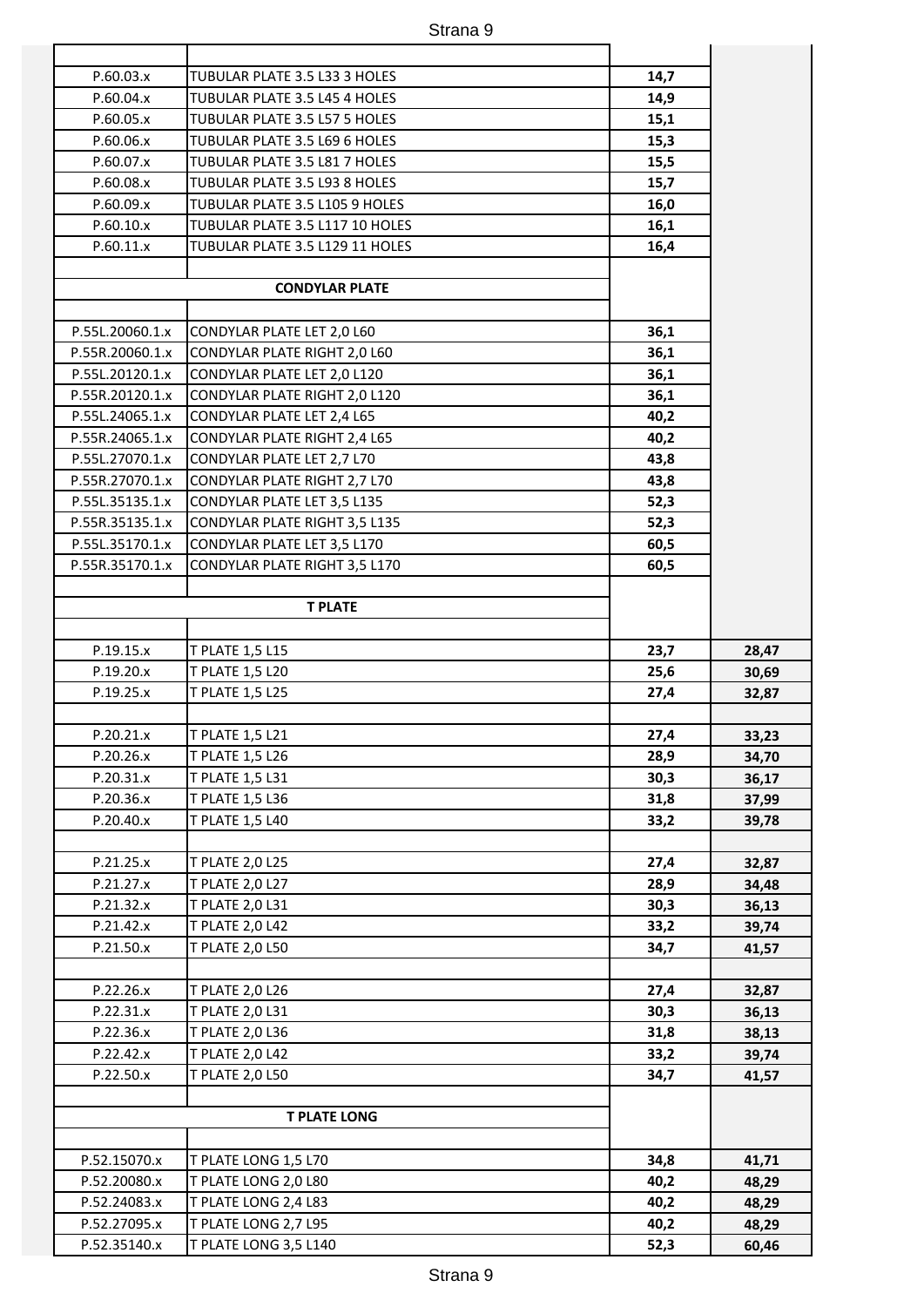| P.60.03.x       | TUBULAR PLATE 3.5 L33 3 HOLES   | 14,7 |       |
|-----------------|---------------------------------|------|-------|
| P.60.04.x       | TUBULAR PLATE 3.5 L45 4 HOLES   | 14,9 |       |
| P.60.05.x       | TUBULAR PLATE 3.5 L57 5 HOLES   | 15,1 |       |
| P.60.06.x       | TUBULAR PLATE 3.5 L69 6 HOLES   | 15,3 |       |
| P.60.07.x       | TUBULAR PLATE 3.5 L81 7 HOLES   | 15,5 |       |
| P.60.08.x       | TUBULAR PLATE 3.5 L93 8 HOLES   | 15,7 |       |
| P.60.09.x       | TUBULAR PLATE 3.5 L105 9 HOLES  | 16,0 |       |
| P.60.10.x       | TUBULAR PLATE 3.5 L117 10 HOLES | 16,1 |       |
| P.60.11.x       | TUBULAR PLATE 3.5 L129 11 HOLES | 16,4 |       |
|                 |                                 |      |       |
|                 | <b>CONDYLAR PLATE</b>           |      |       |
|                 |                                 |      |       |
| P.55L.20060.1.x | CONDYLAR PLATE LET 2,0 L60      | 36,1 |       |
| P.55R.20060.1.x | CONDYLAR PLATE RIGHT 2,0 L60    | 36,1 |       |
| P.55L.20120.1.x | CONDYLAR PLATE LET 2,0 L120     | 36,1 |       |
| P.55R.20120.1.x | CONDYLAR PLATE RIGHT 2,0 L120   | 36,1 |       |
| P.55L.24065.1.x | CONDYLAR PLATE LET 2,4 L65      | 40,2 |       |
| P.55R.24065.1.x | CONDYLAR PLATE RIGHT 2,4 L65    | 40,2 |       |
| P.55L.27070.1.x | CONDYLAR PLATE LET 2,7 L70      | 43,8 |       |
| P.55R.27070.1.x | CONDYLAR PLATE RIGHT 2,7 L70    | 43,8 |       |
| P.55L.35135.1.x | CONDYLAR PLATE LET 3,5 L135     | 52,3 |       |
| P.55R.35135.1.x | CONDYLAR PLATE RIGHT 3,5 L135   | 52,3 |       |
| P.55L.35170.1.x | CONDYLAR PLATE LET 3,5 L170     | 60,5 |       |
| P.55R.35170.1.x | CONDYLAR PLATE RIGHT 3,5 L170   | 60,5 |       |
|                 |                                 |      |       |
|                 | <b>T PLATE</b>                  |      |       |
|                 |                                 |      |       |
| P.19.15.x       | T PLATE 1,5 L15                 | 23,7 | 28,47 |
| P.19.20.x       | T PLATE 1,5 L20                 | 25,6 | 30,69 |
| P.19.25.x       | T PLATE 1,5 L25                 | 27,4 | 32,87 |
|                 |                                 |      |       |
| P.20.21.x       | <b>T PLATE 1,5 L21</b>          | 27,4 | 33,23 |
| P.20.26.x       | T PLATE 1,5 L26                 | 28,9 | 34,70 |
| P.20.31.x       | T PLATE 1,5 L31                 | 30,3 | 36,17 |
| P.20.36.x       | T PLATE 1,5 L36                 | 31,8 | 37,99 |
| P.20.40.x       | T PLATE 1,5 L40                 | 33,2 | 39,78 |
|                 |                                 |      |       |
| P.21.25.x       | T PLATE 2,0 L25                 | 27,4 | 32,87 |
| P.21.27.x       | T PLATE 2,0 L27                 | 28,9 | 34,48 |
| P.21.32.x       | T PLATE 2,0 L31                 | 30,3 | 36,13 |
| P.21.42.x       | T PLATE 2,0 L42                 | 33,2 | 39,74 |
| P.21.50.x       | T PLATE 2,0 L50                 | 34,7 | 41,57 |
|                 |                                 |      |       |
| P.22.26.x       | T PLATE 2,0 L26                 | 27,4 | 32,87 |
| P.22.31.x       | T PLATE 2,0 L31                 | 30,3 | 36,13 |
| P.22.36.x       | T PLATE 2,0 L36                 | 31,8 | 38,13 |
| P.22.42.x       | T PLATE 2,0 L42                 | 33,2 | 39,74 |
| P.22.50.x       | T PLATE 2,0 L50                 | 34,7 | 41,57 |
|                 | <b>T PLATE LONG</b>             |      |       |
|                 |                                 |      |       |
| P.52.15070.x    | T PLATE LONG 1,5 L70            | 34,8 | 41,71 |
| P.52.20080.x    | T PLATE LONG 2,0 L80            | 40,2 | 48,29 |
| P.52.24083.x    | T PLATE LONG 2,4 L83            | 40,2 | 48,29 |
| P.52.27095.x    | T PLATE LONG 2,7 L95            | 40,2 | 48,29 |
| P.52.35140.x    | T PLATE LONG 3,5 L140           | 52,3 | 60,46 |
|                 |                                 |      |       |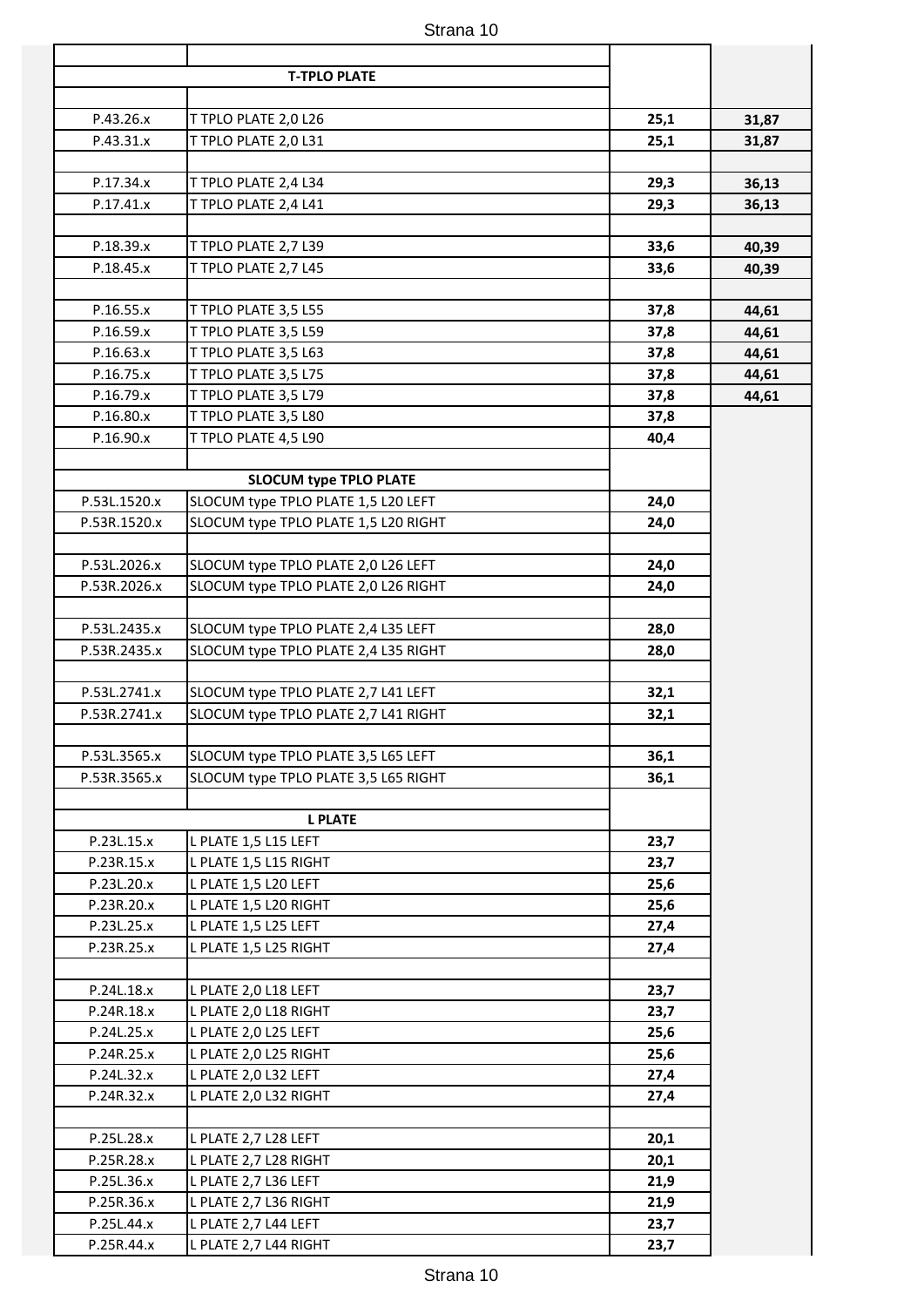|                |              | <b>T-TPLO PLATE</b>                                                         |                              |
|----------------|--------------|-----------------------------------------------------------------------------|------------------------------|
|                |              |                                                                             |                              |
| 31,87          | 25,1         | T TPLO PLATE 2,0 L26                                                        | P.43.26.x                    |
| 31,87          | 25,1         | T TPLO PLATE 2,0 L31                                                        | P.43.31.x                    |
|                |              |                                                                             |                              |
| 36,13          | 29,3         | T TPLO PLATE 2,4 L34                                                        | P.17.34.x                    |
| 36,13          | 29,3         | T TPLO PLATE 2,4 L41                                                        | P.17.41.x                    |
|                |              |                                                                             |                              |
| 40,39          | 33,6         | T TPLO PLATE 2,7 L39                                                        | P.18.39.x                    |
| 40,39          | 33,6         | T TPLO PLATE 2,7 L45                                                        | P.18.45.x                    |
|                |              |                                                                             |                              |
| 44,61<br>44,61 | 37,8<br>37,8 | T TPLO PLATE 3,5 L55<br>T TPLO PLATE 3,5 L59                                | P.16.55.x<br>P.16.59.x       |
| 44,61          | 37,8         | T TPLO PLATE 3,5 L63                                                        | P.16.63.x                    |
| 44,61          | 37,8         | T TPLO PLATE 3,5 L75                                                        | P.16.75.x                    |
| 44,61          | 37,8         | T TPLO PLATE 3,5 L79                                                        | P.16.79.x                    |
|                | 37,8         | T TPLO PLATE 3,5 L80                                                        | P.16.80.x                    |
|                | 40,4         | T TPLO PLATE 4,5 L90                                                        | P.16.90.x                    |
|                |              |                                                                             |                              |
|                |              | <b>SLOCUM type TPLO PLATE</b>                                               |                              |
|                | 24,0         | SLOCUM type TPLO PLATE 1,5 L20 LEFT                                         | P.53L.1520.x                 |
|                | 24,0         | SLOCUM type TPLO PLATE 1,5 L20 RIGHT                                        | P.53R.1520.x                 |
|                |              |                                                                             |                              |
|                | 24,0         | SLOCUM type TPLO PLATE 2,0 L26 LEFT                                         | P.53L.2026.x                 |
|                | 24,0         | SLOCUM type TPLO PLATE 2,0 L26 RIGHT                                        | P.53R.2026.x                 |
|                |              |                                                                             |                              |
|                | 28,0<br>28,0 | SLOCUM type TPLO PLATE 2,4 L35 LEFT<br>SLOCUM type TPLO PLATE 2,4 L35 RIGHT | P.53L.2435.x<br>P.53R.2435.x |
|                |              |                                                                             |                              |
|                | 32,1         | SLOCUM type TPLO PLATE 2,7 L41 LEFT                                         | P.53L.2741.x                 |
|                | 32,1         | SLOCUM type TPLO PLATE 2,7 L41 RIGHT                                        | P.53R.2741.x                 |
|                |              |                                                                             |                              |
|                | 36,1         | SLOCUM type TPLO PLATE 3,5 L65 LEFT                                         | P.53L.3565.x                 |
|                | 36,1         | SLOCUM type TPLO PLATE 3,5 L65 RIGHT                                        | P.53R.3565.x                 |
|                |              |                                                                             |                              |
|                |              | <b>L PLATE</b>                                                              |                              |
|                | 23,7         | L PLATE 1,5 L15 LEFT                                                        | P.23L.15.x                   |
|                | 23,7         | L PLATE 1,5 L15 RIGHT                                                       | P.23R.15.x                   |
|                | 25,6         | L PLATE 1,5 L20 LEFT                                                        | P.23L.20.x<br>P.23R.20.x     |
|                | 25,6<br>27,4 | L PLATE 1,5 L20 RIGHT<br>L PLATE 1,5 L25 LEFT                               | P.23L.25.x                   |
|                | 27,4         | L PLATE 1,5 L25 RIGHT                                                       | P.23R.25.x                   |
|                |              |                                                                             |                              |
|                | 23,7         | L PLATE 2,0 L18 LEFT                                                        | P.24L.18.x                   |
|                | 23,7         | L PLATE 2,0 L18 RIGHT                                                       | P.24R.18.x                   |
|                | 25,6         | L PLATE 2,0 L25 LEFT                                                        | P.24L.25.x                   |
|                | 25,6         | L PLATE 2,0 L25 RIGHT                                                       | P.24R.25.x                   |
|                | 27,4         | L PLATE 2,0 L32 LEFT                                                        | P.24L.32.x                   |
|                | 27,4         | L PLATE 2,0 L32 RIGHT                                                       | P.24R.32.x                   |
|                |              |                                                                             |                              |
|                | 20,1         | L PLATE 2,7 L28 LEFT                                                        | P.25L.28.x                   |
|                | 20,1         | L PLATE 2,7 L28 RIGHT                                                       | P.25R.28.x                   |
|                | 21,9         | L PLATE 2,7 L36 LEFT                                                        | P.25L.36.x                   |
|                | 21,9         | L PLATE 2,7 L36 RIGHT                                                       | P.25R.36.x                   |
|                | 23,7<br>23,7 | L PLATE 2,7 L44 LEFT<br>L PLATE 2,7 L44 RIGHT                               | P.25L.44.x<br>P.25R.44.x     |
|                |              |                                                                             |                              |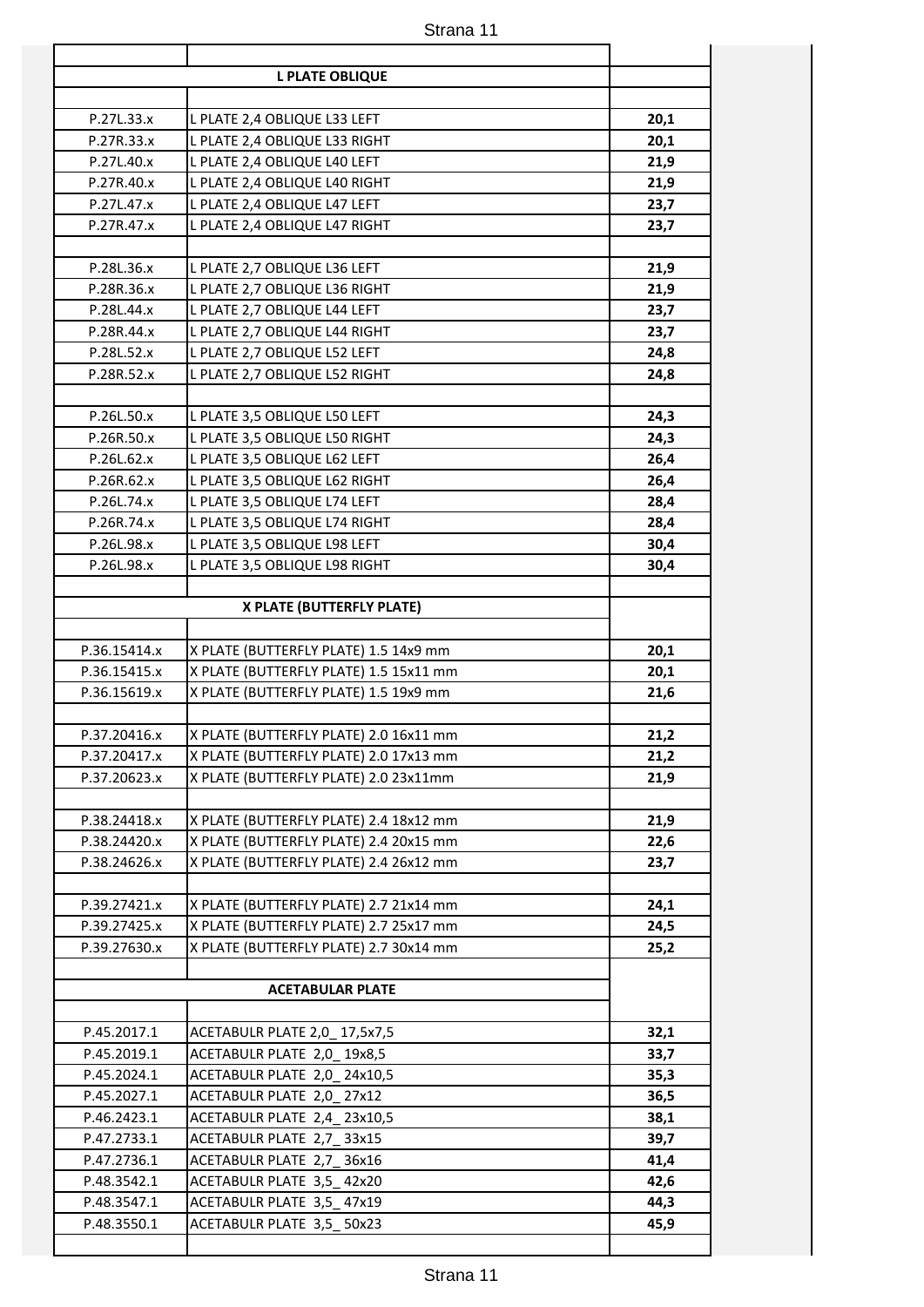|                          | <b>L PLATE OBLIQUE</b>                                        |              |
|--------------------------|---------------------------------------------------------------|--------------|
|                          |                                                               |              |
| P.27L.33.x               | L PLATE 2,4 OBLIQUE L33 LEFT                                  | 20,1         |
| P.27R.33.x               | L PLATE 2,4 OBLIQUE L33 RIGHT                                 | 20,1         |
| P.27L.40.x               | L PLATE 2,4 OBLIQUE L40 LEFT                                  | 21,9         |
| P.27R.40.x               | L PLATE 2,4 OBLIQUE L40 RIGHT                                 | 21,9         |
| P.27L.47.x<br>P.27R.47.x | L PLATE 2,4 OBLIQUE L47 LEFT<br>L PLATE 2,4 OBLIQUE L47 RIGHT | 23,7<br>23,7 |
|                          |                                                               |              |
| P.28L.36.x               | L PLATE 2,7 OBLIQUE L36 LEFT                                  | 21,9         |
| P.28R.36.x               | L PLATE 2,7 OBLIQUE L36 RIGHT                                 | 21,9         |
| P.28L.44.x               | L PLATE 2,7 OBLIQUE L44 LEFT                                  | 23,7         |
| P.28R.44.x               | L PLATE 2,7 OBLIQUE L44 RIGHT                                 | 23,7         |
| P.28L.52.x               | L PLATE 2,7 OBLIQUE L52 LEFT                                  | 24,8         |
| P.28R.52.x               | L PLATE 2,7 OBLIQUE L52 RIGHT                                 | 24,8         |
|                          |                                                               |              |
| P.26L.50.x               | L PLATE 3,5 OBLIQUE L50 LEFT                                  | 24,3         |
| P.26R.50.x               | L PLATE 3,5 OBLIQUE L50 RIGHT                                 | 24,3         |
| P.26L.62.x               | L PLATE 3,5 OBLIQUE L62 LEFT                                  | 26,4         |
| P.26R.62.x               | L PLATE 3,5 OBLIQUE L62 RIGHT                                 | 26,4         |
| P.26L.74.x               | L PLATE 3,5 OBLIQUE L74 LEFT                                  | 28,4         |
| P.26R.74.x               | L PLATE 3,5 OBLIQUE L74 RIGHT                                 | 28,4         |
| P.26L.98.x               | L PLATE 3,5 OBLIQUE L98 LEFT                                  | 30,4         |
| P.26L.98.x               | L PLATE 3,5 OBLIQUE L98 RIGHT                                 | 30,4         |
|                          |                                                               |              |
|                          | X PLATE (BUTTERFLY PLATE)                                     |              |
| P.36.15414.x             | X PLATE (BUTTERFLY PLATE) 1.5 14x9 mm                         | 20,1         |
| P.36.15415.x             | X PLATE (BUTTERFLY PLATE) 1.5 15x11 mm                        | 20,1         |
| P.36.15619.x             | X PLATE (BUTTERFLY PLATE) 1.5 19x9 mm                         | 21,6         |
|                          |                                                               |              |
| P.37.20416.x             | X PLATE (BUTTERFLY PLATE) 2.0 16x11 mm                        | 21,2         |
| P.37.20417.x             | X PLATE (BUTTERFLY PLATE) 2.0 17x13 mm                        | 21,2         |
| P.37.20623.x             | X PLATE (BUTTERFLY PLATE) 2.0 23x11mm                         | 21,9         |
|                          |                                                               |              |
| P.38.24418.x             | X PLATE (BUTTERFLY PLATE) 2.4 18x12 mm                        | 21,9         |
| P.38.24420.x             | X PLATE (BUTTERFLY PLATE) 2.4 20x15 mm                        | 22,6         |
| P.38.24626.x             | X PLATE (BUTTERFLY PLATE) 2.4 26x12 mm                        | 23,7         |
| P.39.27421.x             | X PLATE (BUTTERFLY PLATE) 2.7 21x14 mm                        | 24,1         |
| P.39.27425.x             | X PLATE (BUTTERFLY PLATE) 2.7 25x17 mm                        | 24,5         |
| P.39.27630.x             | X PLATE (BUTTERFLY PLATE) 2.7 30x14 mm                        | 25,2         |
|                          |                                                               |              |
|                          | <b>ACETABULAR PLATE</b>                                       |              |
|                          |                                                               |              |
| P.45.2017.1              | ACETABULR PLATE 2,0_17,5x7,5                                  | 32,1         |
| P.45.2019.1              | ACETABULR PLATE 2,0_19x8,5                                    | 33,7         |
| P.45.2024.1              | ACETABULR PLATE 2,0_24x10,5                                   | 35,3         |
| P.45.2027.1              | ACETABULR PLATE 2,0 27x12                                     | 36,5         |
| P.46.2423.1              | ACETABULR PLATE 2,4_23x10,5                                   | 38,1         |
| P.47.2733.1              | ACETABULR PLATE 2,7_33x15                                     | 39,7         |
| P.47.2736.1              | ACETABULR PLATE 2,7_36x16                                     | 41,4         |
| P.48.3542.1              | ACETABULR PLATE 3,5_42x20                                     | 42,6         |
| P.48.3547.1              | ACETABULR PLATE 3,5_47x19                                     | 44,3         |
| P.48.3550.1              | ACETABULR PLATE 3,5_50x23                                     | 45,9         |
|                          |                                                               |              |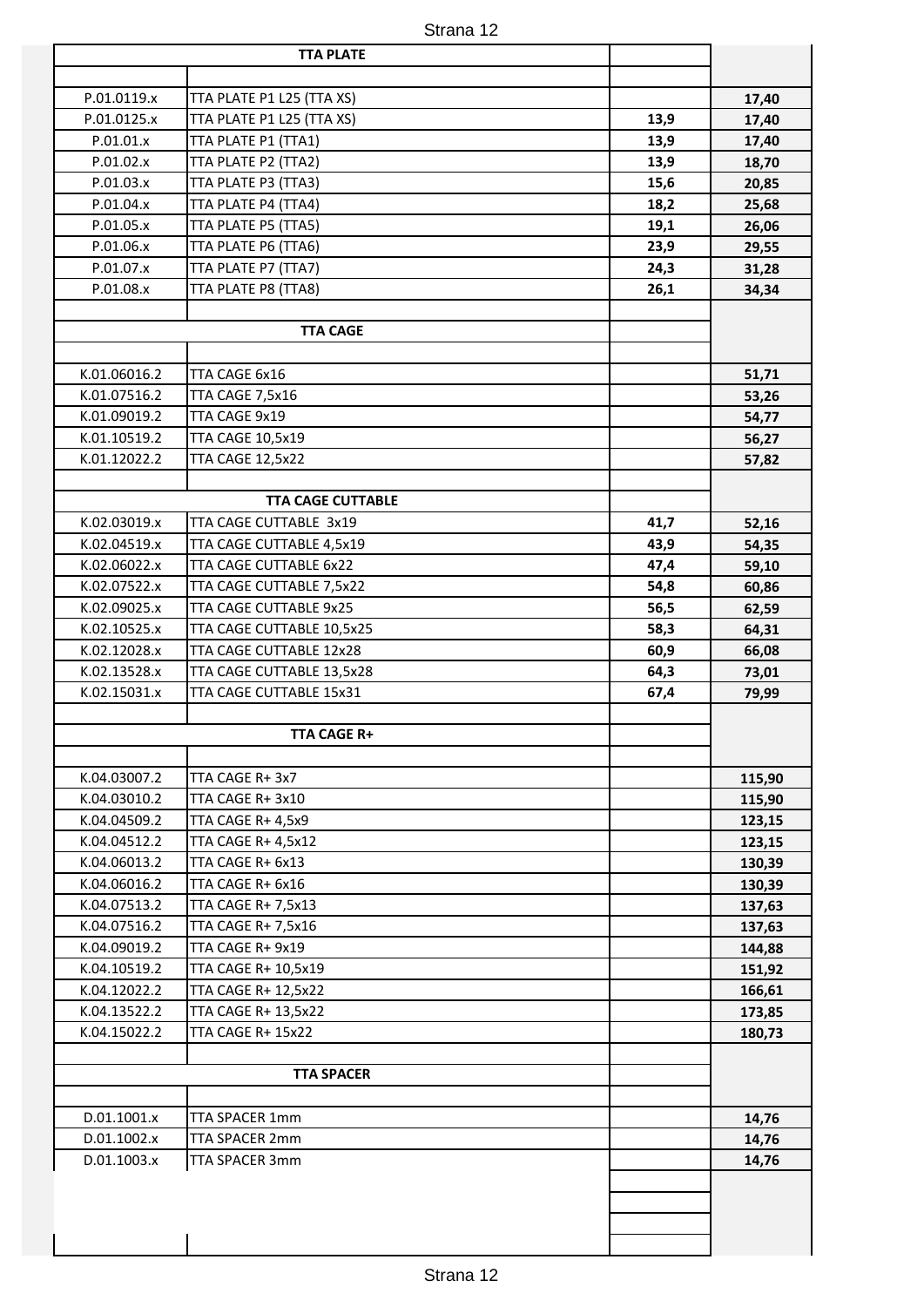|              | <b>TTA PLATE</b>          |      |        |
|--------------|---------------------------|------|--------|
|              |                           |      |        |
| P.01.0119.x  | TTA PLATE P1 L25 (TTA XS) |      | 17,40  |
| P.01.0125.x  | TTA PLATE P1 L25 (TTA XS) | 13,9 | 17,40  |
| P.01.01.x    | TTA PLATE P1 (TTA1)       | 13,9 | 17,40  |
| P.01.02.x    | TTA PLATE P2 (TTA2)       | 13,9 | 18,70  |
| P.01.03.x    | TTA PLATE P3 (TTA3)       | 15,6 | 20,85  |
| P.01.04.x    | TTA PLATE P4 (TTA4)       | 18,2 | 25,68  |
| P.01.05.x    | TTA PLATE P5 (TTA5)       | 19,1 | 26,06  |
| P.01.06.x    | TTA PLATE P6 (TTA6)       | 23,9 | 29,55  |
| P.01.07.x    | TTA PLATE P7 (TTA7)       | 24,3 | 31,28  |
| P.01.08.x    | TTA PLATE P8 (TTA8)       | 26,1 | 34,34  |
|              |                           |      |        |
|              | <b>TTA CAGE</b>           |      |        |
|              |                           |      |        |
| K.01.06016.2 | TTA CAGE 6x16             |      | 51,71  |
| K.01.07516.2 | TTA CAGE 7,5x16           |      | 53,26  |
| K.01.09019.2 | TTA CAGE 9x19             |      | 54,77  |
| K.01.10519.2 | <b>TTA CAGE 10,5x19</b>   |      | 56,27  |
| K.01.12022.2 | <b>TTA CAGE 12,5x22</b>   |      | 57,82  |
|              |                           |      |        |
|              | <b>TTA CAGE CUTTABLE</b>  |      |        |
| K.02.03019.x | TTA CAGE CUTTABLE 3x19    | 41,7 | 52,16  |
| K.02.04519.x | TTA CAGE CUTTABLE 4,5x19  | 43,9 | 54,35  |
| K.02.06022.x | TTA CAGE CUTTABLE 6x22    | 47,4 | 59,10  |
| K.02.07522.x | TTA CAGE CUTTABLE 7,5x22  | 54,8 | 60,86  |
| K.02.09025.x | TTA CAGE CUTTABLE 9x25    | 56,5 | 62,59  |
| K.02.10525.x | TTA CAGE CUTTABLE 10,5x25 | 58,3 | 64,31  |
| K.02.12028.x | TTA CAGE CUTTABLE 12x28   | 60,9 | 66,08  |
| K.02.13528.x | TTA CAGE CUTTABLE 13,5x28 | 64,3 | 73,01  |
| K.02.15031.x | TTA CAGE CUTTABLE 15x31   | 67,4 | 79,99  |
|              |                           |      |        |
|              | <b>TTA CAGE R+</b>        |      |        |
|              |                           |      |        |
| K.04.03007.2 | TTA CAGE R+ 3x7           |      | 115,90 |
| K.04.03010.2 | TTA CAGE R+3x10           |      | 115,90 |
| K.04.04509.2 | TTA CAGE R+ 4,5x9         |      | 123,15 |
| K.04.04512.2 | <b>TTA CAGE R+ 4,5x12</b> |      | 123,15 |
| K.04.06013.2 | TTA CAGE R+ 6x13          |      | 130,39 |
| K.04.06016.2 | TTA CAGE R+ 6x16          |      | 130,39 |
| K.04.07513.2 | TTA CAGE R+ 7,5x13        |      | 137,63 |
| K.04.07516.2 | TTA CAGE R+ 7,5x16        |      | 137,63 |
| K.04.09019.2 | TTA CAGE R+ 9x19          |      | 144,88 |
| K.04.10519.2 | TTA CAGE R+ 10,5x19       |      | 151,92 |
| K.04.12022.2 | TTA CAGE R+ 12,5x22       |      | 166,61 |
| K.04.13522.2 | TTA CAGE R+ 13,5x22       |      | 173,85 |
| K.04.15022.2 | TTA CAGE R+ 15x22         |      | 180,73 |
|              |                           |      |        |
|              | <b>TTA SPACER</b>         |      |        |
|              |                           |      |        |
| D.01.1001.x  | TTA SPACER 1mm            |      | 14,76  |
| D.01.1002.x  | TTA SPACER 2mm            |      | 14,76  |
| D.01.1003.x  | TTA SPACER 3mm            |      | 14,76  |
|              |                           |      |        |
|              |                           |      |        |
|              |                           |      |        |
|              |                           |      |        |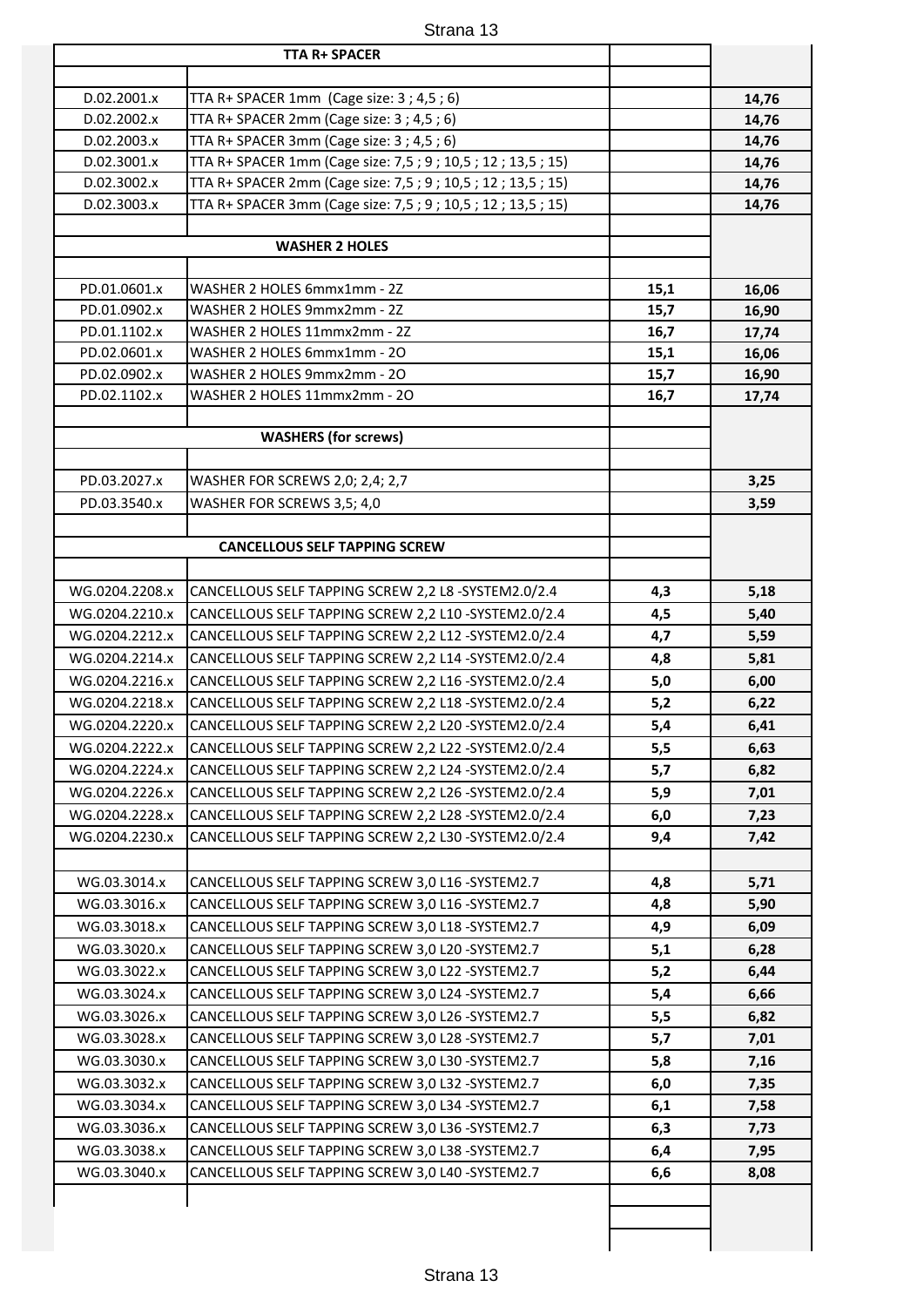|                | <b>TTA R+ SPACER</b>                                           |      |       |
|----------------|----------------------------------------------------------------|------|-------|
|                |                                                                |      |       |
| D.02.2001.x    | TTA R+ SPACER 1mm (Cage size: 3; 4,5; 6)                       |      | 14,76 |
| D.02.2002.x    | TTA R+ SPACER 2mm (Cage size: 3; 4,5; 6)                       |      | 14,76 |
| D.02.2003.x    | TTA R+ SPACER 3mm (Cage size: 3; 4,5; 6)                       |      | 14,76 |
| D.02.3001.x    | TTA R+ SPACER 1mm (Cage size: 7,5 ; 9 ; 10,5 ; 12 ; 13,5 ; 15) |      | 14,76 |
| D.02.3002.x    | TTA R+ SPACER 2mm (Cage size: 7,5 ; 9 ; 10,5 ; 12 ; 13,5 ; 15) |      | 14,76 |
| D.02.3003.x    | TTA R+ SPACER 3mm (Cage size: 7,5 ; 9 ; 10,5 ; 12 ; 13,5 ; 15) |      | 14,76 |
|                |                                                                |      |       |
|                | <b>WASHER 2 HOLES</b>                                          |      |       |
|                |                                                                |      |       |
| PD.01.0601.x   | WASHER 2 HOLES 6mmx1mm - 2Z                                    | 15,1 | 16,06 |
| PD.01.0902.x   | WASHER 2 HOLES 9mmx2mm - 2Z                                    | 15,7 | 16,90 |
| PD.01.1102.x   | WASHER 2 HOLES 11mmx2mm - 2Z                                   | 16,7 | 17,74 |
| PD.02.0601.x   | WASHER 2 HOLES 6mmx1mm - 20                                    | 15,1 | 16,06 |
| PD.02.0902.x   | WASHER 2 HOLES 9mmx2mm - 20                                    | 15,7 | 16,90 |
| PD.02.1102.x   | WASHER 2 HOLES 11mmx2mm - 20                                   | 16,7 | 17,74 |
|                |                                                                |      |       |
|                | <b>WASHERS (for screws)</b>                                    |      |       |
|                |                                                                |      |       |
| PD.03.2027.x   | WASHER FOR SCREWS 2,0; 2,4; 2,7                                |      | 3,25  |
| PD.03.3540.x   | WASHER FOR SCREWS 3,5; 4,0                                     |      | 3,59  |
|                |                                                                |      |       |
|                | <b>CANCELLOUS SELF TAPPING SCREW</b>                           |      |       |
|                |                                                                |      |       |
| WG.0204.2208.x | CANCELLOUS SELF TAPPING SCREW 2,2 L8 -SYSTEM2.0/2.4            | 4,3  | 5,18  |
| WG.0204.2210.x | CANCELLOUS SELF TAPPING SCREW 2,2 L10 -SYSTEM2.0/2.4           | 4,5  | 5,40  |
| WG.0204.2212.x | CANCELLOUS SELF TAPPING SCREW 2,2 L12 -SYSTEM2.0/2.4           | 4,7  | 5,59  |
| WG.0204.2214.x | CANCELLOUS SELF TAPPING SCREW 2,2 L14 -SYSTEM2.0/2.4           | 4,8  | 5,81  |
| WG.0204.2216.x | CANCELLOUS SELF TAPPING SCREW 2,2 L16 -SYSTEM2.0/2.4           | 5,0  | 6,00  |
| WG.0204.2218.x | CANCELLOUS SELF TAPPING SCREW 2,2 L18 -SYSTEM2.0/2.4           | 5,2  | 6,22  |
| WG.0204.2220.x | CANCELLOUS SELF TAPPING SCREW 2,2 L20 -SYSTEM2.0/2.4           | 5,4  | 6,41  |
| WG.0204.2222.x | CANCELLOUS SELF TAPPING SCREW 2,2 L22 -SYSTEM2.0/2.4           | 5,5  | 6,63  |
| WG.0204.2224.x | CANCELLOUS SELF TAPPING SCREW 2,2 L24 -SYSTEM2.0/2.4           | 5,7  | 6,82  |
| WG.0204.2226.x | CANCELLOUS SELF TAPPING SCREW 2,2 L26 -SYSTEM2.0/2.4           | 5,9  | 7,01  |
| WG.0204.2228.x | CANCELLOUS SELF TAPPING SCREW 2,2 L28 -SYSTEM2.0/2.4           | 6,0  | 7,23  |
| WG.0204.2230.x | CANCELLOUS SELF TAPPING SCREW 2,2 L30 -SYSTEM2.0/2.4           | 9,4  | 7,42  |
|                |                                                                |      |       |
| WG.03.3014.x   | CANCELLOUS SELF TAPPING SCREW 3,0 L16 - SYSTEM2.7              | 4,8  | 5,71  |
| WG.03.3016.x   | CANCELLOUS SELF TAPPING SCREW 3,0 L16 - SYSTEM2.7              | 4,8  | 5,90  |
| WG.03.3018.x   | CANCELLOUS SELF TAPPING SCREW 3,0 L18 - SYSTEM2.7              | 4,9  | 6,09  |
| WG.03.3020.x   | CANCELLOUS SELF TAPPING SCREW 3,0 L20 - SYSTEM2.7              | 5,1  | 6,28  |
| WG.03.3022.x   | CANCELLOUS SELF TAPPING SCREW 3,0 L22 - SYSTEM2.7              | 5,2  | 6,44  |
| WG.03.3024.x   | CANCELLOUS SELF TAPPING SCREW 3,0 L24 -SYSTEM2.7               | 5,4  | 6,66  |
| WG.03.3026.x   | CANCELLOUS SELF TAPPING SCREW 3,0 L26 - SYSTEM2.7              | 5,5  | 6,82  |
| WG.03.3028.x   | CANCELLOUS SELF TAPPING SCREW 3,0 L28 -SYSTEM2.7               | 5,7  | 7,01  |
| WG.03.3030.x   | CANCELLOUS SELF TAPPING SCREW 3,0 L30 - SYSTEM2.7              | 5,8  | 7,16  |
| WG.03.3032.x   | CANCELLOUS SELF TAPPING SCREW 3,0 L32 - SYSTEM2.7              | 6,0  | 7,35  |
| WG.03.3034.x   | CANCELLOUS SELF TAPPING SCREW 3,0 L34 - SYSTEM2.7              | 6,1  | 7,58  |
| WG.03.3036.x   | CANCELLOUS SELF TAPPING SCREW 3,0 L36 - SYSTEM2.7              | 6,3  | 7,73  |
| WG.03.3038.x   | CANCELLOUS SELF TAPPING SCREW 3,0 L38 -SYSTEM2.7               | 6,4  | 7,95  |
| WG.03.3040.x   | CANCELLOUS SELF TAPPING SCREW 3,0 L40 - SYSTEM2.7              | 6,6  | 8,08  |
|                |                                                                |      |       |
|                |                                                                |      |       |
|                |                                                                |      |       |
|                |                                                                |      |       |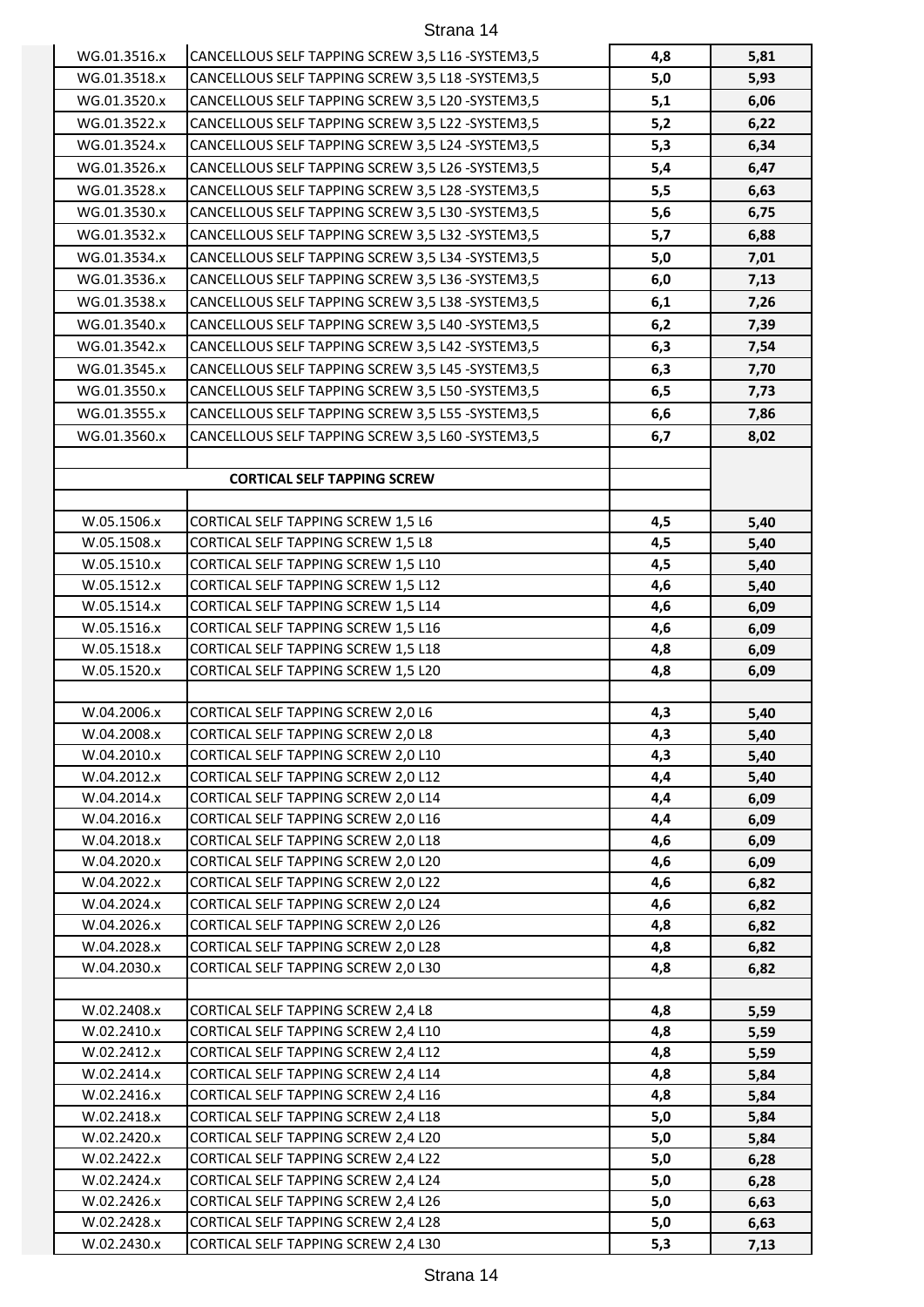| WG.01.3516.x | CANCELLOUS SELF TAPPING SCREW 3,5 L16 - SYSTEM3,5                          | 4,8   | 5,81 |
|--------------|----------------------------------------------------------------------------|-------|------|
| WG.01.3518.x | CANCELLOUS SELF TAPPING SCREW 3,5 L18 - SYSTEM3,5                          | $5,0$ | 5,93 |
| WG.01.3520.x | CANCELLOUS SELF TAPPING SCREW 3,5 L20 -SYSTEM3,5                           | 5,1   | 6,06 |
| WG.01.3522.x | CANCELLOUS SELF TAPPING SCREW 3,5 L22 -SYSTEM3,5                           | 5,2   | 6,22 |
| WG.01.3524.x | CANCELLOUS SELF TAPPING SCREW 3,5 L24 -SYSTEM3,5                           | 5,3   | 6,34 |
| WG.01.3526.x | CANCELLOUS SELF TAPPING SCREW 3,5 L26 -SYSTEM3,5                           | 5,4   | 6,47 |
| WG.01.3528.x | CANCELLOUS SELF TAPPING SCREW 3,5 L28 -SYSTEM3,5                           | 5,5   | 6,63 |
| WG.01.3530.x | CANCELLOUS SELF TAPPING SCREW 3,5 L30 -SYSTEM3,5                           | 5,6   | 6,75 |
| WG.01.3532.x | CANCELLOUS SELF TAPPING SCREW 3,5 L32 -SYSTEM3,5                           | 5,7   | 6,88 |
| WG.01.3534.x | CANCELLOUS SELF TAPPING SCREW 3,5 L34 - SYSTEM3,5                          | $5,0$ | 7,01 |
| WG.01.3536.x | CANCELLOUS SELF TAPPING SCREW 3,5 L36 -SYSTEM3,5                           | 6,0   | 7,13 |
| WG.01.3538.x | CANCELLOUS SELF TAPPING SCREW 3,5 L38 -SYSTEM3,5                           | 6,1   | 7,26 |
| WG.01.3540.x | CANCELLOUS SELF TAPPING SCREW 3,5 L40 - SYSTEM3,5                          | 6,2   | 7,39 |
| WG.01.3542.x | CANCELLOUS SELF TAPPING SCREW 3,5 L42 -SYSTEM3,5                           | 6,3   | 7,54 |
| WG.01.3545.x | CANCELLOUS SELF TAPPING SCREW 3,5 L45 -SYSTEM3,5                           | 6,3   | 7,70 |
| WG.01.3550.x | CANCELLOUS SELF TAPPING SCREW 3,5 L50 -SYSTEM3,5                           | 6,5   | 7,73 |
| WG.01.3555.x | CANCELLOUS SELF TAPPING SCREW 3,5 L55 - SYSTEM3,5                          | 6,6   | 7,86 |
| WG.01.3560.x | CANCELLOUS SELF TAPPING SCREW 3,5 L60 -SYSTEM3,5                           | 6,7   | 8,02 |
|              |                                                                            |       |      |
|              | <b>CORTICAL SELF TAPPING SCREW</b>                                         |       |      |
|              |                                                                            |       |      |
| W.05.1506.x  | CORTICAL SELF TAPPING SCREW 1,5 L6                                         | 4,5   | 5,40 |
| W.05.1508.x  | CORTICAL SELF TAPPING SCREW 1,5 L8                                         | 4,5   | 5,40 |
| W.05.1510.x  | CORTICAL SELF TAPPING SCREW 1,5 L10                                        | 4,5   | 5,40 |
| W.05.1512.x  | CORTICAL SELF TAPPING SCREW 1,5 L12                                        | 4,6   | 5,40 |
| W.05.1514.x  | CORTICAL SELF TAPPING SCREW 1,5 L14                                        | 4,6   | 6,09 |
| W.05.1516.x  | CORTICAL SELF TAPPING SCREW 1,5 L16                                        | 4,6   | 6,09 |
| W.05.1518.x  | CORTICAL SELF TAPPING SCREW 1,5 L18                                        | 4,8   | 6,09 |
| W.05.1520.x  | CORTICAL SELF TAPPING SCREW 1,5 L20                                        | 4,8   | 6,09 |
|              |                                                                            |       |      |
| W.04.2006.x  | CORTICAL SELF TAPPING SCREW 2,0 L6                                         | 4,3   | 5,40 |
| W.04.2008.x  | CORTICAL SELF TAPPING SCREW 2,0 L8                                         | 4,3   | 5,40 |
| W.04.2010.x  | CORTICAL SELF TAPPING SCREW 2,0 L10                                        | 4,3   | 5,40 |
| W.04.2012.x  | CORTICAL SELF TAPPING SCREW 2,0 L12                                        | 4,4   | 5,40 |
| W.04.2014.x  | CORTICAL SELF TAPPING SCREW 2,0 L14                                        | 4,4   | 6,09 |
| W.04.2016.x  | CORTICAL SELF TAPPING SCREW 2,0 L16                                        | 4,4   | 6,09 |
| W.04.2018.x  | CORTICAL SELF TAPPING SCREW 2,0 L18                                        | 4,6   | 6,09 |
| W.04.2020.x  | CORTICAL SELF TAPPING SCREW 2,0 L20                                        | 4,6   | 6,09 |
| W.04.2022.x  | CORTICAL SELF TAPPING SCREW 2,0 L22                                        | 4,6   | 6,82 |
| W.04.2024.x  | CORTICAL SELF TAPPING SCREW 2,0 L24                                        | 4,6   | 6,82 |
| W.04.2026.x  | CORTICAL SELF TAPPING SCREW 2,0 L26                                        | 4,8   | 6,82 |
| W.04.2028.x  | CORTICAL SELF TAPPING SCREW 2,0 L28                                        | 4,8   | 6,82 |
| W.04.2030.x  | CORTICAL SELF TAPPING SCREW 2,0 L30                                        | 4,8   | 6,82 |
|              |                                                                            |       |      |
| W.02.2408.x  | CORTICAL SELF TAPPING SCREW 2,4 L8                                         | 4,8   | 5,59 |
| W.02.2410.x  | CORTICAL SELF TAPPING SCREW 2,4 L10                                        | 4,8   | 5,59 |
| W.02.2412.x  | CORTICAL SELF TAPPING SCREW 2,4 L12                                        | 4,8   | 5,59 |
| W.02.2414.x  | CORTICAL SELF TAPPING SCREW 2,4 L14                                        | 4,8   | 5,84 |
| W.02.2416.x  | CORTICAL SELF TAPPING SCREW 2,4 L16                                        | 4,8   | 5,84 |
| W.02.2418.x  | CORTICAL SELF TAPPING SCREW 2,4 L18                                        | 5,0   | 5,84 |
| W.02.2420.x  | CORTICAL SELF TAPPING SCREW 2,4 L20                                        | 5,0   | 5,84 |
| W.02.2422.x  | CORTICAL SELF TAPPING SCREW 2,4 L22                                        | $5,0$ | 6,28 |
| W.02.2424.x  | CORTICAL SELF TAPPING SCREW 2,4 L24                                        | $5,0$ | 6,28 |
| W.02.2426.x  | CORTICAL SELF TAPPING SCREW 2,4 L26                                        | $5,0$ | 6,63 |
| W.02.2428.x  | CORTICAL SELF TAPPING SCREW 2,4 L28<br>CORTICAL SELF TAPPING SCREW 2,4 L30 | $5,0$ | 6,63 |
| W.02.2430.x  |                                                                            | 5,3   | 7,13 |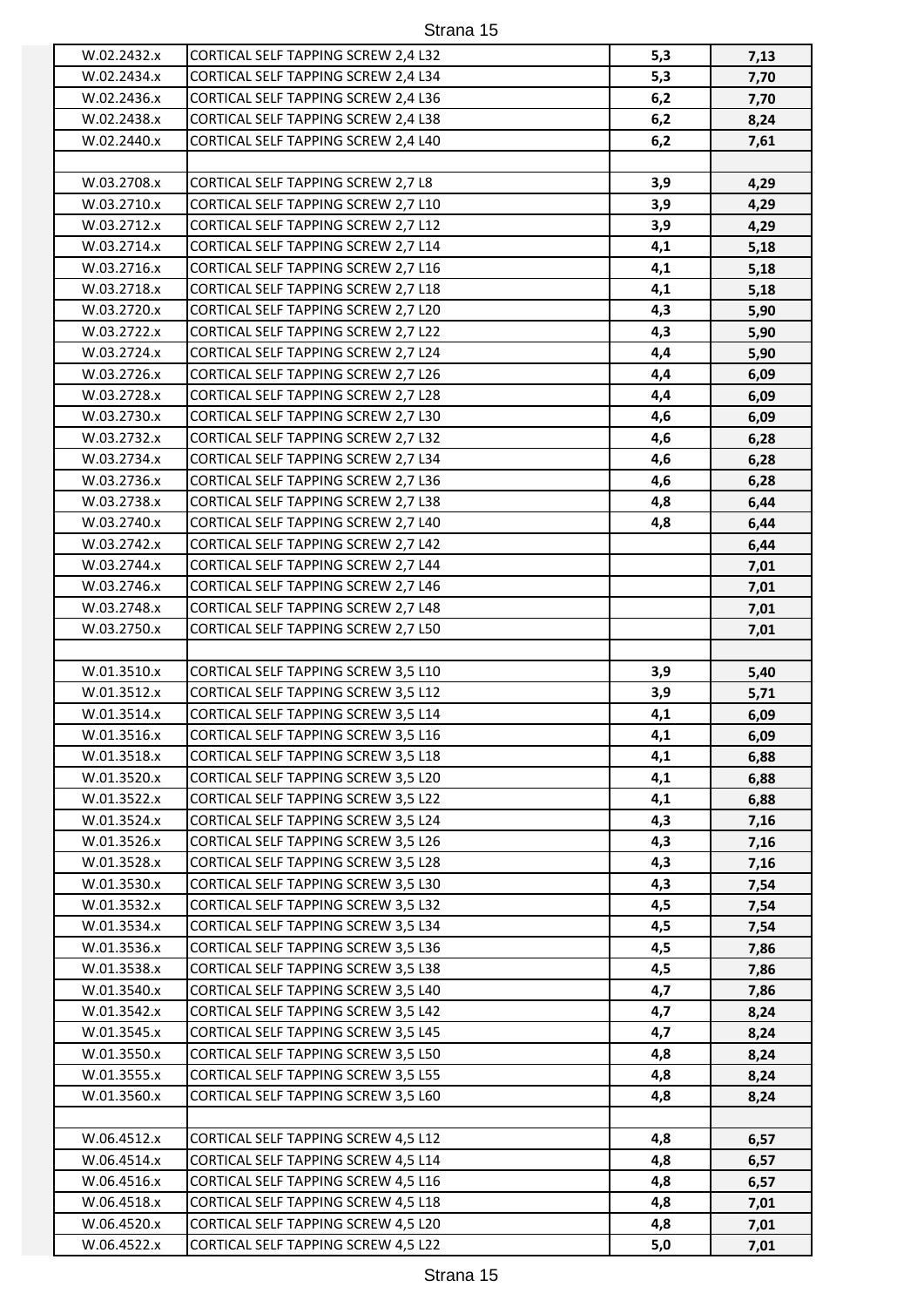| W.02.2432.x | CORTICAL SELF TAPPING SCREW 2,4 L32 | 5,3 | 7,13 |
|-------------|-------------------------------------|-----|------|
| W.02.2434.x | CORTICAL SELF TAPPING SCREW 2,4 L34 | 5,3 | 7,70 |
| W.02.2436.x | CORTICAL SELF TAPPING SCREW 2,4 L36 | 6,2 | 7,70 |
| W.02.2438.x | CORTICAL SELF TAPPING SCREW 2,4 L38 | 6,2 | 8,24 |
| W.02.2440.x | CORTICAL SELF TAPPING SCREW 2,4 L40 | 6,2 | 7,61 |
|             |                                     |     |      |
| W.03.2708.x | CORTICAL SELF TAPPING SCREW 2,7 L8  | 3,9 | 4,29 |
| W.03.2710.x | CORTICAL SELF TAPPING SCREW 2,7 L10 | 3,9 | 4,29 |
| W.03.2712.x | CORTICAL SELF TAPPING SCREW 2,7 L12 | 3,9 | 4,29 |
| W.03.2714.x | CORTICAL SELF TAPPING SCREW 2,7 L14 | 4,1 | 5,18 |
| W.03.2716.x | CORTICAL SELF TAPPING SCREW 2,7 L16 | 4,1 | 5,18 |
| W.03.2718.x | CORTICAL SELF TAPPING SCREW 2,7 L18 | 4,1 | 5,18 |
| W.03.2720.x | CORTICAL SELF TAPPING SCREW 2,7 L20 | 4,3 | 5,90 |
| W.03.2722.x | CORTICAL SELF TAPPING SCREW 2,7 L22 | 4,3 | 5,90 |
| W.03.2724.x | CORTICAL SELF TAPPING SCREW 2,7 L24 | 4,4 | 5,90 |
| W.03.2726.x | CORTICAL SELF TAPPING SCREW 2,7 L26 | 4,4 | 6,09 |
| W.03.2728.x | CORTICAL SELF TAPPING SCREW 2,7 L28 | 4,4 | 6,09 |
| W.03.2730.x | CORTICAL SELF TAPPING SCREW 2,7 L30 | 4,6 | 6,09 |
| W.03.2732.x | CORTICAL SELF TAPPING SCREW 2,7 L32 | 4,6 | 6,28 |
| W.03.2734.x | CORTICAL SELF TAPPING SCREW 2,7 L34 | 4,6 | 6,28 |
| W.03.2736.x | CORTICAL SELF TAPPING SCREW 2,7 L36 | 4,6 | 6,28 |
| W.03.2738.x | CORTICAL SELF TAPPING SCREW 2,7 L38 | 4,8 | 6,44 |
| W.03.2740.x | CORTICAL SELF TAPPING SCREW 2,7 L40 | 4,8 | 6,44 |
| W.03.2742.x | CORTICAL SELF TAPPING SCREW 2,7 L42 |     | 6,44 |
| W.03.2744.x | CORTICAL SELF TAPPING SCREW 2,7 L44 |     | 7,01 |
| W.03.2746.x | CORTICAL SELF TAPPING SCREW 2,7 L46 |     | 7,01 |
| W.03.2748.x | CORTICAL SELF TAPPING SCREW 2,7 L48 |     | 7,01 |
| W.03.2750.x | CORTICAL SELF TAPPING SCREW 2,7 L50 |     | 7,01 |
|             |                                     |     |      |
| W.01.3510.x | CORTICAL SELF TAPPING SCREW 3,5 L10 | 3,9 | 5,40 |
| W.01.3512.x | CORTICAL SELF TAPPING SCREW 3,5 L12 | 3,9 | 5,71 |
| W.01.3514.x | CORTICAL SELF TAPPING SCREW 3,5 L14 | 4,1 | 6,09 |
| W.01.3516.x | CORTICAL SELF TAPPING SCREW 3,5 L16 | 4,1 | 6,09 |
| W.01.3518.x | CORTICAL SELF TAPPING SCREW 3,5 L18 | 4,1 | 6,88 |
| W.01.3520.x | CORTICAL SELF TAPPING SCREW 3,5 L20 | 4,1 | 6,88 |
| W.01.3522.x | CORTICAL SELF TAPPING SCREW 3,5 L22 | 4,1 | 6,88 |
| W.01.3524.x | CORTICAL SELF TAPPING SCREW 3,5 L24 | 4,3 | 7,16 |
| W.01.3526.x | CORTICAL SELF TAPPING SCREW 3,5 L26 | 4,3 | 7,16 |
| W.01.3528.x | CORTICAL SELF TAPPING SCREW 3,5 L28 | 4,3 | 7,16 |
| W.01.3530.x | CORTICAL SELF TAPPING SCREW 3,5 L30 | 4,3 | 7,54 |
| W.01.3532.x | CORTICAL SELF TAPPING SCREW 3,5 L32 | 4,5 | 7,54 |
| W.01.3534.x | CORTICAL SELF TAPPING SCREW 3,5 L34 | 4,5 | 7,54 |
| W.01.3536.x | CORTICAL SELF TAPPING SCREW 3,5 L36 | 4,5 | 7,86 |
| W.01.3538.x | CORTICAL SELF TAPPING SCREW 3,5 L38 | 4,5 | 7,86 |
| W.01.3540.x | CORTICAL SELF TAPPING SCREW 3,5 L40 | 4,7 | 7,86 |
| W.01.3542.x | CORTICAL SELF TAPPING SCREW 3,5 L42 | 4,7 | 8,24 |
| W.01.3545.x | CORTICAL SELF TAPPING SCREW 3,5 L45 | 4,7 | 8,24 |
| W.01.3550.x | CORTICAL SELF TAPPING SCREW 3,5 L50 | 4,8 | 8,24 |
| W.01.3555.x | CORTICAL SELF TAPPING SCREW 3,5 L55 | 4,8 | 8,24 |
| W.01.3560.x | CORTICAL SELF TAPPING SCREW 3,5 L60 | 4,8 | 8,24 |
|             |                                     |     |      |
| W.06.4512.x | CORTICAL SELF TAPPING SCREW 4,5 L12 | 4,8 | 6,57 |
| W.06.4514.x | CORTICAL SELF TAPPING SCREW 4,5 L14 | 4,8 | 6,57 |
| W.06.4516.x | CORTICAL SELF TAPPING SCREW 4,5 L16 | 4,8 | 6,57 |
| W.06.4518.x | CORTICAL SELF TAPPING SCREW 4,5 L18 | 4,8 | 7,01 |

W.06.4520.x CORTICAL SELF TAPPING SCREW 4,5 L20 **4,8 7,01** W.06.4522.x CORTICAL SELF TAPPING SCREW 4,5 L22 **5,0 7,01**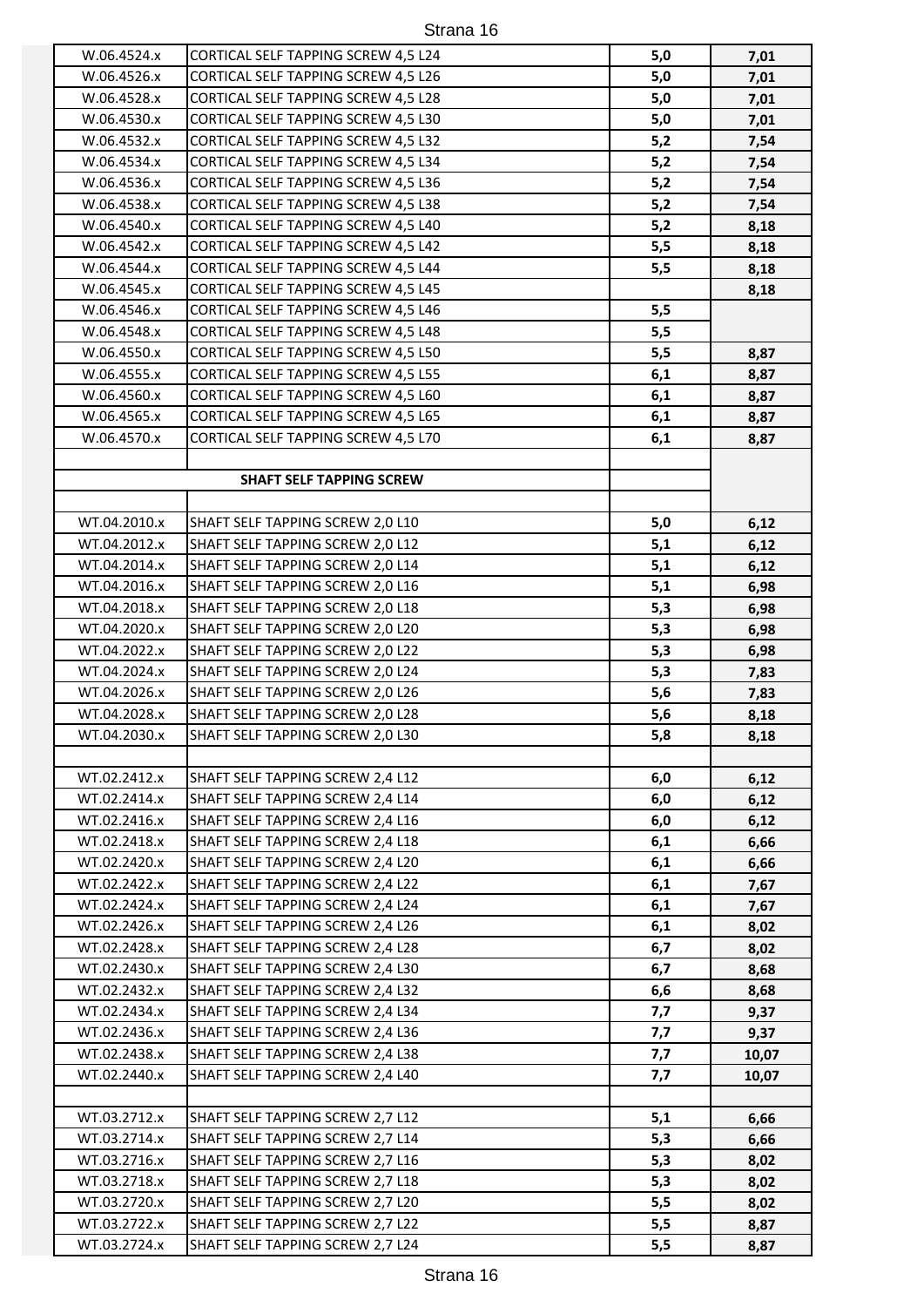| W.06.4524.x                  | <b>CORTICAL SELF TAPPING SCREW 4,5 L24</b>                           | 5,0        | 7,01         |
|------------------------------|----------------------------------------------------------------------|------------|--------------|
| W.06.4526.x                  | CORTICAL SELF TAPPING SCREW 4,5 L26                                  | $5,0$      | 7,01         |
| W.06.4528.x                  | <b>CORTICAL SELF TAPPING SCREW 4,5 L28</b>                           | $5,0$      | 7,01         |
| W.06.4530.x                  | CORTICAL SELF TAPPING SCREW 4,5 L30                                  | $5,0$      | 7,01         |
| W.06.4532.x                  | CORTICAL SELF TAPPING SCREW 4,5 L32                                  | 5,2        | 7,54         |
| W.06.4534.x                  | CORTICAL SELF TAPPING SCREW 4,5 L34                                  | 5,2        | 7,54         |
| W.06.4536.x                  | CORTICAL SELF TAPPING SCREW 4,5 L36                                  | 5,2        | 7,54         |
| W.06.4538.x                  | CORTICAL SELF TAPPING SCREW 4,5 L38                                  | 5,2        | 7,54         |
| W.06.4540.x                  | CORTICAL SELF TAPPING SCREW 4,5 L40                                  | 5,2        | 8,18         |
| W.06.4542.x                  | <b>CORTICAL SELF TAPPING SCREW 4,5 L42</b>                           | 5,5        | 8,18         |
| W.06.4544.x                  | CORTICAL SELF TAPPING SCREW 4,5 L44                                  | 5,5        | 8,18         |
| W.06.4545.x                  | <b>CORTICAL SELF TAPPING SCREW 4,5 L45</b>                           |            | 8,18         |
| W.06.4546.x                  | CORTICAL SELF TAPPING SCREW 4,5 L46                                  | 5,5        |              |
| W.06.4548.x                  | <b>CORTICAL SELF TAPPING SCREW 4,5 L48</b>                           | 5,5        |              |
| W.06.4550.x                  | CORTICAL SELF TAPPING SCREW 4,5 L50                                  | 5,5        | 8,87         |
| W.06.4555.x                  | CORTICAL SELF TAPPING SCREW 4,5 L55                                  | 6,1        | 8,87         |
| W.06.4560.x                  | CORTICAL SELF TAPPING SCREW 4,5 L60                                  | 6,1        | 8,87         |
| W.06.4565.x                  | <b>CORTICAL SELF TAPPING SCREW 4,5 L65</b>                           | 6,1        | 8,87         |
| W.06.4570.x                  | CORTICAL SELF TAPPING SCREW 4,5 L70                                  | 6,1        | 8,87         |
|                              |                                                                      |            |              |
|                              | <b>SHAFT SELF TAPPING SCREW</b>                                      |            |              |
|                              |                                                                      |            |              |
| WT.04.2010.x<br>WT.04.2012.x | SHAFT SELF TAPPING SCREW 2,0 L10<br>SHAFT SELF TAPPING SCREW 2,0 L12 | 5,0<br>5,1 | 6,12         |
| WT.04.2014.x                 |                                                                      | 5,1        | 6,12         |
| WT.04.2016.x                 | SHAFT SELF TAPPING SCREW 2,0 L14<br>SHAFT SELF TAPPING SCREW 2,0 L16 | 5,1        | 6,12         |
| WT.04.2018.x                 | SHAFT SELF TAPPING SCREW 2,0 L18                                     | 5,3        | 6,98         |
| WT.04.2020.x                 | SHAFT SELF TAPPING SCREW 2,0 L20                                     | 5,3        | 6,98         |
| WT.04.2022.x                 | SHAFT SELF TAPPING SCREW 2,0 L22                                     | 5,3        | 6,98<br>6,98 |
| WT.04.2024.x                 | SHAFT SELF TAPPING SCREW 2,0 L24                                     | 5,3        | 7,83         |
| WT.04.2026.x                 | SHAFT SELF TAPPING SCREW 2,0 L26                                     | 5,6        | 7,83         |
| WT.04.2028.x                 | SHAFT SELF TAPPING SCREW 2,0 L28                                     | 5,6        | 8,18         |
| WT.04.2030.x                 | SHAFT SELF TAPPING SCREW 2,0 L30                                     | 5,8        | 8,18         |
|                              |                                                                      |            |              |
| WT.02.2412.x                 | SHAFT SELF TAPPING SCREW 2,4 L12                                     | 6,0        | 6,12         |
| WT.02.2414.x                 | SHAFT SELF TAPPING SCREW 2,4 L14                                     | 6,0        | 6,12         |
| WT.02.2416.x                 | SHAFT SELF TAPPING SCREW 2,4 L16                                     | 6,0        | 6,12         |
| WT.02.2418.x                 | SHAFT SELF TAPPING SCREW 2,4 L18                                     | 6,1        | 6,66         |
| WT.02.2420.x                 | SHAFT SELF TAPPING SCREW 2,4 L20                                     | 6,1        | 6,66         |
| WT.02.2422.x                 | SHAFT SELF TAPPING SCREW 2,4 L22                                     | 6,1        | 7,67         |
| WT.02.2424.x                 | SHAFT SELF TAPPING SCREW 2,4 L24                                     | 6,1        | 7,67         |
| WT.02.2426.x                 | SHAFT SELF TAPPING SCREW 2,4 L26                                     | 6,1        | 8,02         |
| WT.02.2428.x                 | SHAFT SELF TAPPING SCREW 2,4 L28                                     | 6,7        | 8,02         |
| WT.02.2430.x                 | SHAFT SELF TAPPING SCREW 2,4 L30                                     | 6,7        | 8,68         |
| WT.02.2432.x                 | SHAFT SELF TAPPING SCREW 2,4 L32                                     | 6,6        | 8,68         |
| WT.02.2434.x                 | SHAFT SELF TAPPING SCREW 2,4 L34                                     | 7,7        | 9,37         |
| WT.02.2436.x                 | SHAFT SELF TAPPING SCREW 2,4 L36                                     | 7,7        | 9,37         |
| WT.02.2438.x                 | SHAFT SELF TAPPING SCREW 2,4 L38                                     | 7,7        | 10,07        |
| WT.02.2440.x                 | SHAFT SELF TAPPING SCREW 2,4 L40                                     | 7,7        | 10,07        |
|                              |                                                                      |            |              |
| WT.03.2712.x                 | SHAFT SELF TAPPING SCREW 2,7 L12                                     | 5,1        | 6,66         |
| WT.03.2714.x                 | SHAFT SELF TAPPING SCREW 2,7 L14                                     | 5,3        | 6,66         |
| WT.03.2716.x                 | SHAFT SELF TAPPING SCREW 2,7 L16                                     | 5,3        | 8,02         |
| WT.03.2718.x                 | SHAFT SELF TAPPING SCREW 2,7 L18                                     | 5,3        | 8,02         |
| WT.03.2720.x<br>WT.03.2722.x | SHAFT SELF TAPPING SCREW 2,7 L20<br>SHAFT SELF TAPPING SCREW 2,7 L22 | 5,5<br>5,5 | 8,02         |
| WT.03.2724.x                 | SHAFT SELF TAPPING SCREW 2,7 L24                                     | 5,5        | 8,87<br>8,87 |
|                              |                                                                      |            |              |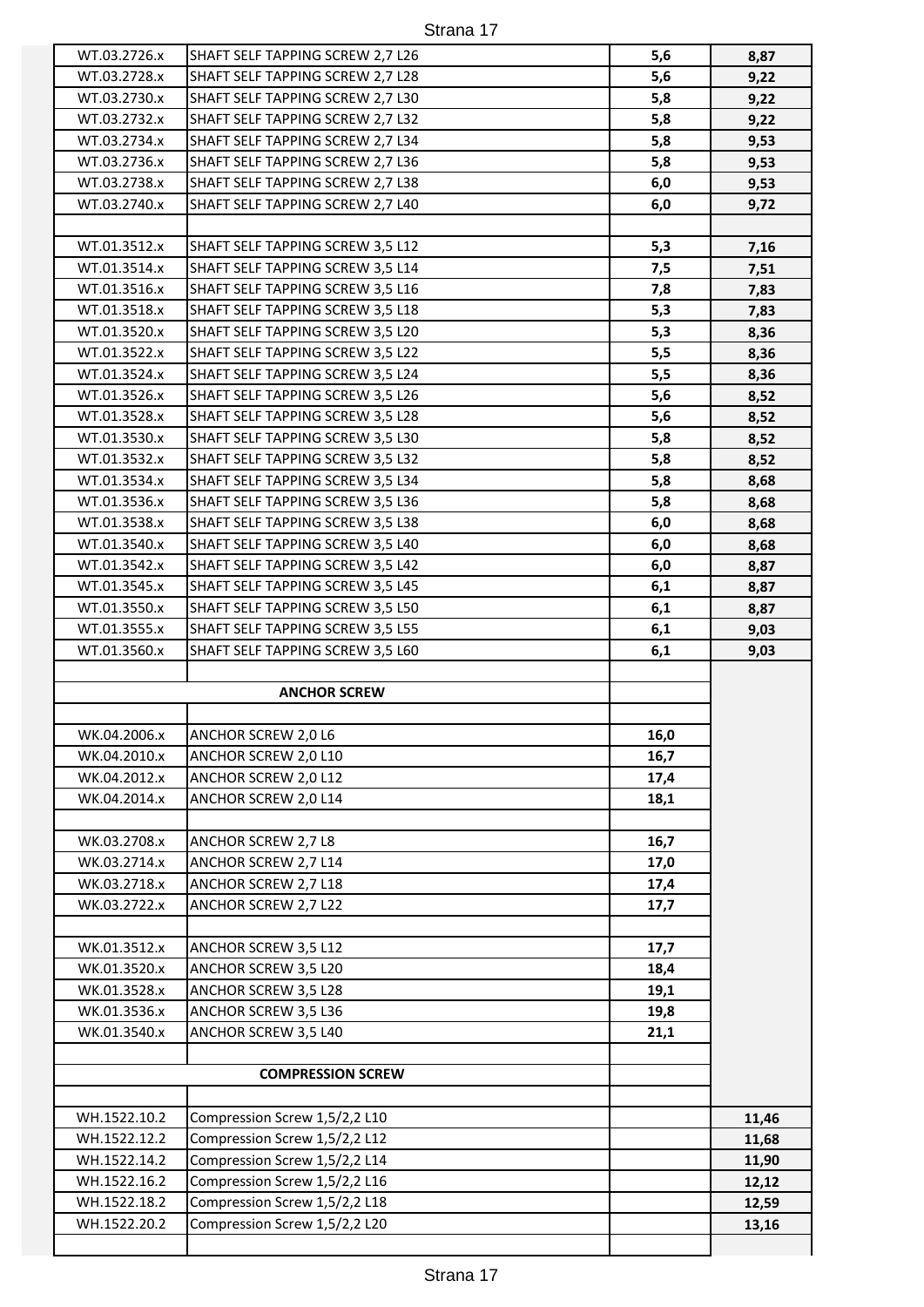| WT.03.2726.x | SHAFT SELF TAPPING SCREW 2,7 L26 | 5,6   | 8,87  |
|--------------|----------------------------------|-------|-------|
| WT.03.2728.x | SHAFT SELF TAPPING SCREW 2,7 L28 | 5,6   | 9,22  |
| WT.03.2730.x | SHAFT SELF TAPPING SCREW 2,7 L30 | 5,8   | 9,22  |
| WT.03.2732.x | SHAFT SELF TAPPING SCREW 2,7 L32 | 5,8   | 9,22  |
| WT.03.2734.x | SHAFT SELF TAPPING SCREW 2,7 L34 | 5,8   | 9,53  |
| WT.03.2736.x | SHAFT SELF TAPPING SCREW 2,7 L36 | 5,8   | 9,53  |
| WT.03.2738.x | SHAFT SELF TAPPING SCREW 2,7 L38 | 6,0   | 9,53  |
| WT.03.2740.x | SHAFT SELF TAPPING SCREW 2,7 L40 | 6,0   | 9,72  |
|              |                                  |       |       |
| WT.01.3512.x | SHAFT SELF TAPPING SCREW 3,5 L12 | 5,3   | 7,16  |
| WT.01.3514.x | SHAFT SELF TAPPING SCREW 3,5 L14 | 7,5   | 7,51  |
| WT.01.3516.x | SHAFT SELF TAPPING SCREW 3,5 L16 | 7,8   | 7,83  |
| WT.01.3518.x | SHAFT SELF TAPPING SCREW 3,5 L18 | 5,3   | 7,83  |
| WT.01.3520.x | SHAFT SELF TAPPING SCREW 3,5 L20 | 5,3   | 8,36  |
| WT.01.3522.x | SHAFT SELF TAPPING SCREW 3,5 L22 | 5,5   | 8,36  |
| WT.01.3524.x | SHAFT SELF TAPPING SCREW 3,5 L24 | 5,5   | 8,36  |
| WT.01.3526.x | SHAFT SELF TAPPING SCREW 3,5 L26 | 5,6   | 8,52  |
| WT.01.3528.x | SHAFT SELF TAPPING SCREW 3,5 L28 | $5,6$ | 8,52  |
| WT.01.3530.x | SHAFT SELF TAPPING SCREW 3,5 L30 | 5,8   | 8,52  |
| WT.01.3532.x | SHAFT SELF TAPPING SCREW 3,5 L32 | 5,8   | 8,52  |
| WT.01.3534.x | SHAFT SELF TAPPING SCREW 3,5 L34 | 5,8   | 8,68  |
| WT.01.3536.x | SHAFT SELF TAPPING SCREW 3,5 L36 | 5,8   | 8,68  |
| WT.01.3538.x | SHAFT SELF TAPPING SCREW 3,5 L38 | 6,0   | 8,68  |
| WT.01.3540.x | SHAFT SELF TAPPING SCREW 3,5 L40 | 6,0   | 8,68  |
| WT.01.3542.x | SHAFT SELF TAPPING SCREW 3,5 L42 | 6,0   | 8,87  |
| WT.01.3545.x | SHAFT SELF TAPPING SCREW 3,5 L45 | 6,1   | 8,87  |
| WT.01.3550.x | SHAFT SELF TAPPING SCREW 3,5 L50 | 6,1   | 8,87  |
| WT.01.3555.x | SHAFT SELF TAPPING SCREW 3,5 L55 | 6,1   | 9,03  |
| WT.01.3560.x | SHAFT SELF TAPPING SCREW 3,5 L60 | 6,1   | 9,03  |
|              |                                  |       |       |
|              | <b>ANCHOR SCREW</b>              |       |       |
|              |                                  |       |       |
| WK.04.2006.x | ANCHOR SCREW 2,0 L6              | 16,0  |       |
| WK.04.2010.x | ANCHOR SCREW 2,0 L10             | 16,7  |       |
| WK.04.2012.x | ANCHOR SCREW 2,0 L12             | 17,4  |       |
| WK.04.2014.x | ANCHOR SCREW 2,0 L14             | 18,1  |       |
|              |                                  |       |       |
| WK.03.2708.x | ANCHOR SCREW 2,7 L8              | 16,7  |       |
| WK.03.2714.x | ANCHOR SCREW 2,7 L14             | 17,0  |       |
| WK.03.2718.x | ANCHOR SCREW 2,7 L18             | 17,4  |       |
| WK.03.2722.x | ANCHOR SCREW 2,7 L22             | 17,7  |       |
|              |                                  |       |       |
| WK.01.3512.x | ANCHOR SCREW 3,5 L12             | 17,7  |       |
| WK.01.3520.x | ANCHOR SCREW 3,5 L20             | 18,4  |       |
| WK.01.3528.x | ANCHOR SCREW 3,5 L28             | 19,1  |       |
| WK.01.3536.x | ANCHOR SCREW 3,5 L36             | 19,8  |       |
| WK.01.3540.x | ANCHOR SCREW 3,5 L40             | 21,1  |       |
|              |                                  |       |       |
|              | <b>COMPRESSION SCREW</b>         |       |       |
|              |                                  |       |       |
| WH.1522.10.2 | Compression Screw 1,5/2,2 L10    |       | 11,46 |
| WH.1522.12.2 | Compression Screw 1,5/2,2 L12    |       | 11,68 |
| WH.1522.14.2 | Compression Screw 1,5/2,2 L14    |       | 11,90 |
| WH.1522.16.2 | Compression Screw 1,5/2,2 L16    |       | 12,12 |
| WH.1522.18.2 | Compression Screw 1,5/2,2 L18    |       | 12,59 |
|              |                                  |       |       |

WH.1522.20.2 Compression Screw 1,5/2,2 L20 **13,16**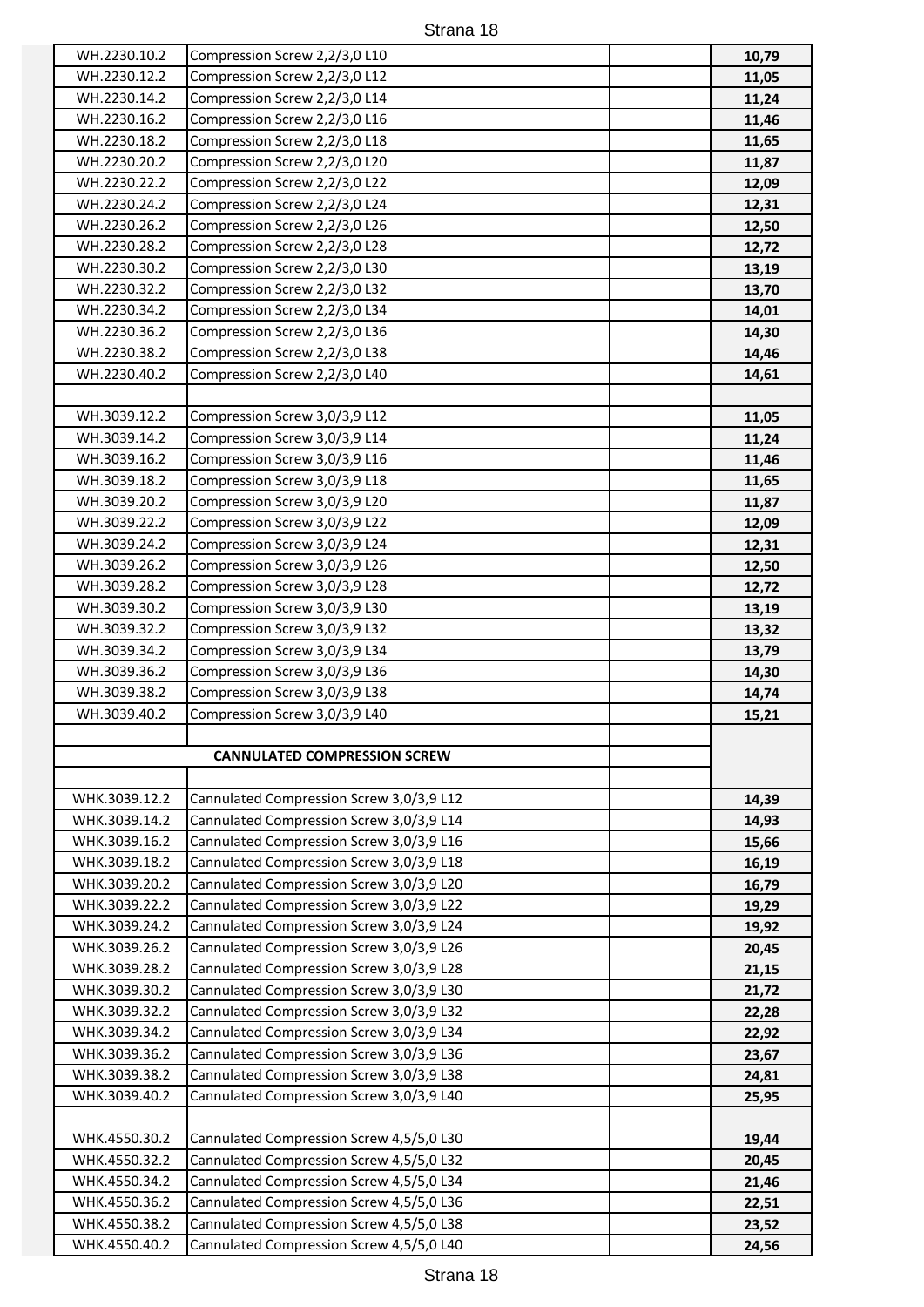| WH.2230.10.2                   | Compression Screw 2,2/3,0 L10                                                        | 10,79          |
|--------------------------------|--------------------------------------------------------------------------------------|----------------|
| WH.2230.12.2                   | Compression Screw 2,2/3,0 L12                                                        | 11,05          |
| WH.2230.14.2                   | Compression Screw 2,2/3,0 L14                                                        | 11,24          |
| WH.2230.16.2                   | Compression Screw 2,2/3,0 L16                                                        | 11,46          |
| WH.2230.18.2                   | Compression Screw 2,2/3,0 L18                                                        | 11,65          |
| WH.2230.20.2                   | Compression Screw 2,2/3,0 L20                                                        | 11,87          |
| WH.2230.22.2                   | Compression Screw 2,2/3,0 L22                                                        | 12,09          |
| WH.2230.24.2                   | Compression Screw 2,2/3,0 L24                                                        | 12,31          |
| WH.2230.26.2                   | Compression Screw 2,2/3,0 L26                                                        | 12,50          |
| WH.2230.28.2                   | Compression Screw 2,2/3,0 L28                                                        | 12,72          |
| WH.2230.30.2                   | Compression Screw 2,2/3,0 L30                                                        | 13,19          |
| WH.2230.32.2                   | Compression Screw 2,2/3,0 L32                                                        | 13,70          |
| WH.2230.34.2                   | Compression Screw 2,2/3,0 L34                                                        | 14,01          |
| WH.2230.36.2                   | Compression Screw 2,2/3,0 L36                                                        | 14,30          |
| WH.2230.38.2                   | Compression Screw 2,2/3,0 L38                                                        | 14,46          |
| WH.2230.40.2                   | Compression Screw 2,2/3,0 L40                                                        | 14,61          |
|                                |                                                                                      |                |
| WH.3039.12.2                   | Compression Screw 3,0/3,9 L12                                                        | 11,05          |
| WH.3039.14.2                   | Compression Screw 3,0/3,9 L14                                                        | 11,24          |
| WH.3039.16.2                   | Compression Screw 3,0/3,9 L16                                                        | 11,46          |
| WH.3039.18.2                   | Compression Screw 3,0/3,9 L18                                                        | 11,65          |
| WH.3039.20.2                   | Compression Screw 3,0/3,9 L20                                                        | 11,87          |
| WH.3039.22.2                   | Compression Screw 3,0/3,9 L22                                                        | 12,09          |
| WH.3039.24.2                   | Compression Screw 3,0/3,9 L24                                                        | 12,31          |
| WH.3039.26.2                   | Compression Screw 3,0/3,9 L26                                                        | 12,50          |
| WH.3039.28.2                   | Compression Screw 3,0/3,9 L28                                                        | 12,72          |
| WH.3039.30.2                   | Compression Screw 3,0/3,9 L30                                                        | 13,19          |
| WH.3039.32.2                   | Compression Screw 3,0/3,9 L32                                                        | 13,32          |
| WH.3039.34.2                   | Compression Screw 3,0/3,9 L34                                                        | 13,79          |
| WH.3039.36.2                   | Compression Screw 3,0/3,9 L36                                                        | 14,30          |
| WH.3039.38.2                   | Compression Screw 3,0/3,9 L38                                                        | 14,74          |
| WH.3039.40.2                   | Compression Screw 3,0/3,9 L40                                                        | 15,21          |
|                                |                                                                                      |                |
|                                | <b>CANNULATED COMPRESSION SCREW</b>                                                  |                |
|                                |                                                                                      |                |
| WHK.3039.12.2                  | Cannulated Compression Screw 3,0/3,9 L12                                             | 14,39          |
| WHK.3039.14.2                  | Cannulated Compression Screw 3,0/3,9 L14                                             | 14,93          |
| WHK.3039.16.2                  | Cannulated Compression Screw 3,0/3,9 L16                                             | 15,66          |
| WHK.3039.18.2                  | Cannulated Compression Screw 3,0/3,9 L18                                             | 16,19          |
| WHK.3039.20.2                  | Cannulated Compression Screw 3,0/3,9 L20                                             | 16,79          |
| WHK.3039.22.2                  | Cannulated Compression Screw 3,0/3,9 L22                                             | 19,29          |
| WHK.3039.24.2<br>WHK.3039.26.2 | Cannulated Compression Screw 3,0/3,9 L24                                             | 19,92          |
| WHK.3039.28.2                  | Cannulated Compression Screw 3,0/3,9 L26<br>Cannulated Compression Screw 3,0/3,9 L28 | 20,45          |
| WHK.3039.30.2                  | Cannulated Compression Screw 3,0/3,9 L30                                             | 21,15<br>21,72 |
| WHK.3039.32.2                  | Cannulated Compression Screw 3,0/3,9 L32                                             | 22,28          |
| WHK.3039.34.2                  | Cannulated Compression Screw 3,0/3,9 L34                                             | 22,92          |
| WHK.3039.36.2                  | Cannulated Compression Screw 3,0/3,9 L36                                             | 23,67          |
| WHK.3039.38.2                  | Cannulated Compression Screw 3,0/3,9 L38                                             | 24,81          |
| WHK.3039.40.2                  | Cannulated Compression Screw 3,0/3,9 L40                                             | 25,95          |
|                                |                                                                                      |                |
| WHK.4550.30.2                  | Cannulated Compression Screw 4,5/5,0 L30                                             | 19,44          |
| WHK.4550.32.2                  | Cannulated Compression Screw 4,5/5,0 L32                                             | 20,45          |
| WHK.4550.34.2                  | Cannulated Compression Screw 4,5/5,0 L34                                             | 21,46          |
| WHK.4550.36.2                  | Cannulated Compression Screw 4,5/5,0 L36                                             | 22,51          |
| WHK.4550.38.2                  | Cannulated Compression Screw 4,5/5,0 L38                                             | 23,52          |
| WHK.4550.40.2                  | Cannulated Compression Screw 4,5/5,0 L40                                             | 24,56          |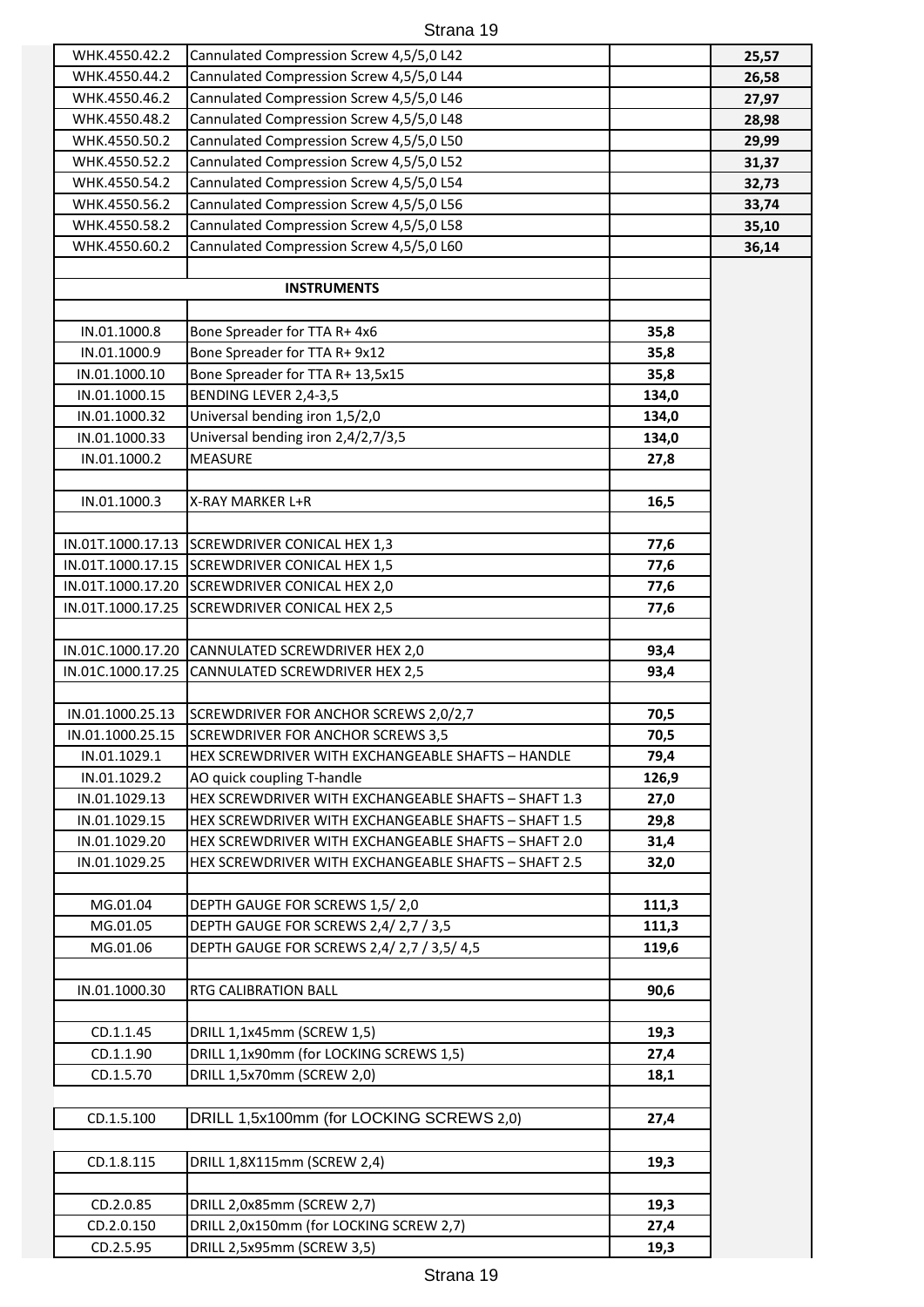| WHK.4550.42.2     | Cannulated Compression Screw 4,5/5,0 L42             |       | 25,57 |
|-------------------|------------------------------------------------------|-------|-------|
| WHK.4550.44.2     | Cannulated Compression Screw 4,5/5,0 L44             |       | 26,58 |
| WHK.4550.46.2     | Cannulated Compression Screw 4,5/5,0 L46             |       | 27,97 |
| WHK.4550.48.2     | Cannulated Compression Screw 4,5/5,0 L48             |       | 28,98 |
| WHK.4550.50.2     | Cannulated Compression Screw 4,5/5,0 L50             |       | 29,99 |
| WHK.4550.52.2     | Cannulated Compression Screw 4,5/5,0 L52             |       | 31,37 |
| WHK.4550.54.2     | Cannulated Compression Screw 4,5/5,0 L54             |       | 32,73 |
| WHK.4550.56.2     | Cannulated Compression Screw 4,5/5,0 L56             |       | 33,74 |
| WHK.4550.58.2     | Cannulated Compression Screw 4,5/5,0 L58             |       | 35,10 |
| WHK.4550.60.2     | Cannulated Compression Screw 4,5/5,0 L60             |       | 36,14 |
|                   |                                                      |       |       |
|                   | <b>INSTRUMENTS</b>                                   |       |       |
|                   |                                                      |       |       |
| IN.01.1000.8      | Bone Spreader for TTA R+ 4x6                         | 35,8  |       |
| IN.01.1000.9      | Bone Spreader for TTA R+ 9x12                        | 35,8  |       |
| IN.01.1000.10     | Bone Spreader for TTA R+ 13,5x15                     | 35,8  |       |
| IN.01.1000.15     | BENDING LEVER 2,4-3,5                                | 134,0 |       |
| IN.01.1000.32     | Universal bending iron 1,5/2,0                       | 134,0 |       |
| IN.01.1000.33     | Universal bending iron 2,4/2,7/3,5                   | 134,0 |       |
| IN.01.1000.2      | <b>MEASURE</b>                                       | 27,8  |       |
|                   |                                                      |       |       |
| IN.01.1000.3      | X-RAY MARKER L+R                                     | 16,5  |       |
|                   |                                                      |       |       |
|                   | IN.01T.1000.17.13 SCREWDRIVER CONICAL HEX 1,3        | 77,6  |       |
|                   | IN.01T.1000.17.15 SCREWDRIVER CONICAL HEX 1,5        | 77,6  |       |
|                   | IN.01T.1000.17.20 SCREWDRIVER CONICAL HEX 2,0        | 77,6  |       |
|                   | IN.01T.1000.17.25 SCREWDRIVER CONICAL HEX 2,5        | 77,6  |       |
|                   | IN.01C.1000.17.20 CANNULATED SCREWDRIVER HEX 2,0     | 93,4  |       |
| IN.01C.1000.17.25 | CANNULATED SCREWDRIVER HEX 2,5                       | 93,4  |       |
|                   |                                                      |       |       |
| IN.01.1000.25.13  | SCREWDRIVER FOR ANCHOR SCREWS 2,0/2,7                | 70,5  |       |
| IN.01.1000.25.15  | <b>SCREWDRIVER FOR ANCHOR SCREWS 3,5</b>             | 70,5  |       |
| IN.01.1029.1      | HEX SCREWDRIVER WITH EXCHANGEABLE SHAFTS - HANDLE    | 79,4  |       |
| IN.01.1029.2      | AO quick coupling T-handle                           | 126,9 |       |
| IN.01.1029.13     | HEX SCREWDRIVER WITH EXCHANGEABLE SHAFTS - SHAFT 1.3 | 27,0  |       |
| IN.01.1029.15     | HEX SCREWDRIVER WITH EXCHANGEABLE SHAFTS - SHAFT 1.5 | 29,8  |       |
| IN.01.1029.20     | HEX SCREWDRIVER WITH EXCHANGEABLE SHAFTS - SHAFT 2.0 | 31,4  |       |
| IN.01.1029.25     | HEX SCREWDRIVER WITH EXCHANGEABLE SHAFTS - SHAFT 2.5 | 32,0  |       |
|                   |                                                      |       |       |
| MG.01.04          | DEPTH GAUGE FOR SCREWS 1,5/2,0                       | 111,3 |       |
| MG.01.05          | DEPTH GAUGE FOR SCREWS 2,4/2,7 / 3,5                 | 111,3 |       |
| MG.01.06          | DEPTH GAUGE FOR SCREWS 2,4/2,7 / 3,5/4,5             | 119,6 |       |
|                   |                                                      |       |       |
| IN.01.1000.30     | RTG CALIBRATION BALL                                 | 90,6  |       |
|                   |                                                      |       |       |
| CD.1.1.45         | DRILL 1,1x45mm (SCREW 1,5)                           | 19,3  |       |
| CD.1.1.90         | DRILL 1,1x90mm (for LOCKING SCREWS 1,5)              | 27,4  |       |
| CD.1.5.70         | DRILL 1,5x70mm (SCREW 2,0)                           | 18,1  |       |
| CD.1.5.100        | DRILL 1,5x100mm (for LOCKING SCREWS 2,0)             | 27,4  |       |
|                   |                                                      |       |       |
| CD.1.8.115        | DRILL 1,8X115mm (SCREW 2,4)                          | 19,3  |       |
|                   |                                                      |       |       |
| CD.2.0.85         | DRILL 2,0x85mm (SCREW 2,7)                           | 19,3  |       |
| CD.2.0.150        | DRILL 2,0x150mm (for LOCKING SCREW 2,7)              | 27,4  |       |
| CD.2.5.95         | DRILL 2,5x95mm (SCREW 3,5)                           | 19,3  |       |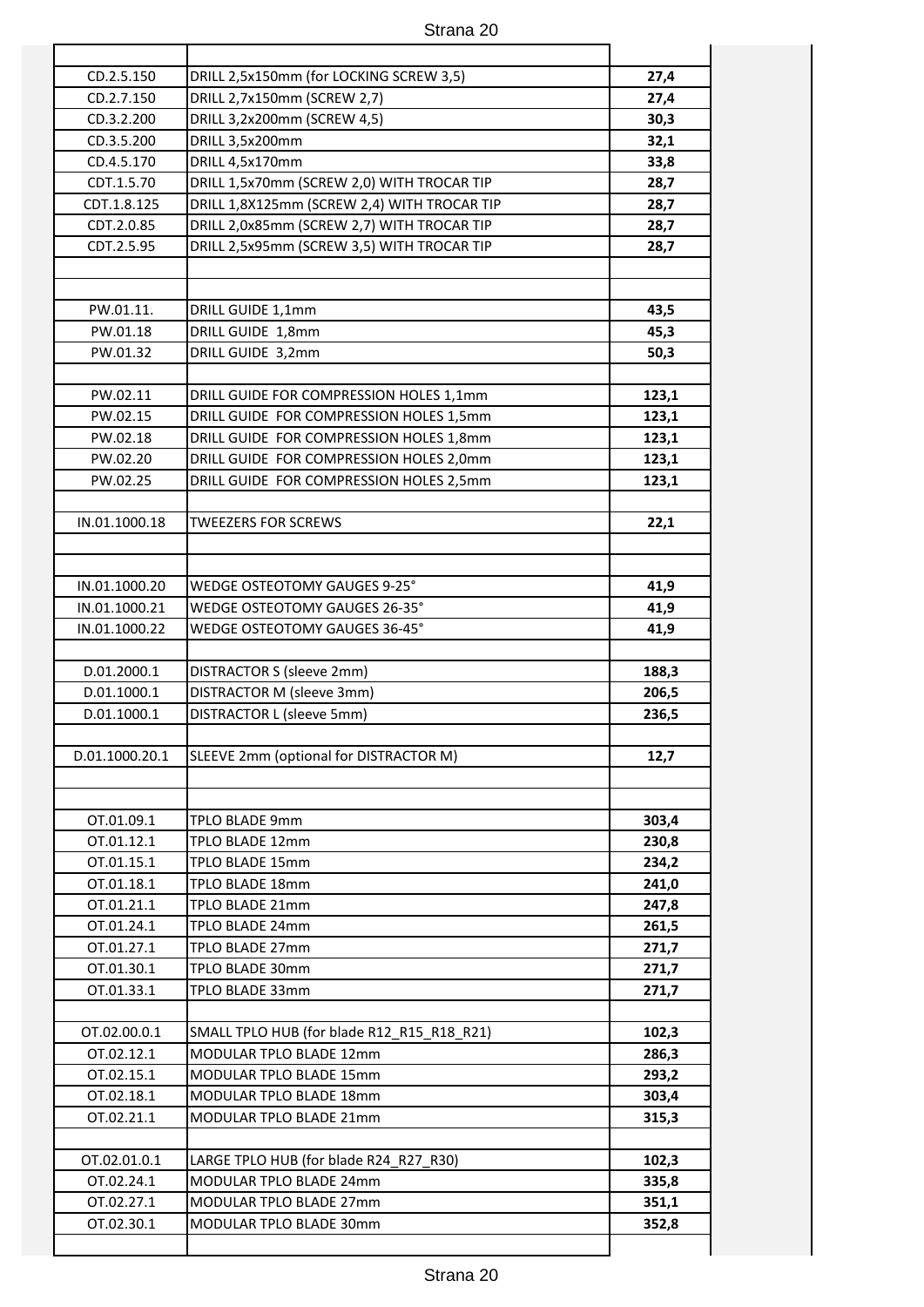| CD.2.5.150     | DRILL 2,5x150mm (for LOCKING SCREW 3,5)                                            | 27,4           |
|----------------|------------------------------------------------------------------------------------|----------------|
| CD.2.7.150     | DRILL 2,7x150mm (SCREW 2,7)                                                        | 27,4           |
| CD.3.2.200     | DRILL 3,2x200mm (SCREW 4,5)                                                        | 30,3           |
| CD.3.5.200     | DRILL 3,5x200mm                                                                    | 32,1           |
| CD.4.5.170     | DRILL 4,5x170mm                                                                    | 33,8           |
| CDT.1.5.70     | DRILL 1,5x70mm (SCREW 2,0) WITH TROCAR TIP                                         | 28,7           |
| CDT.1.8.125    | DRILL 1,8X125mm (SCREW 2,4) WITH TROCAR TIP                                        | 28,7           |
| CDT.2.0.85     | DRILL 2,0x85mm (SCREW 2,7) WITH TROCAR TIP                                         | 28,7           |
| CDT.2.5.95     | DRILL 2,5x95mm (SCREW 3,5) WITH TROCAR TIP                                         | 28,7           |
|                |                                                                                    |                |
| PW.01.11.      |                                                                                    |                |
| PW.01.18       | DRILL GUIDE 1,1mm<br>DRILL GUIDE 1,8mm                                             | 43,5<br>45,3   |
| PW.01.32       |                                                                                    |                |
|                | DRILL GUIDE 3,2mm                                                                  | 50,3           |
| PW.02.11       | DRILL GUIDE FOR COMPRESSION HOLES 1,1mm                                            | 123,1          |
| PW.02.15       |                                                                                    | 123,1          |
| PW.02.18       | DRILL GUIDE FOR COMPRESSION HOLES 1,5mm<br>DRILL GUIDE FOR COMPRESSION HOLES 1,8mm |                |
| PW.02.20       | DRILL GUIDE FOR COMPRESSION HOLES 2,0mm                                            | 123,1<br>123,1 |
| PW.02.25       | DRILL GUIDE FOR COMPRESSION HOLES 2,5mm                                            | 123,1          |
|                |                                                                                    |                |
| IN.01.1000.18  | <b>TWEEZERS FOR SCREWS</b>                                                         | 22,1           |
|                |                                                                                    |                |
|                |                                                                                    |                |
| IN.01.1000.20  | WEDGE OSTEOTOMY GAUGES 9-25°                                                       | 41,9           |
| IN.01.1000.21  | WEDGE OSTEOTOMY GAUGES 26-35°                                                      | 41,9           |
| IN.01.1000.22  | WEDGE OSTEOTOMY GAUGES 36-45°                                                      | 41,9           |
|                |                                                                                    |                |
| D.01.2000.1    | DISTRACTOR S (sleeve 2mm)                                                          | 188,3          |
| D.01.1000.1    | DISTRACTOR M (sleeve 3mm)                                                          | 206,5          |
| D.01.1000.1    | DISTRACTOR L (sleeve 5mm)                                                          | 236,5          |
|                | SLEEVE 2mm (optional for DISTRACTOR M)                                             |                |
| D.01.1000.20.1 |                                                                                    | 12,7           |
|                |                                                                                    |                |
| OT.01.09.1     | TPLO BLADE 9mm                                                                     | 303,4          |
| OT.01.12.1     | TPLO BLADE 12mm                                                                    | 230,8          |
| OT.01.15.1     | TPLO BLADE 15mm                                                                    | 234,2          |
| OT.01.18.1     | <b>TPLO BLADE 18mm</b>                                                             | 241,0          |
| OT.01.21.1     | TPLO BLADE 21mm                                                                    | 247,8          |
| OT.01.24.1     | TPLO BLADE 24mm                                                                    | 261,5          |
| OT.01.27.1     | TPLO BLADE 27mm                                                                    | 271,7          |
| OT.01.30.1     | TPLO BLADE 30mm                                                                    | 271,7          |
| OT.01.33.1     | TPLO BLADE 33mm                                                                    | 271,7          |
|                |                                                                                    |                |
| OT.02.00.0.1   | SMALL TPLO HUB (for blade R12_R15_R18_R21)                                         | 102,3          |
| OT.02.12.1     | <b>MODULAR TPLO BLADE 12mm</b>                                                     | 286,3          |
| OT.02.15.1     | MODULAR TPLO BLADE 15mm                                                            | 293,2          |
| OT.02.18.1     | MODULAR TPLO BLADE 18mm                                                            | 303,4          |
| OT.02.21.1     | MODULAR TPLO BLADE 21mm                                                            | 315,3          |
|                |                                                                                    |                |
| OT.02.01.0.1   | LARGE TPLO HUB (for blade R24_R27_R30)                                             | 102,3          |
| OT.02.24.1     | MODULAR TPLO BLADE 24mm                                                            | 335,8          |
| OT.02.27.1     | MODULAR TPLO BLADE 27mm                                                            | 351,1          |
| OT.02.30.1     | MODULAR TPLO BLADE 30mm                                                            | 352,8          |
|                |                                                                                    |                |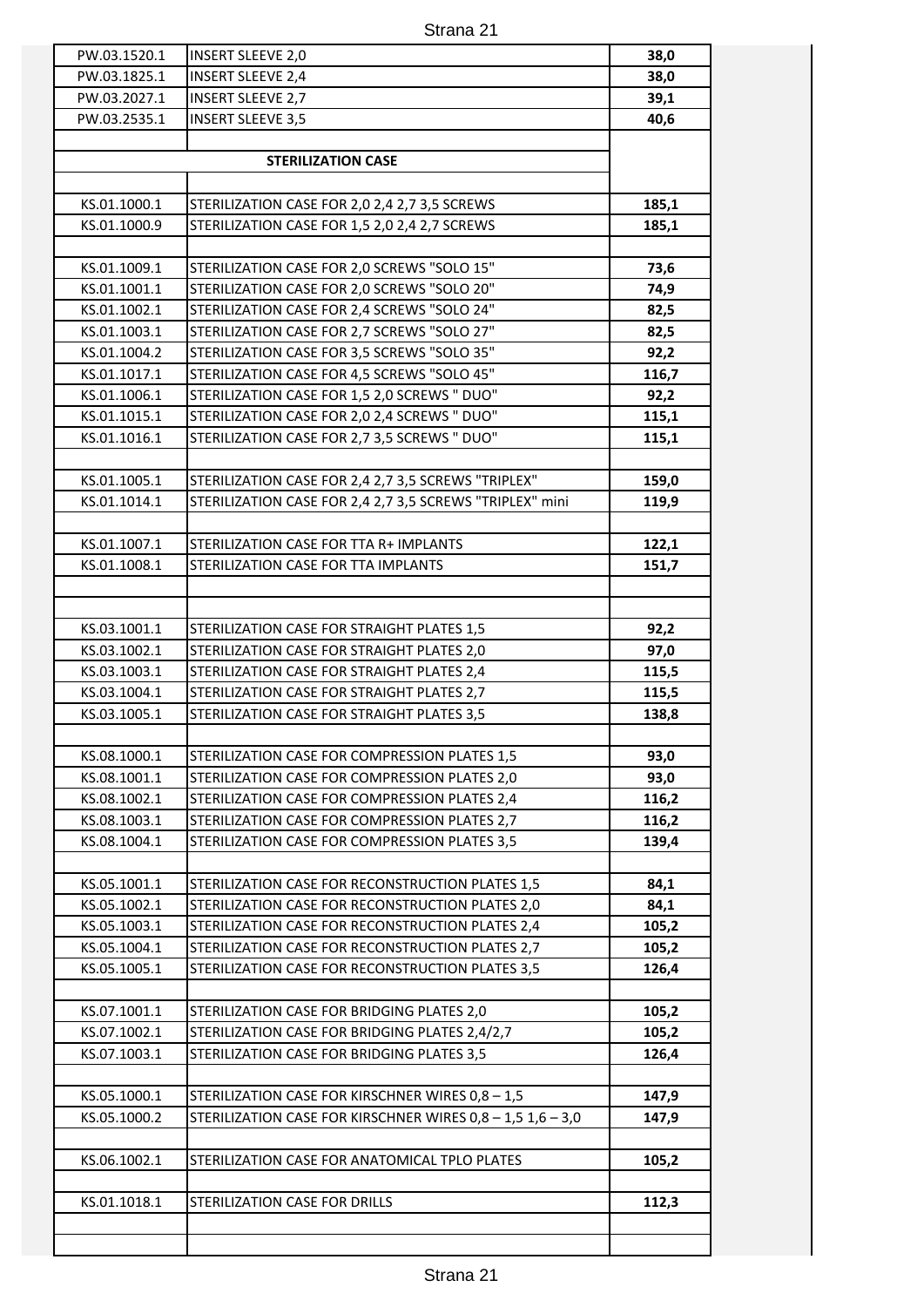| PW.03.1520.1 | <b>INSERT SLEEVE 2,0</b>                                   | 38,0  |
|--------------|------------------------------------------------------------|-------|
| PW.03.1825.1 | <b>INSERT SLEEVE 2,4</b>                                   | 38,0  |
| PW.03.2027.1 | <b>INSERT SLEEVE 2,7</b>                                   | 39,1  |
| PW.03.2535.1 | <b>INSERT SLEEVE 3,5</b>                                   | 40,6  |
|              |                                                            |       |
|              | <b>STERILIZATION CASE</b>                                  |       |
| KS.01.1000.1 | STERILIZATION CASE FOR 2,0 2,4 2,7 3,5 SCREWS              | 185,1 |
| KS.01.1000.9 | STERILIZATION CASE FOR 1,5 2,0 2,4 2,7 SCREWS              | 185,1 |
| KS.01.1009.1 | STERILIZATION CASE FOR 2,0 SCREWS "SOLO 15"                | 73,6  |
| KS.01.1001.1 | STERILIZATION CASE FOR 2,0 SCREWS "SOLO 20"                | 74,9  |
| KS.01.1002.1 | STERILIZATION CASE FOR 2,4 SCREWS "SOLO 24"                | 82,5  |
| KS.01.1003.1 | STERILIZATION CASE FOR 2,7 SCREWS "SOLO 27"                | 82,5  |
| KS.01.1004.2 | STERILIZATION CASE FOR 3,5 SCREWS "SOLO 35"                | 92,2  |
| KS.01.1017.1 | STERILIZATION CASE FOR 4,5 SCREWS "SOLO 45"                | 116,7 |
| KS.01.1006.1 | STERILIZATION CASE FOR 1,5 2,0 SCREWS " DUO"               | 92,2  |
| KS.01.1015.1 | STERILIZATION CASE FOR 2,0 2,4 SCREWS " DUO"               | 115,1 |
| KS.01.1016.1 | STERILIZATION CASE FOR 2,7 3,5 SCREWS " DUO"               | 115,1 |
|              |                                                            |       |
| KS.01.1005.1 | STERILIZATION CASE FOR 2,4 2,7 3,5 SCREWS "TRIPLEX"        | 159,0 |
| KS.01.1014.1 | STERILIZATION CASE FOR 2,4 2,7 3,5 SCREWS "TRIPLEX" mini   | 119,9 |
| KS.01.1007.1 | STERILIZATION CASE FOR TTA R+ IMPLANTS                     | 122,1 |
| KS.01.1008.1 | STERILIZATION CASE FOR TTA IMPLANTS                        | 151,7 |
|              |                                                            |       |
| KS.03.1001.1 | STERILIZATION CASE FOR STRAIGHT PLATES 1,5                 | 92,2  |
| KS.03.1002.1 | STERILIZATION CASE FOR STRAIGHT PLATES 2,0                 | 97,0  |
| KS.03.1003.1 | STERILIZATION CASE FOR STRAIGHT PLATES 2,4                 | 115,5 |
| KS.03.1004.1 | STERILIZATION CASE FOR STRAIGHT PLATES 2,7                 | 115,5 |
| KS.03.1005.1 | STERILIZATION CASE FOR STRAIGHT PLATES 3,5                 | 138,8 |
|              |                                                            |       |
| KS.08.1000.1 | STERILIZATION CASE FOR COMPRESSION PLATES 1,5              | 93,0  |
| KS.08.1001.1 | STERILIZATION CASE FOR COMPRESSION PLATES 2,0              | 93,0  |
| KS.08.1002.1 | STERILIZATION CASE FOR COMPRESSION PLATES 2,4              | 116,2 |
| KS.08.1003.1 | STERILIZATION CASE FOR COMPRESSION PLATES 2,7              | 116,2 |
| KS.08.1004.1 | STERILIZATION CASE FOR COMPRESSION PLATES 3,5              | 139,4 |
| KS.05.1001.1 | STERILIZATION CASE FOR RECONSTRUCTION PLATES 1,5           | 84,1  |
| KS.05.1002.1 | STERILIZATION CASE FOR RECONSTRUCTION PLATES 2,0           | 84,1  |
| KS.05.1003.1 | STERILIZATION CASE FOR RECONSTRUCTION PLATES 2,4           | 105,2 |
| KS.05.1004.1 | STERILIZATION CASE FOR RECONSTRUCTION PLATES 2,7           | 105,2 |
| KS.05.1005.1 | STERILIZATION CASE FOR RECONSTRUCTION PLATES 3,5           | 126,4 |
|              |                                                            |       |
| KS.07.1001.1 | STERILIZATION CASE FOR BRIDGING PLATES 2,0                 | 105,2 |
| KS.07.1002.1 | STERILIZATION CASE FOR BRIDGING PLATES 2,4/2,7             | 105,2 |
| KS.07.1003.1 | STERILIZATION CASE FOR BRIDGING PLATES 3,5                 | 126,4 |
| KS.05.1000.1 | STERILIZATION CASE FOR KIRSCHNER WIRES 0,8 - 1,5           | 147,9 |
| KS.05.1000.2 | STERILIZATION CASE FOR KIRSCHNER WIRES 0,8 - 1,5 1,6 - 3,0 | 147,9 |
| KS.06.1002.1 | STERILIZATION CASE FOR ANATOMICAL TPLO PLATES              | 105,2 |
| KS.01.1018.1 | STERILIZATION CASE FOR DRILLS                              |       |
|              |                                                            | 112,3 |
|              |                                                            |       |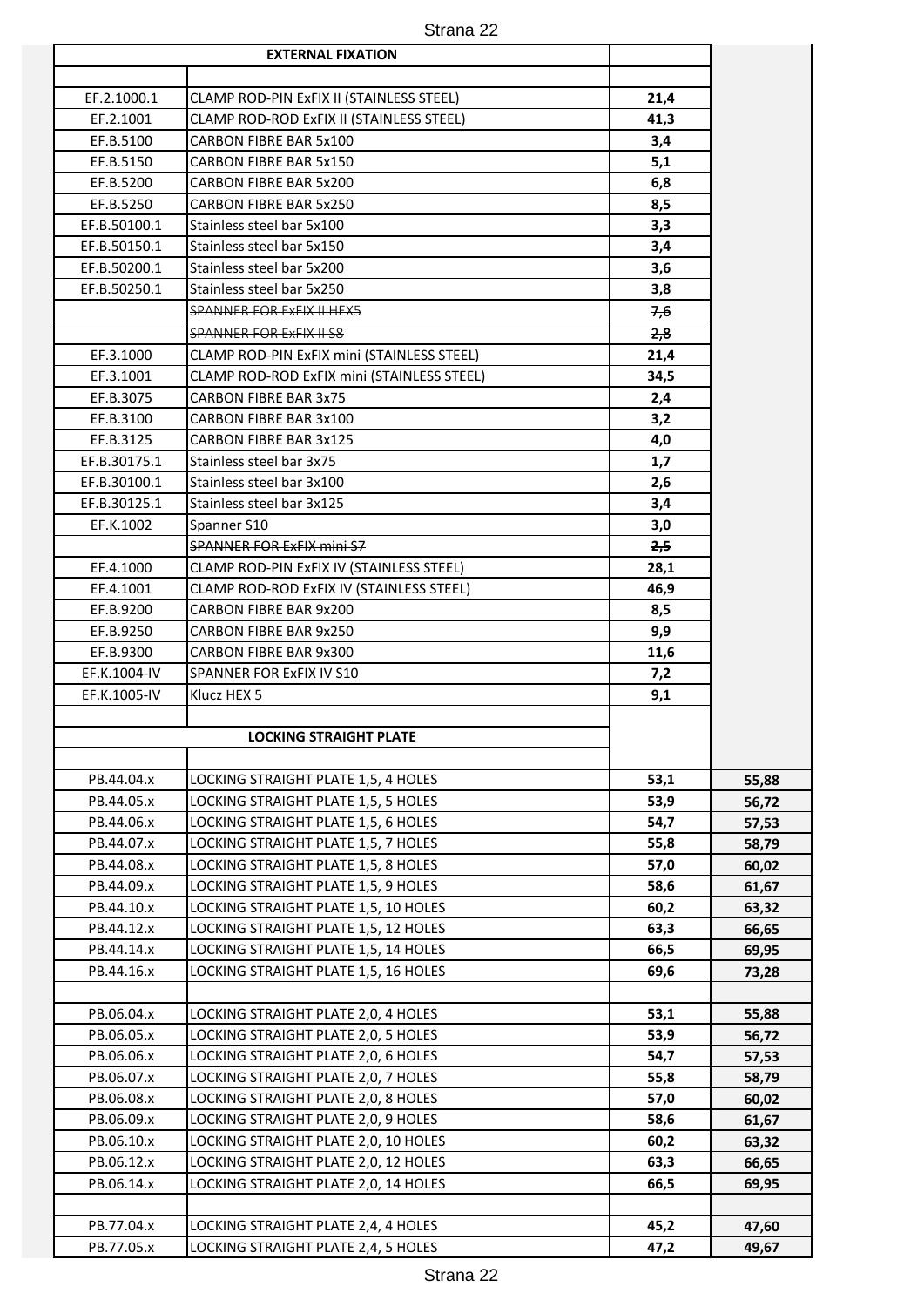| Strana 22 |  |
|-----------|--|
|           |  |

|              | <b>EXTERNAL FIXATION</b>                   |      |       |
|--------------|--------------------------------------------|------|-------|
|              |                                            |      |       |
| EF.2.1000.1  | CLAMP ROD-PIN ExFIX II (STAINLESS STEEL)   | 21,4 |       |
| EF.2.1001    | CLAMP ROD-ROD ExFIX II (STAINLESS STEEL)   | 41,3 |       |
| EF.B.5100    | CARBON FIBRE BAR 5x100                     | 3,4  |       |
| EF.B.5150    | CARBON FIBRE BAR 5x150                     | 5,1  |       |
| EF.B.5200    | <b>CARBON FIBRE BAR 5x200</b>              | 6,8  |       |
| EF.B.5250    | CARBON FIBRE BAR 5x250                     | 8,5  |       |
| EF.B.50100.1 | Stainless steel bar 5x100                  | 3,3  |       |
| EF.B.50150.1 | Stainless steel bar 5x150                  | 3,4  |       |
| EF.B.50200.1 | Stainless steel bar 5x200                  | 3,6  |       |
| EF.B.50250.1 | Stainless steel bar 5x250                  | 3,8  |       |
|              | <b>SPANNER FOR ExFIX II HEX5</b>           | 7,6  |       |
|              | <b>SPANNER FOR EXFIX II S8</b>             | 2,8  |       |
| EF.3.1000    | CLAMP ROD-PIN ExFIX mini (STAINLESS STEEL) | 21,4 |       |
| EF.3.1001    | CLAMP ROD-ROD ExFIX mini (STAINLESS STEEL) | 34,5 |       |
| EF.B.3075    | <b>CARBON FIBRE BAR 3x75</b>               | 2,4  |       |
| EF.B.3100    | CARBON FIBRE BAR 3x100                     | 3,2  |       |
| EF.B.3125    | <b>CARBON FIBRE BAR 3x125</b>              | 4,0  |       |
| EF.B.30175.1 | Stainless steel bar 3x75                   | 1,7  |       |
| EF.B.30100.1 | Stainless steel bar 3x100                  | 2,6  |       |
| EF.B.30125.1 | Stainless steel bar 3x125                  | 3,4  |       |
| EF.K.1002    | Spanner S10                                | 3,0  |       |
|              | <b>SPANNER FOR ExFIX mini S7</b>           | 2,5  |       |
| EF.4.1000    | CLAMP ROD-PIN ExFIX IV (STAINLESS STEEL)   | 28,1 |       |
| EF.4.1001    | CLAMP ROD-ROD ExFIX IV (STAINLESS STEEL)   | 46,9 |       |
| EF.B.9200    | CARBON FIBRE BAR 9x200                     | 8,5  |       |
| EF.B.9250    | CARBON FIBRE BAR 9x250                     | 9,9  |       |
| EF.B.9300    | CARBON FIBRE BAR 9x300                     | 11,6 |       |
| EF.K.1004-IV | SPANNER FOR ExFIX IV S10                   | 7,2  |       |
| EF.K.1005-IV | Klucz HEX 5                                | 9,1  |       |
|              |                                            |      |       |
|              | <b>LOCKING STRAIGHT PLATE</b>              |      |       |
|              |                                            |      |       |
| PB.44.04.x   | LOCKING STRAIGHT PLATE 1,5, 4 HOLES        | 53,1 | 55,88 |
| PB.44.05.x   | LOCKING STRAIGHT PLATE 1,5, 5 HOLES        | 53,9 | 56,72 |
| PB.44.06.x   | LOCKING STRAIGHT PLATE 1,5, 6 HOLES        | 54,7 | 57,53 |
| PB.44.07.x   | LOCKING STRAIGHT PLATE 1,5, 7 HOLES        | 55,8 | 58,79 |
| PB.44.08.x   | LOCKING STRAIGHT PLATE 1,5, 8 HOLES        | 57,0 | 60,02 |
| PB.44.09.x   | LOCKING STRAIGHT PLATE 1,5, 9 HOLES        | 58,6 | 61,67 |
| PB.44.10.x   | LOCKING STRAIGHT PLATE 1,5, 10 HOLES       | 60,2 | 63,32 |
| PB.44.12.x   | LOCKING STRAIGHT PLATE 1,5, 12 HOLES       | 63,3 | 66,65 |
| PB.44.14.x   | LOCKING STRAIGHT PLATE 1,5, 14 HOLES       | 66,5 | 69,95 |
| PB.44.16.x   | LOCKING STRAIGHT PLATE 1,5, 16 HOLES       | 69,6 | 73,28 |
|              |                                            |      |       |
| PB.06.04.x   | LOCKING STRAIGHT PLATE 2,0, 4 HOLES        | 53,1 | 55,88 |
| PB.06.05.x   | LOCKING STRAIGHT PLATE 2,0, 5 HOLES        | 53,9 | 56,72 |
| PB.06.06.x   | LOCKING STRAIGHT PLATE 2,0, 6 HOLES        | 54,7 | 57,53 |
| PB.06.07.x   | LOCKING STRAIGHT PLATE 2,0, 7 HOLES        | 55,8 | 58,79 |
| PB.06.08.x   | LOCKING STRAIGHT PLATE 2,0, 8 HOLES        | 57,0 | 60,02 |
| PB.06.09.x   | LOCKING STRAIGHT PLATE 2,0, 9 HOLES        | 58,6 | 61,67 |
| PB.06.10.x   | LOCKING STRAIGHT PLATE 2,0, 10 HOLES       | 60,2 | 63,32 |
| PB.06.12.x   | LOCKING STRAIGHT PLATE 2,0, 12 HOLES       | 63,3 | 66,65 |
| PB.06.14.x   | LOCKING STRAIGHT PLATE 2,0, 14 HOLES       | 66,5 | 69,95 |
|              |                                            |      |       |
| PB.77.04.x   | LOCKING STRAIGHT PLATE 2,4, 4 HOLES        | 45,2 | 47,60 |
| PB.77.05.x   | LOCKING STRAIGHT PLATE 2,4, 5 HOLES        | 47,2 | 49,67 |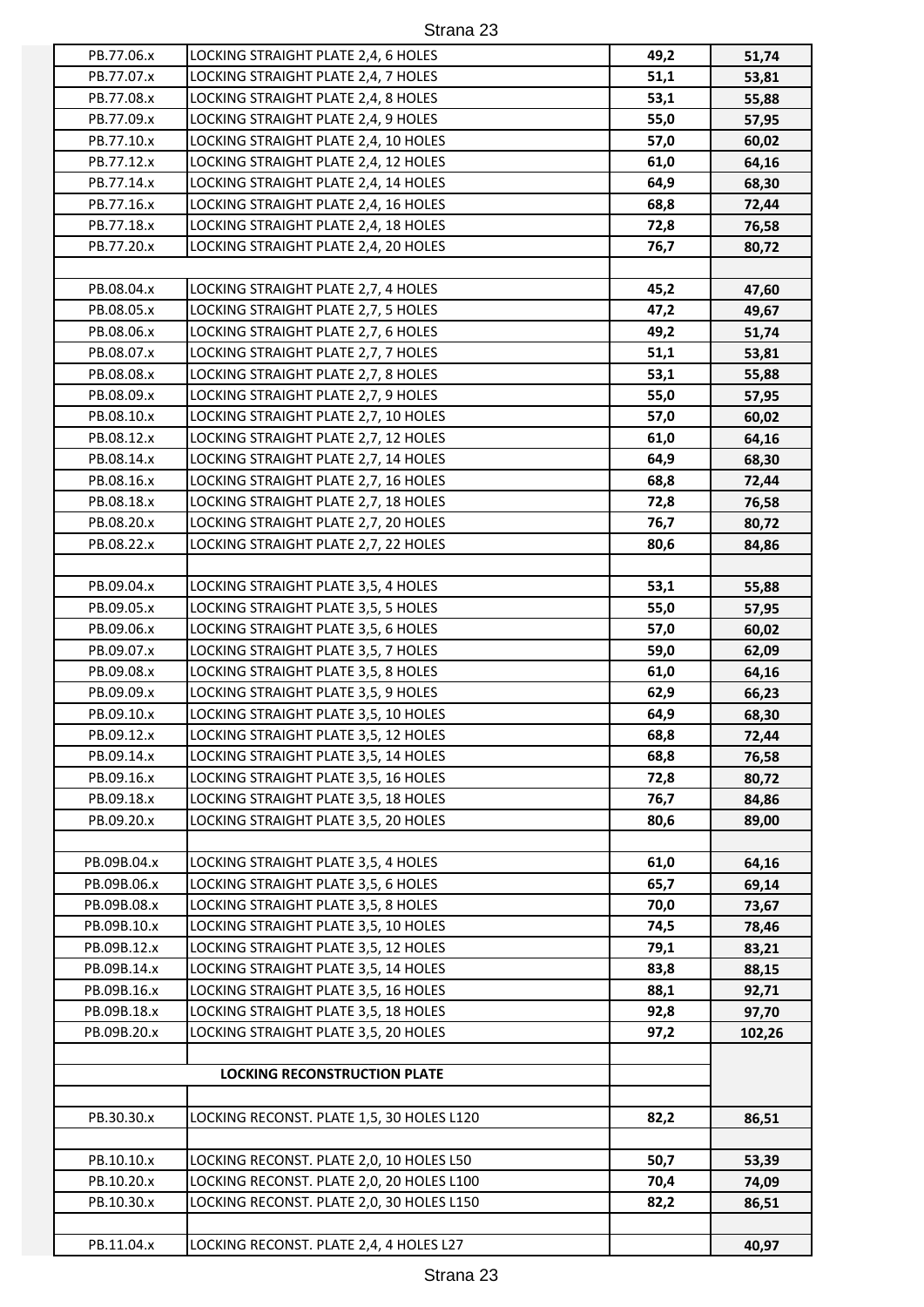| Strana 23 |  |
|-----------|--|
|-----------|--|

| PB.77.06.x  | LOCKING STRAIGHT PLATE 2,4, 6 HOLES       | 49,2 | 51,74  |
|-------------|-------------------------------------------|------|--------|
| PB.77.07.x  | LOCKING STRAIGHT PLATE 2,4, 7 HOLES       | 51,1 | 53,81  |
| PB.77.08.x  | LOCKING STRAIGHT PLATE 2,4, 8 HOLES       | 53,1 | 55,88  |
| PB.77.09.x  | LOCKING STRAIGHT PLATE 2,4, 9 HOLES       | 55,0 | 57,95  |
| PB.77.10.x  | LOCKING STRAIGHT PLATE 2,4, 10 HOLES      | 57,0 | 60,02  |
| PB.77.12.x  | LOCKING STRAIGHT PLATE 2,4, 12 HOLES      | 61,0 | 64,16  |
| PB.77.14.x  | LOCKING STRAIGHT PLATE 2,4, 14 HOLES      | 64,9 | 68,30  |
| PB.77.16.x  | LOCKING STRAIGHT PLATE 2,4, 16 HOLES      | 68,8 | 72,44  |
| PB.77.18.x  | LOCKING STRAIGHT PLATE 2,4, 18 HOLES      | 72,8 | 76,58  |
| PB.77.20.x  | LOCKING STRAIGHT PLATE 2,4, 20 HOLES      | 76,7 | 80,72  |
|             |                                           |      |        |
| PB.08.04.x  | LOCKING STRAIGHT PLATE 2,7, 4 HOLES       | 45,2 | 47,60  |
| PB.08.05.x  | LOCKING STRAIGHT PLATE 2,7, 5 HOLES       | 47,2 | 49,67  |
| PB.08.06.x  | LOCKING STRAIGHT PLATE 2,7, 6 HOLES       | 49,2 | 51,74  |
|             |                                           | 51,1 |        |
| PB.08.07.x  | LOCKING STRAIGHT PLATE 2,7, 7 HOLES       |      | 53,81  |
| PB.08.08.x  | LOCKING STRAIGHT PLATE 2,7, 8 HOLES       | 53,1 | 55,88  |
| PB.08.09.x  | LOCKING STRAIGHT PLATE 2,7, 9 HOLES       | 55,0 | 57,95  |
| PB.08.10.x  | LOCKING STRAIGHT PLATE 2,7, 10 HOLES      | 57,0 | 60,02  |
| PB.08.12.x  | LOCKING STRAIGHT PLATE 2,7, 12 HOLES      | 61,0 | 64,16  |
| PB.08.14.x  | LOCKING STRAIGHT PLATE 2,7, 14 HOLES      | 64,9 | 68,30  |
| PB.08.16.x  | LOCKING STRAIGHT PLATE 2,7, 16 HOLES      | 68,8 | 72,44  |
| PB.08.18.x  | LOCKING STRAIGHT PLATE 2,7, 18 HOLES      | 72,8 | 76,58  |
| PB.08.20.x  | LOCKING STRAIGHT PLATE 2,7, 20 HOLES      | 76,7 | 80,72  |
| PB.08.22.x  | LOCKING STRAIGHT PLATE 2,7, 22 HOLES      | 80,6 | 84,86  |
|             |                                           |      |        |
| PB.09.04.x  | LOCKING STRAIGHT PLATE 3,5, 4 HOLES       | 53,1 | 55,88  |
| PB.09.05.x  | LOCKING STRAIGHT PLATE 3,5, 5 HOLES       | 55,0 | 57,95  |
| PB.09.06.x  | LOCKING STRAIGHT PLATE 3,5, 6 HOLES       | 57,0 | 60,02  |
| PB.09.07.x  | LOCKING STRAIGHT PLATE 3,5, 7 HOLES       | 59,0 | 62,09  |
| PB.09.08.x  | LOCKING STRAIGHT PLATE 3,5, 8 HOLES       | 61,0 | 64,16  |
| PB.09.09.x  | LOCKING STRAIGHT PLATE 3,5, 9 HOLES       | 62,9 | 66,23  |
| PB.09.10.x  | LOCKING STRAIGHT PLATE 3,5, 10 HOLES      | 64,9 | 68,30  |
| PB.09.12.x  | LOCKING STRAIGHT PLATE 3,5, 12 HOLES      | 68,8 | 72,44  |
| PB.09.14.x  | LOCKING STRAIGHT PLATE 3,5, 14 HOLES      | 68,8 | 76,58  |
| PB.09.16.x  | LOCKING STRAIGHT PLATE 3,5, 16 HOLES      | 72,8 | 80,72  |
| PB.09.18.x  | LOCKING STRAIGHT PLATE 3,5, 18 HOLES      | 76,7 | 84,86  |
| PB.09.20.x  | LOCKING STRAIGHT PLATE 3,5, 20 HOLES      | 80,6 | 89,00  |
|             |                                           |      |        |
| PB.09B.04.x | LOCKING STRAIGHT PLATE 3,5, 4 HOLES       | 61,0 | 64,16  |
| PB.09B.06.x | LOCKING STRAIGHT PLATE 3,5, 6 HOLES       | 65,7 | 69,14  |
| PB.09B.08.x | LOCKING STRAIGHT PLATE 3,5, 8 HOLES       | 70,0 | 73,67  |
| PB.09B.10.x | LOCKING STRAIGHT PLATE 3,5, 10 HOLES      | 74,5 | 78,46  |
| PB.09B.12.x | LOCKING STRAIGHT PLATE 3,5, 12 HOLES      | 79,1 | 83,21  |
| PB.09B.14.x | LOCKING STRAIGHT PLATE 3,5, 14 HOLES      | 83,8 | 88,15  |
| PB.09B.16.x | LOCKING STRAIGHT PLATE 3,5, 16 HOLES      | 88,1 | 92,71  |
| PB.09B.18.x | LOCKING STRAIGHT PLATE 3,5, 18 HOLES      | 92,8 | 97,70  |
| PB.09B.20.x | LOCKING STRAIGHT PLATE 3,5, 20 HOLES      | 97,2 | 102,26 |
|             |                                           |      |        |
|             | <b>LOCKING RECONSTRUCTION PLATE</b>       |      |        |
|             |                                           |      |        |
| PB.30.30.x  | LOCKING RECONST. PLATE 1,5, 30 HOLES L120 | 82,2 | 86,51  |
|             |                                           |      |        |
| PB.10.10.x  | LOCKING RECONST. PLATE 2,0, 10 HOLES L50  | 50,7 | 53,39  |
| PB.10.20.x  | LOCKING RECONST. PLATE 2,0, 20 HOLES L100 | 70,4 | 74,09  |
| PB.10.30.x  | LOCKING RECONST. PLATE 2,0, 30 HOLES L150 | 82,2 | 86,51  |
|             |                                           |      |        |
| PB.11.04.x  | LOCKING RECONST. PLATE 2,4, 4 HOLES L27   |      | 40,97  |
|             |                                           |      |        |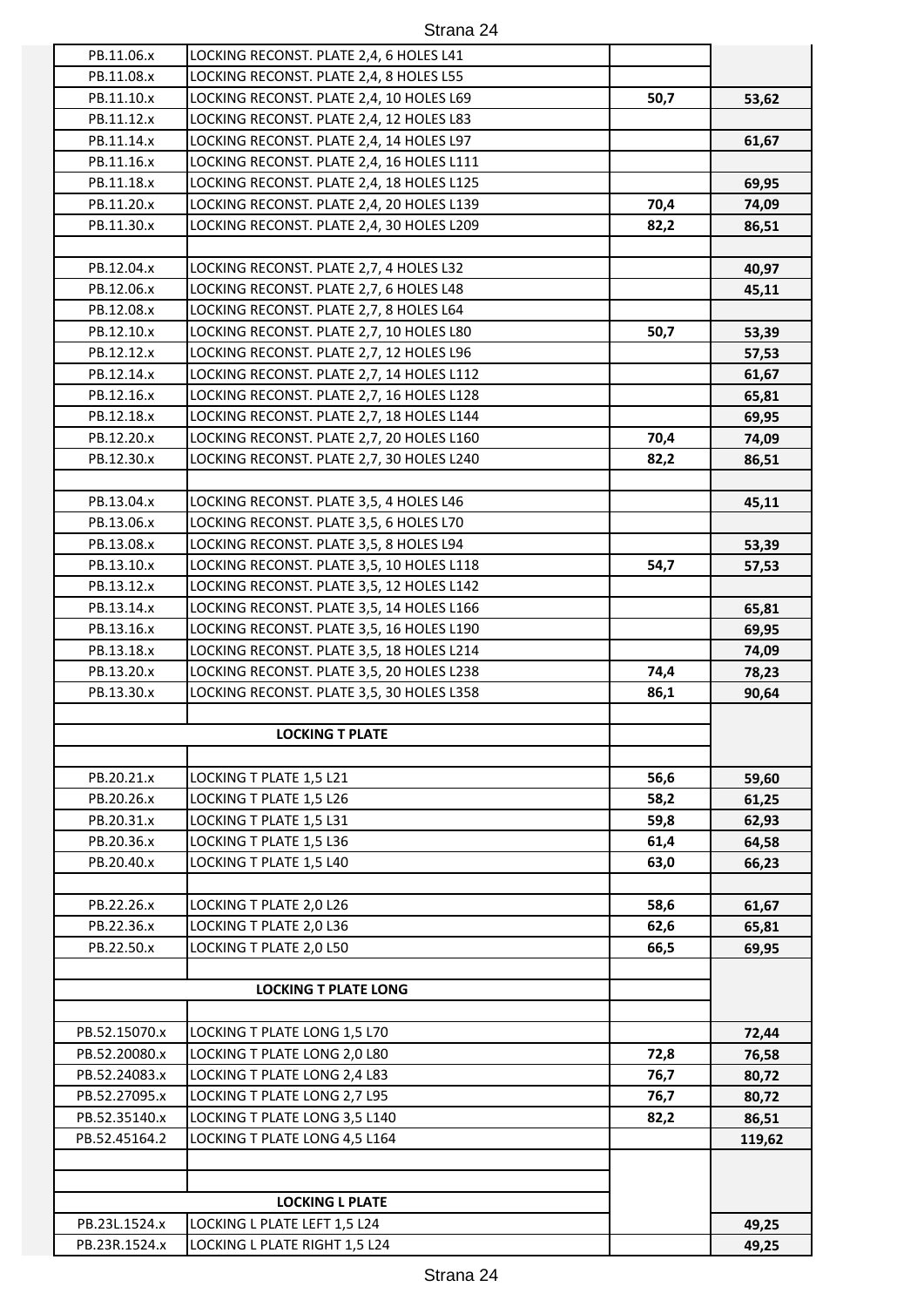| Strana 24 |  |
|-----------|--|
|-----------|--|

| PB.11.06.x    | LOCKING RECONST. PLATE 2,4, 6 HOLES L41   |      |                |
|---------------|-------------------------------------------|------|----------------|
| PB.11.08.x    | LOCKING RECONST. PLATE 2,4, 8 HOLES L55   |      |                |
| PB.11.10.x    | LOCKING RECONST. PLATE 2,4, 10 HOLES L69  | 50,7 | 53,62          |
| PB.11.12.x    | LOCKING RECONST. PLATE 2,4, 12 HOLES L83  |      |                |
| PB.11.14.x    | LOCKING RECONST. PLATE 2,4, 14 HOLES L97  |      | 61,67          |
| PB.11.16.x    | LOCKING RECONST. PLATE 2,4, 16 HOLES L111 |      |                |
| PB.11.18.x    | LOCKING RECONST. PLATE 2,4, 18 HOLES L125 |      | 69,95          |
| PB.11.20.x    | LOCKING RECONST. PLATE 2,4, 20 HOLES L139 | 70,4 | 74,09          |
| PB.11.30.x    | LOCKING RECONST. PLATE 2,4, 30 HOLES L209 | 82,2 | 86,51          |
|               |                                           |      |                |
| PB.12.04.x    | LOCKING RECONST. PLATE 2,7, 4 HOLES L32   |      | 40,97          |
| PB.12.06.x    | LOCKING RECONST. PLATE 2,7, 6 HOLES L48   |      | 45,11          |
| PB.12.08.x    | LOCKING RECONST. PLATE 2,7, 8 HOLES L64   |      |                |
| PB.12.10.x    | LOCKING RECONST. PLATE 2,7, 10 HOLES L80  | 50,7 | 53,39          |
| PB.12.12.x    | LOCKING RECONST. PLATE 2,7, 12 HOLES L96  |      | 57,53          |
| PB.12.14.x    | LOCKING RECONST. PLATE 2,7, 14 HOLES L112 |      | 61,67          |
| PB.12.16.x    | LOCKING RECONST. PLATE 2,7, 16 HOLES L128 |      | 65,81          |
| PB.12.18.x    | LOCKING RECONST. PLATE 2,7, 18 HOLES L144 |      | 69,95          |
| PB.12.20.x    | LOCKING RECONST. PLATE 2,7, 20 HOLES L160 | 70,4 | 74,09          |
| PB.12.30.x    | LOCKING RECONST. PLATE 2,7, 30 HOLES L240 | 82,2 | 86,51          |
|               |                                           |      |                |
| PB.13.04.x    | LOCKING RECONST. PLATE 3,5, 4 HOLES L46   |      | 45,11          |
| PB.13.06.x    | LOCKING RECONST. PLATE 3,5, 6 HOLES L70   |      |                |
| PB.13.08.x    | LOCKING RECONST. PLATE 3,5, 8 HOLES L94   |      | 53,39          |
| PB.13.10.x    | LOCKING RECONST. PLATE 3,5, 10 HOLES L118 | 54,7 | 57,53          |
| PB.13.12.x    | LOCKING RECONST. PLATE 3,5, 12 HOLES L142 |      |                |
| PB.13.14.x    | LOCKING RECONST. PLATE 3,5, 14 HOLES L166 |      | 65,81          |
| PB.13.16.x    | LOCKING RECONST. PLATE 3,5, 16 HOLES L190 |      | 69,95          |
| PB.13.18.x    | LOCKING RECONST. PLATE 3,5, 18 HOLES L214 |      | 74,09          |
| PB.13.20.x    | LOCKING RECONST. PLATE 3,5, 20 HOLES L238 | 74,4 | 78,23          |
| PB.13.30.x    | LOCKING RECONST. PLATE 3,5, 30 HOLES L358 | 86,1 | 90,64          |
|               |                                           |      |                |
|               | <b>LOCKING T PLATE</b>                    |      |                |
| PB.20.21.x    | LOCKING T PLATE 1,5 L21                   | 56,6 |                |
| PB.20.26.x    | LOCKING T PLATE 1,5 L26                   | 58,2 | 59,60<br>61,25 |
| PB.20.31.x    | LOCKING T PLATE 1,5 L31                   | 59,8 | 62,93          |
| PB.20.36.x    | LOCKING T PLATE 1,5 L36                   | 61,4 | 64,58          |
| PB.20.40.x    | LOCKING T PLATE 1,5 L40                   | 63,0 | 66,23          |
|               |                                           |      |                |
| PB.22.26.x    | LOCKING T PLATE 2,0 L26                   | 58,6 | 61,67          |
| PB.22.36.x    | LOCKING T PLATE 2,0 L36                   | 62,6 | 65,81          |
| PB.22.50.x    | LOCKING T PLATE 2,0 L50                   | 66,5 | 69,95          |
|               |                                           |      |                |
|               | <b>LOCKING T PLATE LONG</b>               |      |                |
|               |                                           |      |                |
| PB.52.15070.x | LOCKING T PLATE LONG 1,5 L70              |      | 72,44          |
| PB.52.20080.x | LOCKING T PLATE LONG 2,0 L80              | 72,8 | 76,58          |
| PB.52.24083.x | LOCKING T PLATE LONG 2,4 L83              | 76,7 | 80,72          |
| PB.52.27095.x | LOCKING T PLATE LONG 2,7 L95              | 76,7 | 80,72          |
| PB.52.35140.x | LOCKING T PLATE LONG 3,5 L140             | 82,2 | 86,51          |
| PB.52.45164.2 | LOCKING T PLATE LONG 4,5 L164             |      | 119,62         |
|               |                                           |      |                |
|               |                                           |      |                |
|               | <b>LOCKING L PLATE</b>                    |      |                |
| PB.23L.1524.x | LOCKING L PLATE LEFT 1,5 L24              |      | 49,25          |
| PB.23R.1524.x | LOCKING L PLATE RIGHT 1,5 L24             |      | 49,25          |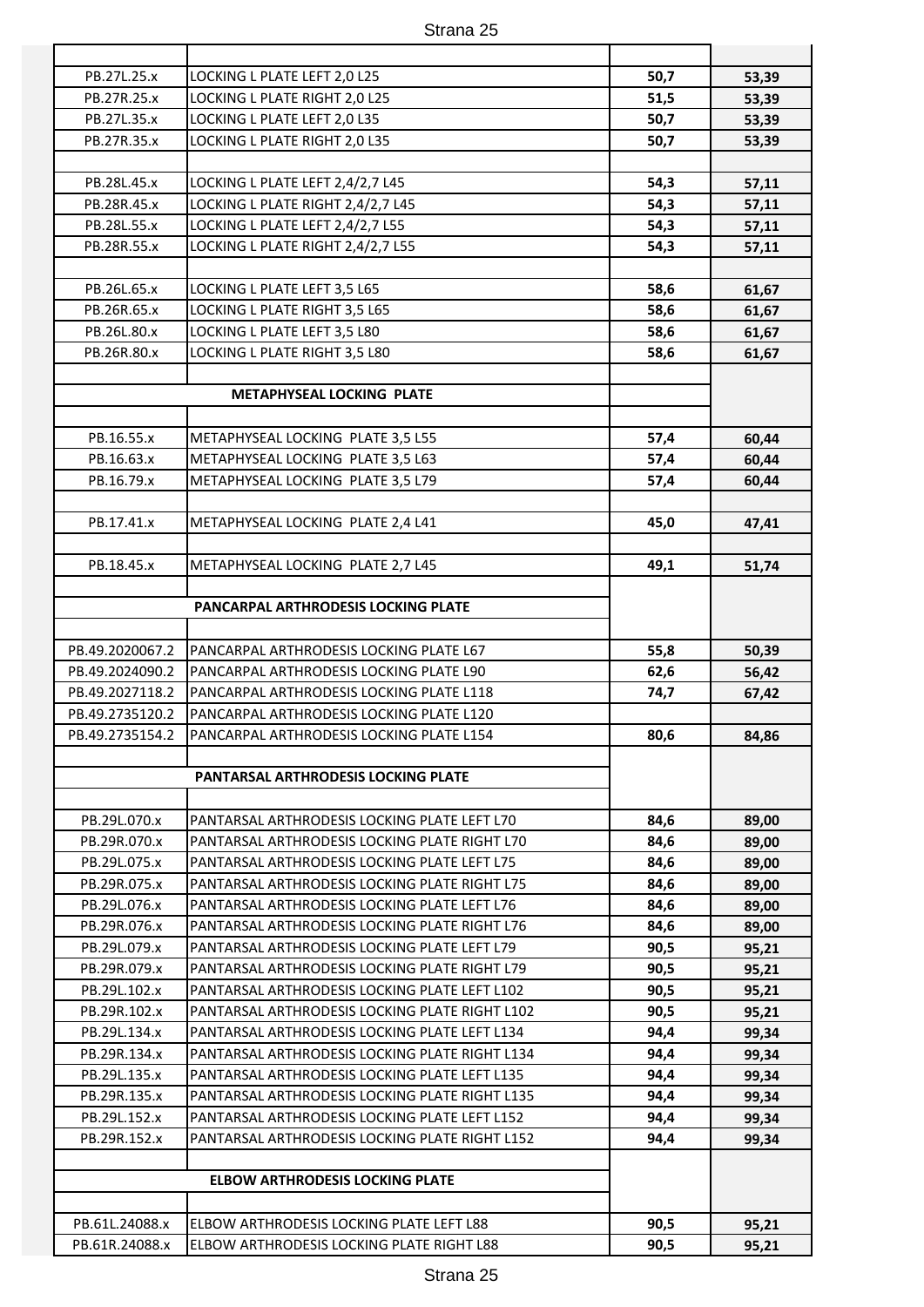| PB.27L.25.x     | LOCKING L PLATE LEFT 2,0 L25                   | 50,7 | 53,39 |
|-----------------|------------------------------------------------|------|-------|
| PB.27R.25.x     | LOCKING L PLATE RIGHT 2,0 L25                  | 51,5 | 53,39 |
| PB.27L.35.x     | LOCKING L PLATE LEFT 2,0 L35                   | 50,7 | 53,39 |
| PB.27R.35.x     | LOCKING L PLATE RIGHT 2,0 L35                  | 50,7 | 53,39 |
|                 |                                                |      |       |
| PB.28L.45.x     | LOCKING L PLATE LEFT 2,4/2,7 L45               | 54,3 | 57,11 |
| PB.28R.45.x     | LOCKING L PLATE RIGHT 2,4/2,7 L45              | 54,3 | 57,11 |
| PB.28L.55.x     | LOCKING L PLATE LEFT 2,4/2,7 L55               | 54,3 | 57,11 |
| PB.28R.55.x     | LOCKING L PLATE RIGHT 2,4/2,7 L55              | 54,3 | 57,11 |
|                 |                                                |      |       |
| PB.26L.65.x     | LOCKING L PLATE LEFT 3,5 L65                   | 58,6 | 61,67 |
| PB.26R.65.x     | LOCKING L PLATE RIGHT 3,5 L65                  | 58,6 | 61,67 |
| PB.26L.80.x     | LOCKING L PLATE LEFT 3,5 L80                   | 58,6 | 61,67 |
| PB.26R.80.x     | LOCKING L PLATE RIGHT 3,5 L80                  | 58,6 | 61,67 |
|                 |                                                |      |       |
|                 | METAPHYSEAL LOCKING PLATE                      |      |       |
|                 |                                                |      |       |
| PB.16.55.x      | METAPHYSEAL LOCKING PLATE 3,5 L55              | 57,4 | 60,44 |
| PB.16.63.x      | METAPHYSEAL LOCKING PLATE 3,5 L63              | 57,4 | 60,44 |
| PB.16.79.x      | METAPHYSEAL LOCKING PLATE 3,5 L79              | 57,4 | 60,44 |
|                 |                                                |      |       |
| PB.17.41.x      | METAPHYSEAL LOCKING PLATE 2,4 L41              | 45,0 | 47,41 |
|                 |                                                |      |       |
| PB.18.45.x      | METAPHYSEAL LOCKING PLATE 2,7 L45              | 49,1 | 51,74 |
|                 |                                                |      |       |
|                 | PANCARPAL ARTHRODESIS LOCKING PLATE            |      |       |
|                 |                                                |      |       |
| PB.49.2020067.2 | PANCARPAL ARTHRODESIS LOCKING PLATE L67        | 55,8 | 50,39 |
| PB.49.2024090.2 | PANCARPAL ARTHRODESIS LOCKING PLATE L90        | 62,6 | 56,42 |
| PB.49.2027118.2 | PANCARPAL ARTHRODESIS LOCKING PLATE L118       | 74,7 | 67,42 |
| PB.49.2735120.2 | PANCARPAL ARTHRODESIS LOCKING PLATE L120       |      |       |
| PB.49.2735154.2 | PANCARPAL ARTHRODESIS LOCKING PLATE L154       | 80,6 | 84,86 |
|                 |                                                |      |       |
|                 | PANTARSAL ARTHRODESIS LOCKING PLATE            |      |       |
|                 |                                                |      |       |
| PB.29L.070.x    | PANTARSAL ARTHRODESIS LOCKING PLATE LEFT L70   | 84,6 | 89,00 |
| PB.29R.070.x    | PANTARSAL ARTHRODESIS LOCKING PLATE RIGHT L70  | 84,6 | 89,00 |
| PB.29L.075.x    | PANTARSAL ARTHRODESIS LOCKING PLATE LEFT L75   | 84,6 | 89,00 |
| PB.29R.075.x    | PANTARSAL ARTHRODESIS LOCKING PLATE RIGHT L75  | 84,6 | 89,00 |
| PB.29L.076.x    | PANTARSAL ARTHRODESIS LOCKING PLATE LEFT L76   | 84,6 | 89,00 |
| PB.29R.076.x    | PANTARSAL ARTHRODESIS LOCKING PLATE RIGHT L76  | 84,6 | 89,00 |
| PB.29L.079.x    | PANTARSAL ARTHRODESIS LOCKING PLATE LEFT L79   | 90,5 | 95,21 |
| PB.29R.079.x    | PANTARSAL ARTHRODESIS LOCKING PLATE RIGHT L79  | 90,5 | 95,21 |
| PB.29L.102.x    | PANTARSAL ARTHRODESIS LOCKING PLATE LEFT L102  | 90,5 | 95,21 |
| PB.29R.102.x    | PANTARSAL ARTHRODESIS LOCKING PLATE RIGHT L102 | 90,5 | 95,21 |
| PB.29L.134.x    | PANTARSAL ARTHRODESIS LOCKING PLATE LEFT L134  | 94,4 | 99,34 |
| PB.29R.134.x    | PANTARSAL ARTHRODESIS LOCKING PLATE RIGHT L134 | 94,4 | 99,34 |
| PB.29L.135.x    | PANTARSAL ARTHRODESIS LOCKING PLATE LEFT L135  | 94,4 | 99,34 |
| PB.29R.135.x    | PANTARSAL ARTHRODESIS LOCKING PLATE RIGHT L135 | 94,4 | 99,34 |
| PB.29L.152.x    | PANTARSAL ARTHRODESIS LOCKING PLATE LEFT L152  | 94,4 | 99,34 |
| PB.29R.152.x    | PANTARSAL ARTHRODESIS LOCKING PLATE RIGHT L152 | 94,4 | 99,34 |
|                 |                                                |      |       |
|                 | <b>ELBOW ARTHRODESIS LOCKING PLATE</b>         |      |       |
|                 |                                                |      |       |
| PB.61L.24088.x  | ELBOW ARTHRODESIS LOCKING PLATE LEFT L88       | 90,5 | 95,21 |
| PB.61R.24088.x  | ELBOW ARTHRODESIS LOCKING PLATE RIGHT L88      | 90,5 | 95,21 |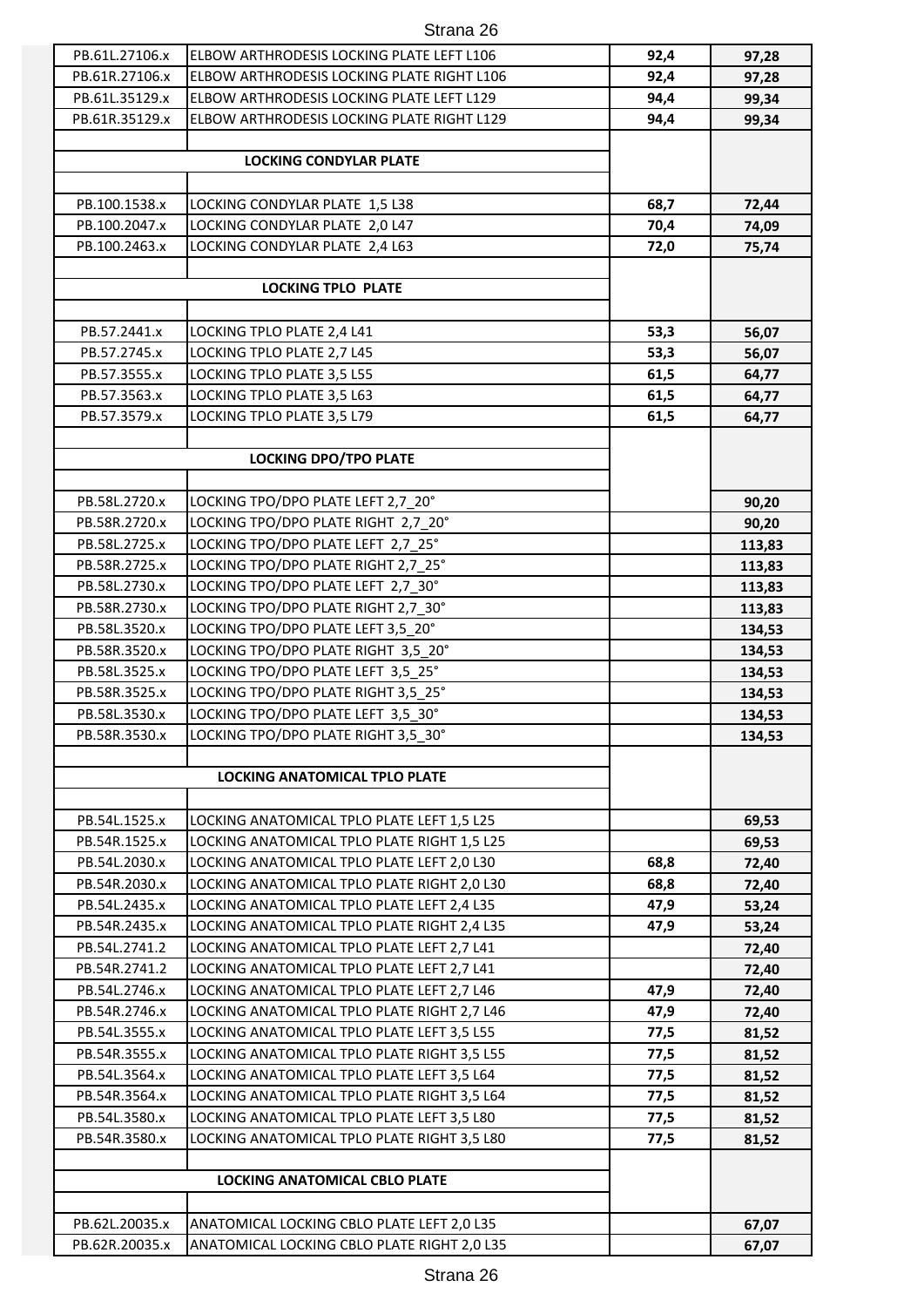| PB.61L.27106.x | ELBOW ARTHRODESIS LOCKING PLATE LEFT L106   | 92,4 | 97,28          |
|----------------|---------------------------------------------|------|----------------|
| PB.61R.27106.x | ELBOW ARTHRODESIS LOCKING PLATE RIGHT L106  | 92,4 | 97,28          |
| PB.61L.35129.x | ELBOW ARTHRODESIS LOCKING PLATE LEFT L129   | 94,4 | 99,34          |
| PB.61R.35129.x | ELBOW ARTHRODESIS LOCKING PLATE RIGHT L129  | 94,4 | 99,34          |
|                |                                             |      |                |
|                | <b>LOCKING CONDYLAR PLATE</b>               |      |                |
|                |                                             |      |                |
| PB.100.1538.x  | LOCKING CONDYLAR PLATE 1,5 L38              | 68,7 | 72,44          |
| PB.100.2047.x  | LOCKING CONDYLAR PLATE 2,0 L47              | 70,4 | 74,09          |
| PB.100.2463.x  | LOCKING CONDYLAR PLATE 2,4 L63              | 72,0 | 75,74          |
|                |                                             |      |                |
|                | <b>LOCKING TPLO PLATE</b>                   |      |                |
|                |                                             |      |                |
| PB.57.2441.x   | LOCKING TPLO PLATE 2,4 L41                  | 53,3 | 56,07          |
| PB.57.2745.x   | LOCKING TPLO PLATE 2,7 L45                  | 53,3 | 56,07          |
| PB.57.3555.x   | LOCKING TPLO PLATE 3,5 L55                  | 61,5 | 64,77          |
| PB.57.3563.x   | LOCKING TPLO PLATE 3,5 L63                  | 61,5 | 64,77          |
| PB.57.3579.x   | LOCKING TPLO PLATE 3,5 L79                  | 61,5 | 64,77          |
|                |                                             |      |                |
|                | <b>LOCKING DPO/TPO PLATE</b>                |      |                |
| PB.58L.2720.x  | LOCKING TPO/DPO PLATE LEFT 2,7 20°          |      |                |
| PB.58R.2720.x  | LOCKING TPO/DPO PLATE RIGHT 2,7 20°         |      | 90,20<br>90,20 |
| PB.58L.2725.x  | LOCKING TPO/DPO PLATE LEFT 2,7 25°          |      |                |
| PB.58R.2725.x  | LOCKING TPO/DPO PLATE RIGHT 2,7 25°         |      | 113,83         |
|                |                                             |      | 113,83         |
| PB.58L.2730.x  | LOCKING TPO/DPO PLATE LEFT 2,7 30°          |      | 113,83         |
| PB.58R.2730.x  | LOCKING TPO/DPO PLATE RIGHT 2,7 30°         |      | 113,83         |
| PB.58L.3520.x  | LOCKING TPO/DPO PLATE LEFT 3,5 20°          |      | 134,53         |
| PB.58R.3520.x  | LOCKING TPO/DPO PLATE RIGHT 3,5 20°         |      | 134,53         |
| PB.58L.3525.x  | LOCKING TPO/DPO PLATE LEFT 3,5 25°          |      | 134,53         |
| PB.58R.3525.x  | LOCKING TPO/DPO PLATE RIGHT 3,5 25°         |      | 134,53         |
| PB.58L.3530.x  | LOCKING TPO/DPO PLATE LEFT 3,5_30°          |      | 134,53         |
| PB.58R.3530.x  | LOCKING TPO/DPO PLATE RIGHT 3,5_30°         |      | 134,53         |
|                | LOCKING ANATOMICAL TPLO PLATE               |      |                |
|                |                                             |      |                |
| PB.54L.1525.x  | LOCKING ANATOMICAL TPLO PLATE LEFT 1,5 L25  |      | 69,53          |
| PB.54R.1525.x  | LOCKING ANATOMICAL TPLO PLATE RIGHT 1,5 L25 |      | 69,53          |
| PB.54L.2030.x  | LOCKING ANATOMICAL TPLO PLATE LEFT 2,0 L30  | 68,8 | 72,40          |
| PB.54R.2030.x  | LOCKING ANATOMICAL TPLO PLATE RIGHT 2,0 L30 | 68,8 | 72,40          |
| PB.54L.2435.x  | LOCKING ANATOMICAL TPLO PLATE LEFT 2,4 L35  | 47,9 | 53,24          |
| PB.54R.2435.x  | LOCKING ANATOMICAL TPLO PLATE RIGHT 2,4 L35 | 47,9 | 53,24          |
| PB.54L.2741.2  | LOCKING ANATOMICAL TPLO PLATE LEFT 2,7 L41  |      | 72,40          |
| PB.54R.2741.2  | LOCKING ANATOMICAL TPLO PLATE LEFT 2,7 L41  |      | 72,40          |
| PB.54L.2746.x  | LOCKING ANATOMICAL TPLO PLATE LEFT 2,7 L46  | 47,9 | 72,40          |
| PB.54R.2746.x  | LOCKING ANATOMICAL TPLO PLATE RIGHT 2,7 L46 | 47,9 | 72,40          |
| PB.54L.3555.x  | LOCKING ANATOMICAL TPLO PLATE LEFT 3,5 L55  | 77,5 | 81,52          |
| PB.54R.3555.x  | LOCKING ANATOMICAL TPLO PLATE RIGHT 3,5 L55 | 77,5 | 81,52          |
| PB.54L.3564.x  | LOCKING ANATOMICAL TPLO PLATE LEFT 3,5 L64  | 77,5 | 81,52          |
| PB.54R.3564.x  | LOCKING ANATOMICAL TPLO PLATE RIGHT 3,5 L64 | 77,5 | 81,52          |
| PB.54L.3580.x  | LOCKING ANATOMICAL TPLO PLATE LEFT 3,5 L80  | 77,5 | 81,52          |
| PB.54R.3580.x  | LOCKING ANATOMICAL TPLO PLATE RIGHT 3,5 L80 | 77,5 | 81,52          |
|                |                                             |      |                |
|                | LOCKING ANATOMICAL CBLO PLATE               |      |                |
|                |                                             |      |                |
| PB.62L.20035.x | ANATOMICAL LOCKING CBLO PLATE LEFT 2,0 L35  |      | 67,07          |
| PB.62R.20035.x | ANATOMICAL LOCKING CBLO PLATE RIGHT 2,0 L35 |      | 67,07          |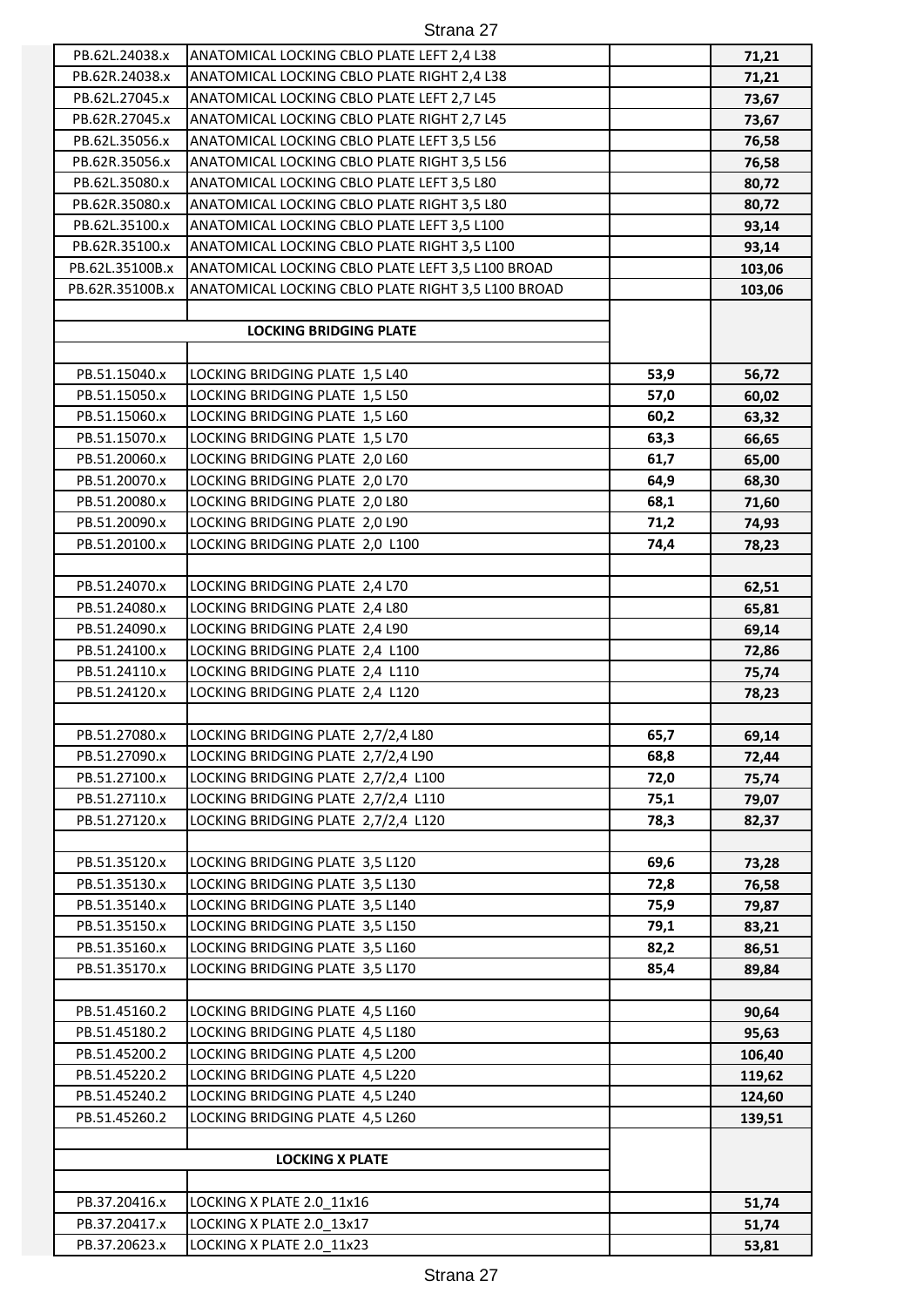| PB.62L.24038.x  | ANATOMICAL LOCKING CBLO PLATE LEFT 2,4 L38         |      | 71,21  |
|-----------------|----------------------------------------------------|------|--------|
| PB.62R.24038.x  | ANATOMICAL LOCKING CBLO PLATE RIGHT 2,4 L38        |      | 71,21  |
| PB.62L.27045.x  | ANATOMICAL LOCKING CBLO PLATE LEFT 2,7 L45         |      | 73,67  |
| PB.62R.27045.x  | ANATOMICAL LOCKING CBLO PLATE RIGHT 2,7 L45        |      | 73,67  |
| PB.62L.35056.x  | ANATOMICAL LOCKING CBLO PLATE LEFT 3,5 L56         |      | 76,58  |
| PB.62R.35056.x  | ANATOMICAL LOCKING CBLO PLATE RIGHT 3,5 L56        |      | 76,58  |
| PB.62L.35080.x  | ANATOMICAL LOCKING CBLO PLATE LEFT 3,5 L80         |      | 80,72  |
| PB.62R.35080.x  | ANATOMICAL LOCKING CBLO PLATE RIGHT 3,5 L80        |      | 80,72  |
| PB.62L.35100.x  | ANATOMICAL LOCKING CBLO PLATE LEFT 3,5 L100        |      | 93,14  |
| PB.62R.35100.x  | ANATOMICAL LOCKING CBLO PLATE RIGHT 3,5 L100       |      |        |
| PB.62L.35100B.x | ANATOMICAL LOCKING CBLO PLATE LEFT 3,5 L100 BROAD  |      | 93,14  |
|                 |                                                    |      | 103,06 |
| PB.62R.35100B.x | ANATOMICAL LOCKING CBLO PLATE RIGHT 3,5 L100 BROAD |      | 103,06 |
|                 |                                                    |      |        |
|                 | <b>LOCKING BRIDGING PLATE</b>                      |      |        |
|                 |                                                    |      |        |
| PB.51.15040.x   | LOCKING BRIDGING PLATE 1,5 L40                     | 53,9 | 56,72  |
| PB.51.15050.x   | LOCKING BRIDGING PLATE 1,5 L50                     | 57,0 | 60,02  |
| PB.51.15060.x   | LOCKING BRIDGING PLATE 1,5 L60                     | 60,2 | 63,32  |
| PB.51.15070.x   | LOCKING BRIDGING PLATE 1,5 L70                     | 63,3 | 66,65  |
| PB.51.20060.x   | LOCKING BRIDGING PLATE 2,0 L60                     | 61,7 | 65,00  |
| PB.51.20070.x   | LOCKING BRIDGING PLATE 2,0 L70                     | 64,9 | 68,30  |
| PB.51.20080.x   | LOCKING BRIDGING PLATE 2,0 L80                     | 68,1 | 71,60  |
| PB.51.20090.x   | LOCKING BRIDGING PLATE 2,0 L90                     | 71,2 | 74,93  |
| PB.51.20100.x   | LOCKING BRIDGING PLATE 2,0 L100                    | 74,4 | 78,23  |
|                 |                                                    |      |        |
| PB.51.24070.x   | LOCKING BRIDGING PLATE 2,4 L70                     |      | 62,51  |
| PB.51.24080.x   | LOCKING BRIDGING PLATE 2,4 L80                     |      | 65,81  |
| PB.51.24090.x   | LOCKING BRIDGING PLATE 2,4 L90                     |      | 69,14  |
| PB.51.24100.x   | LOCKING BRIDGING PLATE 2,4 L100                    |      | 72,86  |
| PB.51.24110.x   | LOCKING BRIDGING PLATE 2,4 L110                    |      | 75,74  |
| PB.51.24120.x   | LOCKING BRIDGING PLATE 2,4 L120                    |      | 78,23  |
|                 |                                                    |      |        |
| PB.51.27080.x   | LOCKING BRIDGING PLATE 2,7/2,4 L80                 | 65,7 | 69,14  |
| PB.51.27090.x   | LOCKING BRIDGING PLATE 2,7/2,4 L90                 | 68,8 | 72,44  |
| PB.51.27100.x   | LOCKING BRIDGING PLATE 2,7/2,4 L100                | 72,0 | 75,74  |
| PB.51.27110.x   | LOCKING BRIDGING PLATE 2,7/2,4 L110                | 75,1 | 79,07  |
| PB.51.27120.x   | LOCKING BRIDGING PLATE 2,7/2,4 L120                | 78,3 | 82,37  |
|                 |                                                    |      |        |
| PB.51.35120.x   | LOCKING BRIDGING PLATE 3,5 L120                    | 69,6 | 73,28  |
| PB.51.35130.x   | LOCKING BRIDGING PLATE 3,5 L130                    | 72,8 | 76,58  |
| PB.51.35140.x   | LOCKING BRIDGING PLATE 3,5 L140                    | 75,9 | 79,87  |
| PB.51.35150.x   | LOCKING BRIDGING PLATE 3,5 L150                    | 79,1 | 83,21  |
| PB.51.35160.x   | LOCKING BRIDGING PLATE 3,5 L160                    | 82,2 | 86,51  |
| PB.51.35170.x   | LOCKING BRIDGING PLATE 3,5 L170                    | 85,4 | 89,84  |
|                 |                                                    |      |        |
| PB.51.45160.2   | LOCKING BRIDGING PLATE 4,5 L160                    |      | 90,64  |
| PB.51.45180.2   | LOCKING BRIDGING PLATE 4,5 L180                    |      | 95,63  |
| PB.51.45200.2   | LOCKING BRIDGING PLATE 4,5 L200                    |      | 106,40 |
| PB.51.45220.2   | LOCKING BRIDGING PLATE 4,5 L220                    |      | 119,62 |
| PB.51.45240.2   | LOCKING BRIDGING PLATE 4,5 L240                    |      | 124,60 |
| PB.51.45260.2   | LOCKING BRIDGING PLATE 4,5 L260                    |      | 139,51 |
|                 |                                                    |      |        |
|                 | <b>LOCKING X PLATE</b>                             |      |        |
|                 |                                                    |      |        |
| PB.37.20416.x   | LOCKING X PLATE 2.0_11x16                          |      | 51,74  |
| PB.37.20417.x   | LOCKING X PLATE 2.0 13x17                          |      | 51,74  |
| PB.37.20623.x   | LOCKING X PLATE 2.0_11x23                          |      | 53,81  |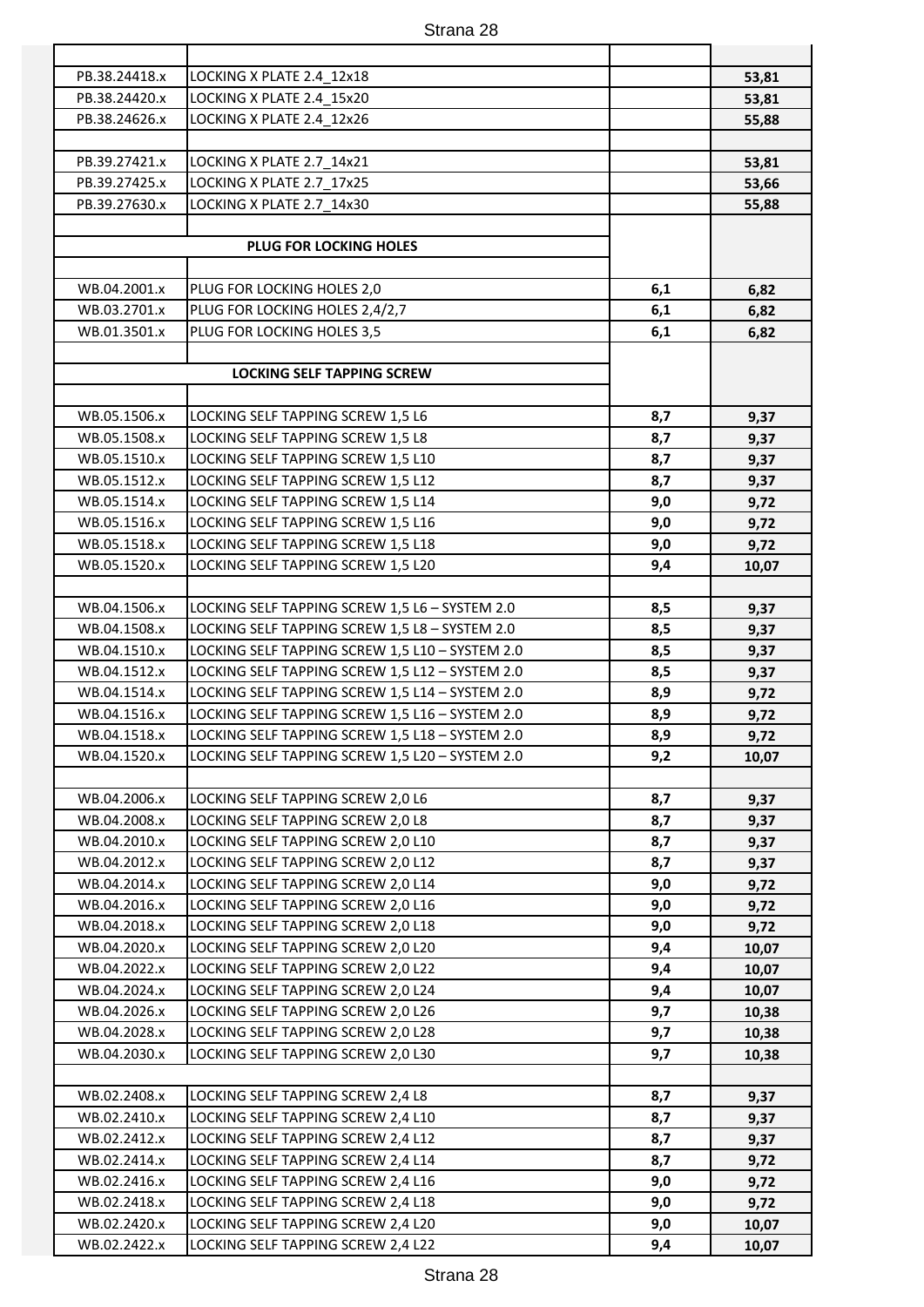| PB.38.24418.x | LOCKING X PLATE 2.4_12x18                       |     | 53,81 |
|---------------|-------------------------------------------------|-----|-------|
| PB.38.24420.x | LOCKING X PLATE 2.4 15x20                       |     | 53,81 |
| PB.38.24626.x | LOCKING X PLATE 2.4 12x26                       |     | 55,88 |
|               |                                                 |     |       |
| PB.39.27421.x | LOCKING X PLATE 2.7_14x21                       |     | 53,81 |
| PB.39.27425.x | LOCKING X PLATE 2.7 17x25                       |     | 53,66 |
| PB.39.27630.x | LOCKING X PLATE 2.7 14x30                       |     | 55,88 |
|               |                                                 |     |       |
|               | <b>PLUG FOR LOCKING HOLES</b>                   |     |       |
|               |                                                 |     |       |
| WB.04.2001.x  | PLUG FOR LOCKING HOLES 2,0                      | 6,1 | 6,82  |
| WB.03.2701.x  | PLUG FOR LOCKING HOLES 2,4/2,7                  | 6,1 | 6,82  |
| WB.01.3501.x  | PLUG FOR LOCKING HOLES 3,5                      | 6,1 | 6,82  |
|               |                                                 |     |       |
|               | <b>LOCKING SELF TAPPING SCREW</b>               |     |       |
|               |                                                 |     |       |
| WB.05.1506.x  | LOCKING SELF TAPPING SCREW 1,5 L6               | 8,7 | 9,37  |
| WB.05.1508.x  | LOCKING SELF TAPPING SCREW 1,5 L8               | 8,7 | 9,37  |
| WB.05.1510.x  | LOCKING SELF TAPPING SCREW 1,5 L10              | 8,7 | 9,37  |
| WB.05.1512.x  | LOCKING SELF TAPPING SCREW 1,5 L12              | 8,7 | 9,37  |
| WB.05.1514.x  | LOCKING SELF TAPPING SCREW 1,5 L14              | 9,0 | 9,72  |
| WB.05.1516.x  | LOCKING SELF TAPPING SCREW 1,5 L16              | 9,0 | 9,72  |
| WB.05.1518.x  | LOCKING SELF TAPPING SCREW 1,5 L18              | 9,0 | 9,72  |
| WB.05.1520.x  | LOCKING SELF TAPPING SCREW 1,5 L20              | 9,4 | 10,07 |
|               |                                                 |     |       |
| WB.04.1506.x  | LOCKING SELF TAPPING SCREW 1,5 L6 - SYSTEM 2.0  | 8,5 | 9,37  |
| WB.04.1508.x  | LOCKING SELF TAPPING SCREW 1,5 L8 - SYSTEM 2.0  | 8,5 | 9,37  |
| WB.04.1510.x  | LOCKING SELF TAPPING SCREW 1,5 L10 - SYSTEM 2.0 | 8,5 | 9,37  |
| WB.04.1512.x  | LOCKING SELF TAPPING SCREW 1,5 L12 - SYSTEM 2.0 | 8,5 | 9,37  |
| WB.04.1514.x  | LOCKING SELF TAPPING SCREW 1,5 L14 - SYSTEM 2.0 | 8,9 | 9,72  |
| WB.04.1516.x  | LOCKING SELF TAPPING SCREW 1,5 L16 - SYSTEM 2.0 | 8,9 | 9,72  |
| WB.04.1518.x  | LOCKING SELF TAPPING SCREW 1,5 L18 - SYSTEM 2.0 | 8,9 | 9,72  |
| WB.04.1520.x  | LOCKING SELF TAPPING SCREW 1,5 L20 - SYSTEM 2.0 | 9,2 | 10,07 |
|               |                                                 |     |       |
| WB.04.2006.x  | LOCKING SELF TAPPING SCREW 2,0 L6               | 8,7 | 9,37  |
| WB.04.2008.x  | LOCKING SELF TAPPING SCREW 2,0 L8               | 8,7 | 9,37  |
| WB.04.2010.x  | LOCKING SELF TAPPING SCREW 2,0 L10              | 8,7 | 9,37  |
| WB.04.2012.x  | LOCKING SELF TAPPING SCREW 2,0 L12              | 8,7 | 9,37  |
| WB.04.2014.x  | LOCKING SELF TAPPING SCREW 2,0 L14              | 9,0 | 9,72  |
| WB.04.2016.x  | LOCKING SELF TAPPING SCREW 2,0 L16              | 9,0 | 9,72  |
| WB.04.2018.x  | LOCKING SELF TAPPING SCREW 2,0 L18              | 9,0 | 9,72  |
| WB.04.2020.x  | LOCKING SELF TAPPING SCREW 2,0 L20              | 9,4 | 10,07 |
| WB.04.2022.x  | LOCKING SELF TAPPING SCREW 2,0 L22              | 9,4 | 10,07 |
| WB.04.2024.x  | LOCKING SELF TAPPING SCREW 2,0 L24              | 9,4 | 10,07 |
| WB.04.2026.x  | LOCKING SELF TAPPING SCREW 2,0 L26              | 9,7 | 10,38 |
| WB.04.2028.x  | LOCKING SELF TAPPING SCREW 2,0 L28              | 9,7 | 10,38 |
| WB.04.2030.x  | LOCKING SELF TAPPING SCREW 2,0 L30              | 9,7 | 10,38 |
|               |                                                 |     |       |
| WB.02.2408.x  | LOCKING SELF TAPPING SCREW 2,4 L8               | 8,7 | 9,37  |
| WB.02.2410.x  | LOCKING SELF TAPPING SCREW 2,4 L10              | 8,7 | 9,37  |
| WB.02.2412.x  | LOCKING SELF TAPPING SCREW 2,4 L12              | 8,7 | 9,37  |
| WB.02.2414.x  | LOCKING SELF TAPPING SCREW 2,4 L14              | 8,7 | 9,72  |
| WB.02.2416.x  | LOCKING SELF TAPPING SCREW 2,4 L16              | 9,0 | 9,72  |
| WB.02.2418.x  | LOCKING SELF TAPPING SCREW 2,4 L18              | 9,0 | 9,72  |
| WB.02.2420.x  | LOCKING SELF TAPPING SCREW 2,4 L20              | 9,0 | 10,07 |
| WB.02.2422.x  | LOCKING SELF TAPPING SCREW 2,4 L22              | 9,4 | 10,07 |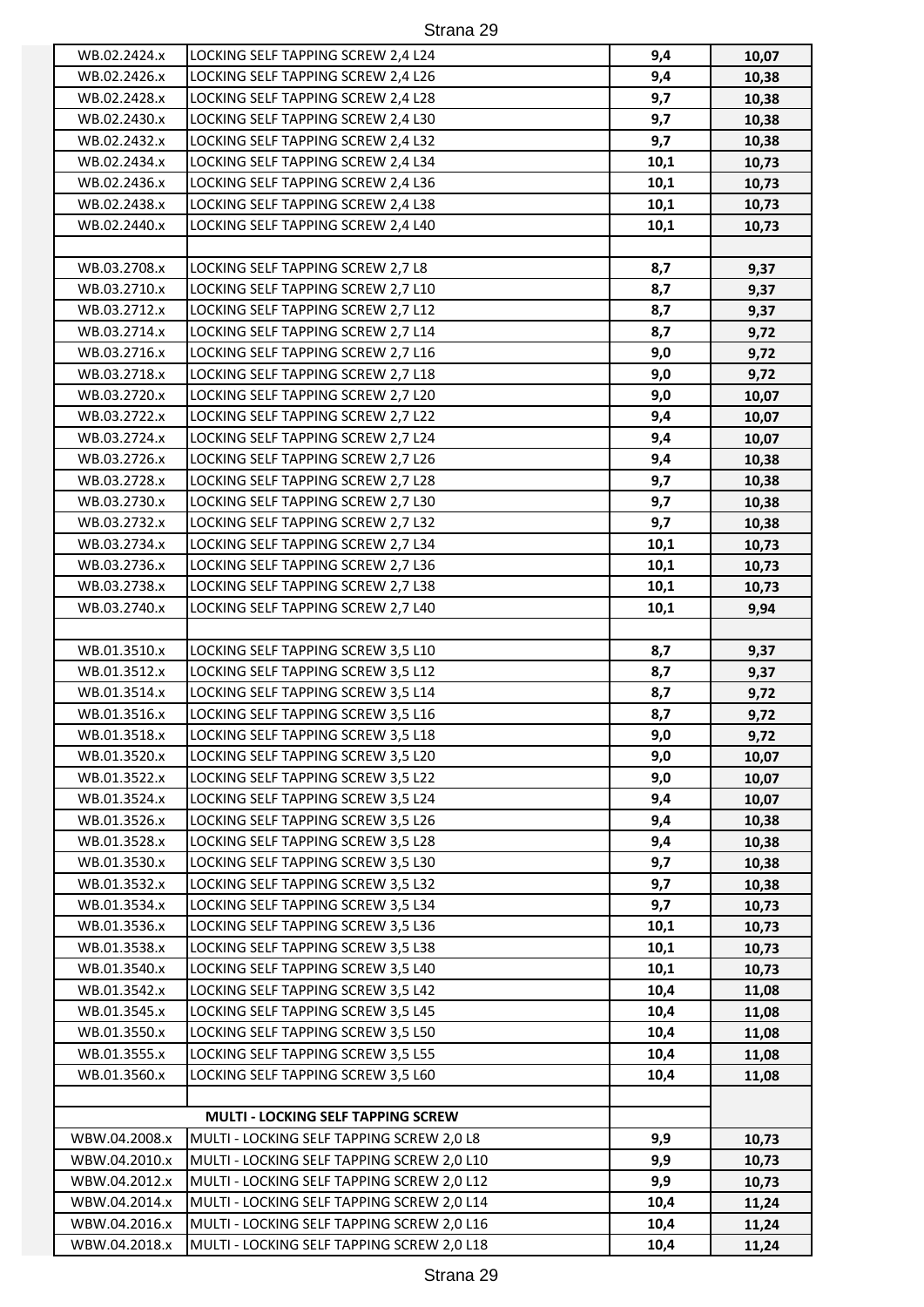| WB.02.2424.x  | LOCKING SELF TAPPING SCREW 2,4 L24         | 9,4  | 10,07 |
|---------------|--------------------------------------------|------|-------|
| WB.02.2426.x  | LOCKING SELF TAPPING SCREW 2,4 L26         | 9,4  | 10,38 |
| WB.02.2428.x  | LOCKING SELF TAPPING SCREW 2,4 L28         | 9,7  | 10,38 |
| WB.02.2430.x  | LOCKING SELF TAPPING SCREW 2,4 L30         | 9,7  | 10,38 |
| WB.02.2432.x  | LOCKING SELF TAPPING SCREW 2,4 L32         | 9,7  | 10,38 |
| WB.02.2434.x  | LOCKING SELF TAPPING SCREW 2,4 L34         | 10,1 | 10,73 |
| WB.02.2436.x  | LOCKING SELF TAPPING SCREW 2,4 L36         | 10,1 | 10,73 |
| WB.02.2438.x  | LOCKING SELF TAPPING SCREW 2,4 L38         | 10,1 | 10,73 |
| WB.02.2440.x  | LOCKING SELF TAPPING SCREW 2,4 L40         | 10,1 | 10,73 |
|               |                                            |      |       |
| WB.03.2708.x  | LOCKING SELF TAPPING SCREW 2,7 L8          | 8,7  | 9,37  |
| WB.03.2710.x  | LOCKING SELF TAPPING SCREW 2,7 L10         | 8,7  | 9,37  |
| WB.03.2712.x  | LOCKING SELF TAPPING SCREW 2,7 L12         | 8,7  | 9,37  |
| WB.03.2714.x  | LOCKING SELF TAPPING SCREW 2,7 L14         | 8,7  | 9,72  |
| WB.03.2716.x  | LOCKING SELF TAPPING SCREW 2,7 L16         | 9,0  | 9,72  |
| WB.03.2718.x  | LOCKING SELF TAPPING SCREW 2,7 L18         | 9,0  | 9,72  |
| WB.03.2720.x  | LOCKING SELF TAPPING SCREW 2,7 L20         | 9,0  | 10,07 |
| WB.03.2722.x  | LOCKING SELF TAPPING SCREW 2,7 L22         | 9,4  | 10,07 |
| WB.03.2724.x  | LOCKING SELF TAPPING SCREW 2,7 L24         | 9,4  | 10,07 |
| WB.03.2726.x  | LOCKING SELF TAPPING SCREW 2,7 L26         | 9,4  | 10,38 |
| WB.03.2728.x  | LOCKING SELF TAPPING SCREW 2,7 L28         | 9,7  | 10,38 |
| WB.03.2730.x  | LOCKING SELF TAPPING SCREW 2,7 L30         | 9,7  |       |
| WB.03.2732.x  |                                            | 9,7  | 10,38 |
|               | LOCKING SELF TAPPING SCREW 2,7 L32         |      | 10,38 |
| WB.03.2734.x  | LOCKING SELF TAPPING SCREW 2,7 L34         | 10,1 | 10,73 |
| WB.03.2736.x  | LOCKING SELF TAPPING SCREW 2,7 L36         | 10,1 | 10,73 |
| WB.03.2738.x  | LOCKING SELF TAPPING SCREW 2,7 L38         | 10,1 | 10,73 |
| WB.03.2740.x  | LOCKING SELF TAPPING SCREW 2,7 L40         | 10,1 | 9,94  |
|               |                                            |      |       |
| WB.01.3510.x  | LOCKING SELF TAPPING SCREW 3,5 L10         | 8,7  | 9,37  |
| WB.01.3512.x  | LOCKING SELF TAPPING SCREW 3,5 L12         | 8,7  | 9,37  |
| WB.01.3514.x  | LOCKING SELF TAPPING SCREW 3,5 L14         | 8,7  | 9,72  |
| WB.01.3516.x  | LOCKING SELF TAPPING SCREW 3,5 L16         | 8,7  | 9,72  |
| WB.01.3518.x  | LOCKING SELF TAPPING SCREW 3,5 L18         | 9,0  | 9,72  |
| WB.01.3520.x  | LOCKING SELF TAPPING SCREW 3,5 L20         | 9,0  | 10,07 |
| WB.01.3522.x  | LOCKING SELF TAPPING SCREW 3,5 L22         | 9,0  | 10,07 |
| WB.01.3524.x  | LOCKING SELF TAPPING SCREW 3,5 L24         | 9,4  | 10,07 |
| WB.01.3526.x  | LOCKING SELF TAPPING SCREW 3,5 L26         | 9,4  | 10,38 |
| WB.01.3528.x  | LOCKING SELF TAPPING SCREW 3,5 L28         | 9,4  | 10,38 |
| WB.01.3530.x  | LOCKING SELF TAPPING SCREW 3,5 L30         | 9,7  | 10,38 |
| WB.01.3532.x  | LOCKING SELF TAPPING SCREW 3,5 L32         | 9,7  | 10,38 |
| WB.01.3534.x  | LOCKING SELF TAPPING SCREW 3,5 L34         | 9,7  | 10,73 |
| WB.01.3536.x  | LOCKING SELF TAPPING SCREW 3,5 L36         | 10,1 | 10,73 |
| WB.01.3538.x  | LOCKING SELF TAPPING SCREW 3,5 L38         | 10,1 | 10,73 |
| WB.01.3540.x  | LOCKING SELF TAPPING SCREW 3,5 L40         | 10,1 | 10,73 |
| WB.01.3542.x  | LOCKING SELF TAPPING SCREW 3,5 L42         | 10,4 | 11,08 |
| WB.01.3545.x  | LOCKING SELF TAPPING SCREW 3,5 L45         | 10,4 | 11,08 |
| WB.01.3550.x  | LOCKING SELF TAPPING SCREW 3,5 L50         | 10,4 | 11,08 |
| WB.01.3555.x  | LOCKING SELF TAPPING SCREW 3,5 L55         | 10,4 | 11,08 |
| WB.01.3560.x  | LOCKING SELF TAPPING SCREW 3,5 L60         | 10,4 | 11,08 |
|               |                                            |      |       |
|               | MULTI - LOCKING SELF TAPPING SCREW         |      |       |
| WBW.04.2008.x | MULTI - LOCKING SELF TAPPING SCREW 2,0 L8  | 9,9  | 10,73 |
| WBW.04.2010.x | MULTI - LOCKING SELF TAPPING SCREW 2,0 L10 | 9,9  | 10,73 |
| WBW.04.2012.x | MULTI - LOCKING SELF TAPPING SCREW 2,0 L12 | 9,9  | 10,73 |
| WBW.04.2014.x | MULTI - LOCKING SELF TAPPING SCREW 2,0 L14 | 10,4 | 11,24 |
| WBW.04.2016.x | MULTI - LOCKING SELF TAPPING SCREW 2,0 L16 | 10,4 | 11,24 |
| WBW.04.2018.x | MULTI - LOCKING SELF TAPPING SCREW 2,0 L18 | 10,4 | 11,24 |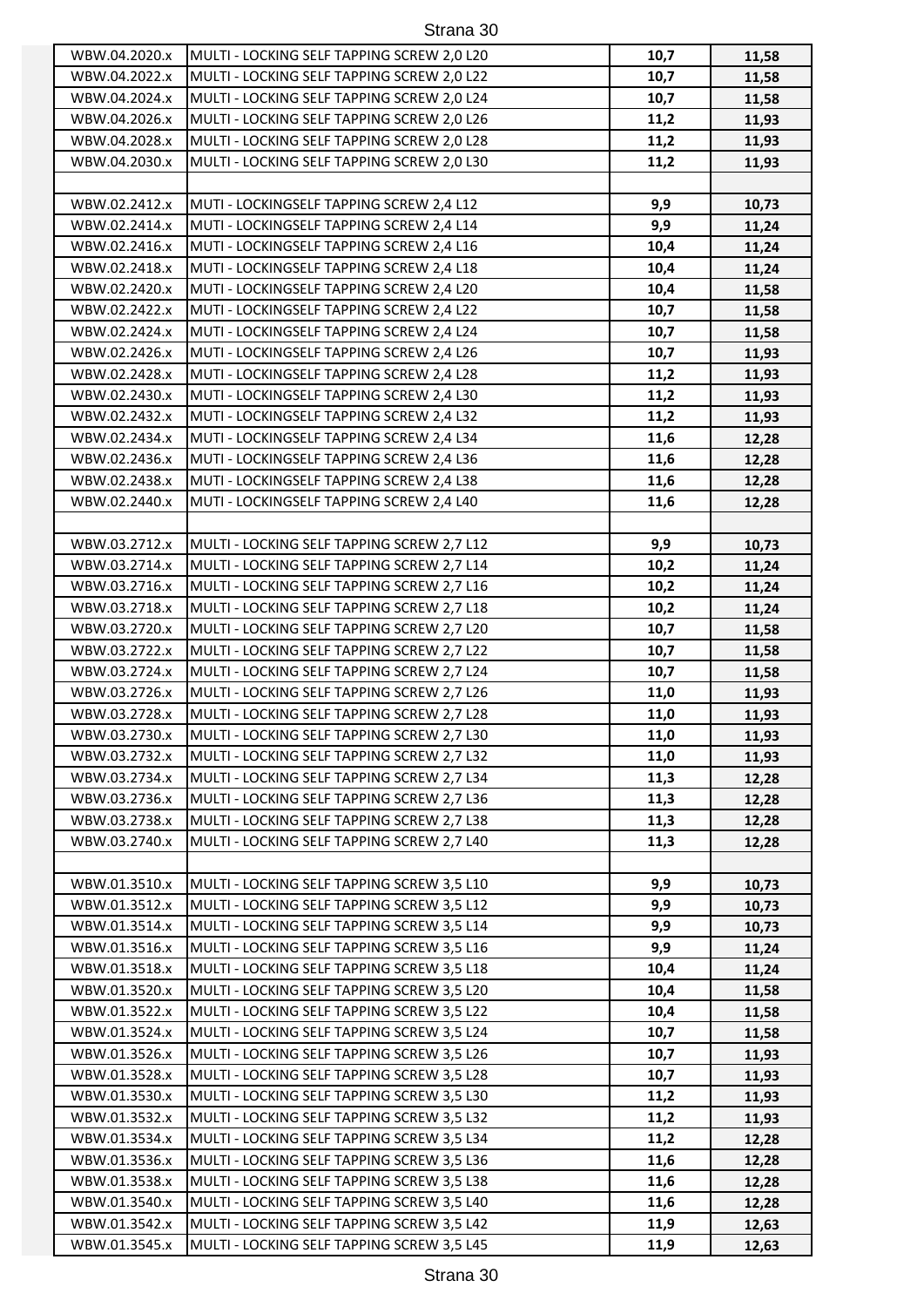| WBW.04.2020.x                  | MULTI - LOCKING SELF TAPPING SCREW 2,0 L20 | 10,7 | 11,58 |
|--------------------------------|--------------------------------------------|------|-------|
| WBW.04.2022.x                  | MULTI - LOCKING SELF TAPPING SCREW 2,0 L22 | 10,7 | 11,58 |
| WBW.04.2024.x                  | MULTI - LOCKING SELF TAPPING SCREW 2,0 L24 | 10,7 | 11,58 |
| WBW.04.2026.x                  | MULTI - LOCKING SELF TAPPING SCREW 2,0 L26 | 11,2 | 11,93 |
| WBW.04.2028.x                  | MULTI - LOCKING SELF TAPPING SCREW 2,0 L28 | 11,2 | 11,93 |
| WBW.04.2030.x                  | MULTI - LOCKING SELF TAPPING SCREW 2,0 L30 | 11,2 | 11,93 |
|                                |                                            |      |       |
| WBW.02.2412.x                  | MUTI - LOCKINGSELF TAPPING SCREW 2,4 L12   | 9,9  | 10,73 |
| WBW.02.2414.x                  | MUTI - LOCKINGSELF TAPPING SCREW 2,4 L14   | 9,9  | 11,24 |
| WBW.02.2416.x                  | MUTI - LOCKINGSELF TAPPING SCREW 2,4 L16   | 10,4 | 11,24 |
| WBW.02.2418.x                  | MUTI - LOCKINGSELF TAPPING SCREW 2,4 L18   | 10,4 | 11,24 |
| WBW.02.2420.x                  | MUTI - LOCKINGSELF TAPPING SCREW 2,4 L20   | 10,4 | 11,58 |
| WBW.02.2422.x                  | MUTI - LOCKINGSELF TAPPING SCREW 2,4 L22   | 10,7 | 11,58 |
| WBW.02.2424.x                  | MUTI - LOCKINGSELF TAPPING SCREW 2,4 L24   | 10,7 | 11,58 |
| WBW.02.2426.x                  | MUTI - LOCKINGSELF TAPPING SCREW 2,4 L26   | 10,7 | 11,93 |
| WBW.02.2428.x                  | MUTI - LOCKINGSELF TAPPING SCREW 2,4 L28   | 11,2 | 11,93 |
| WBW.02.2430.x                  | MUTI - LOCKINGSELF TAPPING SCREW 2,4 L30   | 11,2 | 11,93 |
| WBW.02.2432.x                  | MUTI - LOCKINGSELF TAPPING SCREW 2,4 L32   | 11,2 | 11,93 |
| WBW.02.2434.x                  | MUTI - LOCKINGSELF TAPPING SCREW 2,4 L34   | 11,6 | 12,28 |
| WBW.02.2436.x                  | MUTI - LOCKINGSELF TAPPING SCREW 2,4 L36   | 11,6 | 12,28 |
| WBW.02.2438.x                  | MUTI - LOCKINGSELF TAPPING SCREW 2,4 L38   | 11,6 | 12,28 |
| WBW.02.2440.x                  | MUTI - LOCKINGSELF TAPPING SCREW 2,4 L40   | 11,6 | 12,28 |
|                                |                                            |      |       |
| WBW.03.2712.x                  | MULTI - LOCKING SELF TAPPING SCREW 2,7 L12 | 9,9  | 10,73 |
| WBW.03.2714.x                  | MULTI - LOCKING SELF TAPPING SCREW 2,7 L14 | 10,2 | 11,24 |
| WBW.03.2716.x                  | MULTI - LOCKING SELF TAPPING SCREW 2,7 L16 | 10,2 | 11,24 |
| WBW.03.2718.x                  | MULTI - LOCKING SELF TAPPING SCREW 2,7 L18 | 10,2 | 11,24 |
| WBW.03.2720.x                  | MULTI - LOCKING SELF TAPPING SCREW 2,7 L20 | 10,7 | 11,58 |
| WBW.03.2722.x                  | MULTI - LOCKING SELF TAPPING SCREW 2,7 L22 | 10,7 | 11,58 |
| WBW.03.2724.x                  | MULTI - LOCKING SELF TAPPING SCREW 2,7 L24 | 10,7 | 11,58 |
| WBW.03.2726.x                  | MULTI - LOCKING SELF TAPPING SCREW 2,7 L26 | 11,0 | 11,93 |
| WBW.03.2728.x                  | MULTI - LOCKING SELF TAPPING SCREW 2,7 L28 | 11,0 | 11,93 |
| WBW.03.2730.x                  | MULTI - LOCKING SELF TAPPING SCREW 2,7 L30 | 11,0 | 11,93 |
| WBW.03.2732.x                  | MULTI - LOCKING SELF TAPPING SCREW 2,7 L32 | 11,0 | 11,93 |
| WBW.03.2734.x                  | MULTI - LOCKING SELF TAPPING SCREW 2,7 L34 | 11,3 | 12,28 |
| WBW.03.2736.x                  | MULTI - LOCKING SELF TAPPING SCREW 2,7 L36 | 11,3 |       |
| WBW.03.2738.x                  |                                            |      | 12,28 |
|                                | MULTI - LOCKING SELF TAPPING SCREW 2,7 L38 | 11,3 | 12,28 |
| WBW.03.2740.x                  | MULTI - LOCKING SELF TAPPING SCREW 2,7 L40 | 11,3 | 12,28 |
| WBW.01.3510.x                  | MULTI - LOCKING SELF TAPPING SCREW 3,5 L10 | 9,9  | 10,73 |
| WBW.01.3512.x                  | MULTI - LOCKING SELF TAPPING SCREW 3,5 L12 | 9,9  | 10,73 |
| WBW.01.3514.x                  | MULTI - LOCKING SELF TAPPING SCREW 3,5 L14 | 9,9  | 10,73 |
| WBW.01.3516.x                  | MULTI - LOCKING SELF TAPPING SCREW 3,5 L16 | 9,9  | 11,24 |
| WBW.01.3518.x                  | MULTI - LOCKING SELF TAPPING SCREW 3,5 L18 | 10,4 | 11,24 |
| WBW.01.3520.x                  | MULTI - LOCKING SELF TAPPING SCREW 3,5 L20 | 10,4 |       |
| WBW.01.3522.x                  | MULTI - LOCKING SELF TAPPING SCREW 3,5 L22 | 10,4 | 11,58 |
| WBW.01.3524.x                  | MULTI - LOCKING SELF TAPPING SCREW 3,5 L24 | 10,7 | 11,58 |
|                                |                                            | 10,7 | 11,58 |
| WBW.01.3526.x                  | MULTI - LOCKING SELF TAPPING SCREW 3,5 L26 |      | 11,93 |
| WBW.01.3528.x                  | MULTI - LOCKING SELF TAPPING SCREW 3,5 L28 | 10,7 | 11,93 |
| WBW.01.3530.x<br>WBW.01.3532.x | MULTI - LOCKING SELF TAPPING SCREW 3,5 L30 | 11,2 | 11,93 |
|                                | MULTI - LOCKING SELF TAPPING SCREW 3,5 L32 | 11,2 | 11,93 |
| WBW.01.3534.x                  | MULTI - LOCKING SELF TAPPING SCREW 3,5 L34 | 11,2 | 12,28 |
| WBW.01.3536.x                  | MULTI - LOCKING SELF TAPPING SCREW 3,5 L36 | 11,6 | 12,28 |
| WBW.01.3538.x                  | MULTI - LOCKING SELF TAPPING SCREW 3,5 L38 | 11,6 | 12,28 |
| WBW.01.3540.x                  | MULTI - LOCKING SELF TAPPING SCREW 3,5 L40 | 11,6 | 12,28 |
| WBW.01.3542.x                  | MULTI - LOCKING SELF TAPPING SCREW 3,5 L42 | 11,9 | 12,63 |
| WBW.01.3545.x                  | MULTI - LOCKING SELF TAPPING SCREW 3,5 L45 | 11,9 | 12,63 |